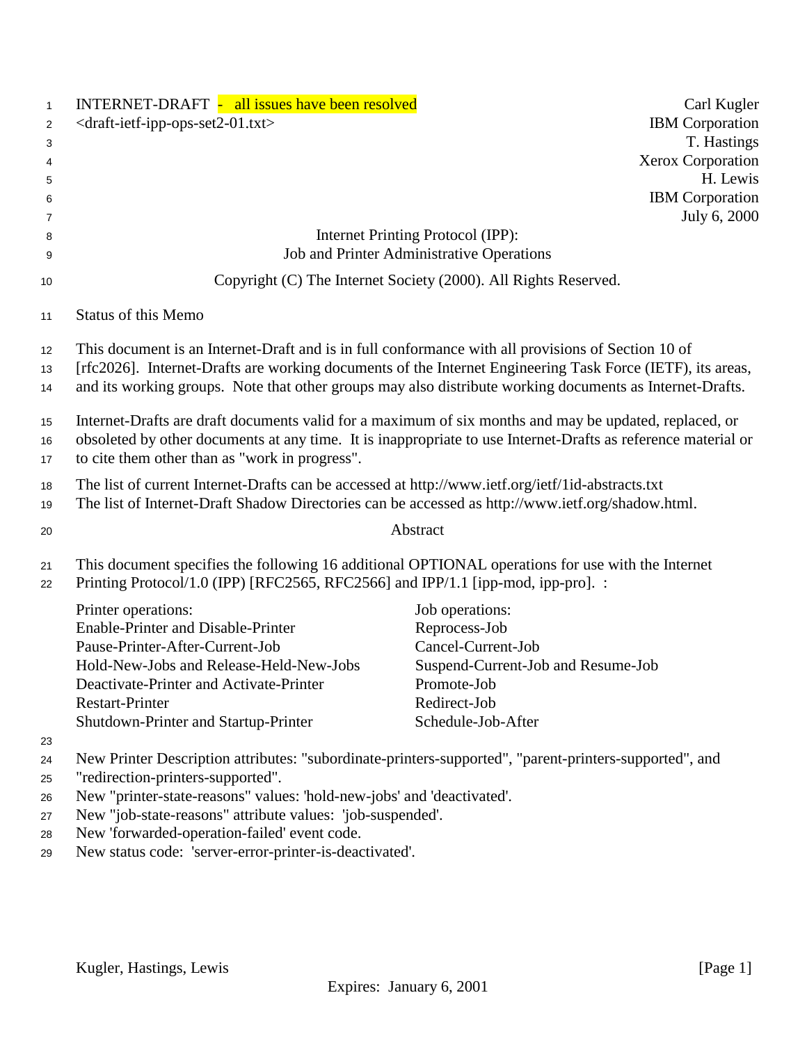| $\mathbf{1}$   | <b>INTERNET-DRAFT</b> - all issues have been resolved                                                                                                                                 |                                                                 | Carl Kugler            |
|----------------|---------------------------------------------------------------------------------------------------------------------------------------------------------------------------------------|-----------------------------------------------------------------|------------------------|
| $\overline{2}$ | <draft-ietf-ipp-ops-set2-01.txt></draft-ietf-ipp-ops-set2-01.txt>                                                                                                                     |                                                                 | <b>IBM</b> Corporation |
| 3              |                                                                                                                                                                                       |                                                                 | T. Hastings            |
| 4              |                                                                                                                                                                                       |                                                                 | Xerox Corporation      |
| 5              |                                                                                                                                                                                       |                                                                 | H. Lewis               |
| 6              |                                                                                                                                                                                       |                                                                 | <b>IBM</b> Corporation |
| 7              |                                                                                                                                                                                       |                                                                 | July 6, 2000           |
| 8              |                                                                                                                                                                                       | Internet Printing Protocol (IPP):                               |                        |
| 9              |                                                                                                                                                                                       | Job and Printer Administrative Operations                       |                        |
| 10             |                                                                                                                                                                                       | Copyright (C) The Internet Society (2000). All Rights Reserved. |                        |
| 11             | <b>Status of this Memo</b>                                                                                                                                                            |                                                                 |                        |
| $12 \,$        | This document is an Internet-Draft and is in full conformance with all provisions of Section 10 of                                                                                    |                                                                 |                        |
| 13             | [rfc2026]. Internet-Drafts are working documents of the Internet Engineering Task Force (IETF), its areas,                                                                            |                                                                 |                        |
| 14             | and its working groups. Note that other groups may also distribute working documents as Internet-Drafts.                                                                              |                                                                 |                        |
| 15             | Internet-Drafts are draft documents valid for a maximum of six months and may be updated, replaced, or                                                                                |                                                                 |                        |
| 16             | obsoleted by other documents at any time. It is inappropriate to use Internet-Drafts as reference material or                                                                         |                                                                 |                        |
| 17             | to cite them other than as "work in progress".                                                                                                                                        |                                                                 |                        |
| 18             | The list of current Internet-Drafts can be accessed at http://www.ietf.org/ietf/1id-abstracts.txt                                                                                     |                                                                 |                        |
| 19             | The list of Internet-Draft Shadow Directories can be accessed as http://www.ietf.org/shadow.html.                                                                                     |                                                                 |                        |
| 20             |                                                                                                                                                                                       | Abstract                                                        |                        |
| 21<br>22       | This document specifies the following 16 additional OPTIONAL operations for use with the Internet<br>Printing Protocol/1.0 (IPP) [RFC2565, RFC2566] and IPP/1.1 [ipp-mod, ipp-pro]. : |                                                                 |                        |
|                | Printer operations:                                                                                                                                                                   | Job operations:                                                 |                        |
|                | Enable-Printer and Disable-Printer                                                                                                                                                    | Reprocess-Job                                                   |                        |
|                | Pause-Printer-After-Current-Job                                                                                                                                                       | Cancel-Current-Job                                              |                        |
|                | Hold-New-Jobs and Release-Held-New-Jobs                                                                                                                                               | Suspend-Current-Job and Resume-Job                              |                        |
|                | Deactivate-Printer and Activate-Printer                                                                                                                                               | Promote-Job                                                     |                        |
|                | <b>Restart-Printer</b>                                                                                                                                                                | Redirect-Job                                                    |                        |
|                | Shutdown-Printer and Startup-Printer                                                                                                                                                  | Schedule-Job-After                                              |                        |
| 23             |                                                                                                                                                                                       |                                                                 |                        |
| 24             | New Printer Description attributes: "subordinate-printers-supported", "parent-printers-supported", and                                                                                |                                                                 |                        |
| 25             | "redirection-printers-supported".                                                                                                                                                     |                                                                 |                        |
| 26             | New "printer-state-reasons" values: 'hold-new-jobs' and 'deactivated'.                                                                                                                |                                                                 |                        |
| 27             | New "job-state-reasons" attribute values: 'job-suspended'.                                                                                                                            |                                                                 |                        |
| 28             | New 'forwarded-operation-failed' event code.                                                                                                                                          |                                                                 |                        |
| 29             | New status code: 'server-error-printer-is-deactivated'.                                                                                                                               |                                                                 |                        |
|                |                                                                                                                                                                                       |                                                                 |                        |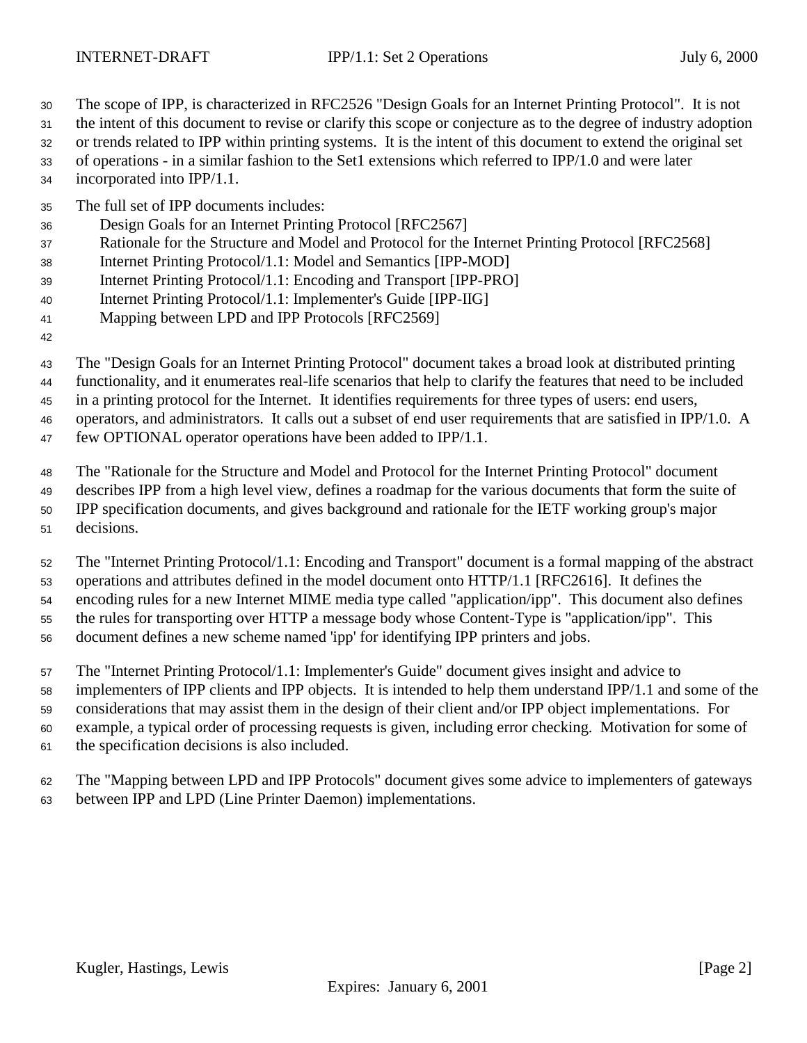- The scope of IPP, is characterized in RFC2526 "Design Goals for an Internet Printing Protocol". It is not
- the intent of this document to revise or clarify this scope or conjecture as to the degree of industry adoption
- or trends related to IPP within printing systems. It is the intent of this document to extend the original set
- of operations in a similar fashion to the Set1 extensions which referred to IPP/1.0 and were later incorporated into IPP/1.1.
- The full set of IPP documents includes:
- Design Goals for an Internet Printing Protocol [RFC2567]
- Rationale for the Structure and Model and Protocol for the Internet Printing Protocol [RFC2568]
- Internet Printing Protocol/1.1: Model and Semantics [IPP-MOD]
- Internet Printing Protocol/1.1: Encoding and Transport [IPP-PRO]
- Internet Printing Protocol/1.1: Implementer's Guide [IPP-IIG]
- Mapping between LPD and IPP Protocols [RFC2569]
- 
- The "Design Goals for an Internet Printing Protocol" document takes a broad look at distributed printing
- functionality, and it enumerates real-life scenarios that help to clarify the features that need to be included
- in a printing protocol for the Internet. It identifies requirements for three types of users: end users,
- operators, and administrators. It calls out a subset of end user requirements that are satisfied in IPP/1.0. A
- few OPTIONAL operator operations have been added to IPP/1.1.
- The "Rationale for the Structure and Model and Protocol for the Internet Printing Protocol" document
- describes IPP from a high level view, defines a roadmap for the various documents that form the suite of
- IPP specification documents, and gives background and rationale for the IETF working group's major
- decisions.
- The "Internet Printing Protocol/1.1: Encoding and Transport" document is a formal mapping of the abstract operations and attributes defined in the model document onto HTTP/1.1 [RFC2616]. It defines the encoding rules for a new Internet MIME media type called "application/ipp". This document also defines the rules for transporting over HTTP a message body whose Content-Type is "application/ipp". This
- document defines a new scheme named 'ipp' for identifying IPP printers and jobs.
- The "Internet Printing Protocol/1.1: Implementer's Guide" document gives insight and advice to
- implementers of IPP clients and IPP objects. It is intended to help them understand IPP/1.1 and some of the
- considerations that may assist them in the design of their client and/or IPP object implementations. For
- example, a typical order of processing requests is given, including error checking. Motivation for some of
- the specification decisions is also included.
- The "Mapping between LPD and IPP Protocols" document gives some advice to implementers of gateways between IPP and LPD (Line Printer Daemon) implementations.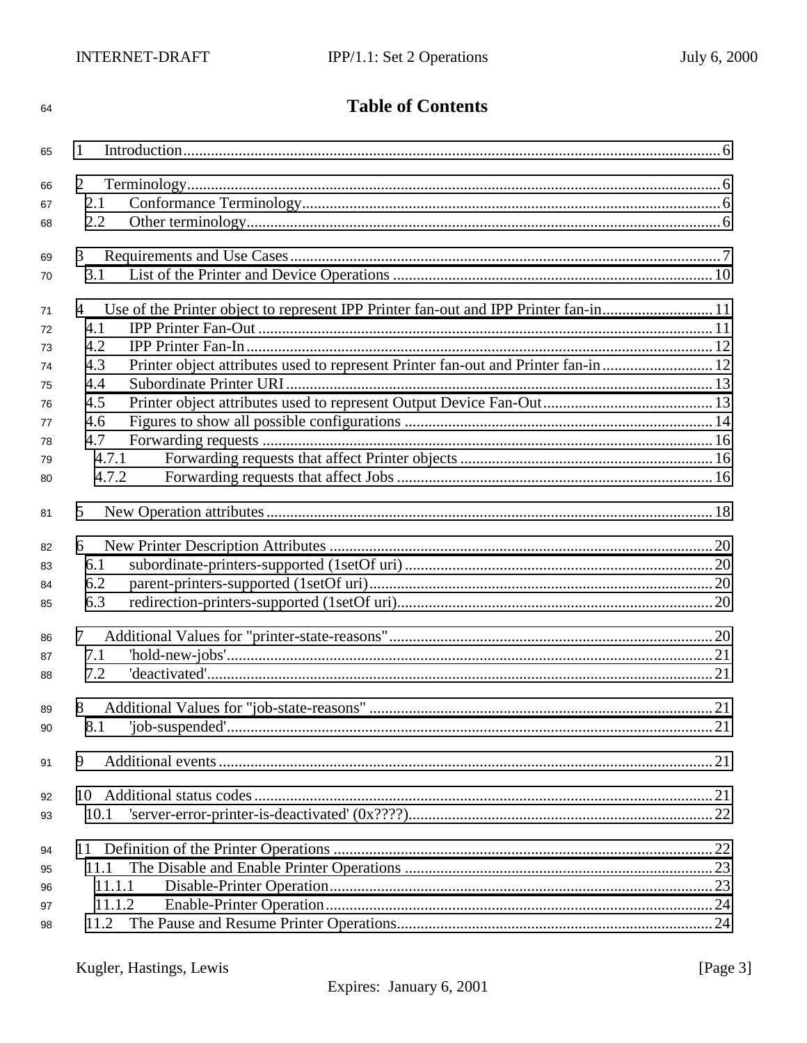| 64 | <b>Table of Contents</b>                                                                  |  |
|----|-------------------------------------------------------------------------------------------|--|
| 65 | 1                                                                                         |  |
| 66 | 2                                                                                         |  |
| 67 | 2.1                                                                                       |  |
| 68 | 2.2                                                                                       |  |
| 69 | 3                                                                                         |  |
| 70 | 3.1                                                                                       |  |
| 71 | Use of the Printer object to represent IPP Printer fan-out and IPP Printer fan-in11<br>4  |  |
| 72 | 4.1                                                                                       |  |
| 73 | 4.2                                                                                       |  |
| 74 | Printer object attributes used to represent Printer fan-out and Printer fan-in  12<br>4.3 |  |
| 75 | 4.4                                                                                       |  |
| 76 | 4.5                                                                                       |  |
| 77 | 4.6                                                                                       |  |
| 78 | 4.7                                                                                       |  |
| 79 | 4.7.1                                                                                     |  |
| 80 | 4.7.2                                                                                     |  |
| 81 | 5                                                                                         |  |
| 82 | 6                                                                                         |  |
| 83 | 6.1                                                                                       |  |
| 84 | 6.2                                                                                       |  |
| 85 | 6.3                                                                                       |  |
| 86 | 7                                                                                         |  |
| 87 | 7.1                                                                                       |  |
| 88 | 7.2                                                                                       |  |
| 89 | 8                                                                                         |  |
| 90 | $'job-suspended'1$<br>8.1                                                                 |  |
| 91 | 9                                                                                         |  |
| 92 |                                                                                           |  |
| 93 | 10.1                                                                                      |  |
| 94 |                                                                                           |  |
| 95 | 11.1                                                                                      |  |
| 96 | 11.1.1                                                                                    |  |
| 97 | 11.1.2                                                                                    |  |
| 98 | 11.2                                                                                      |  |
|    |                                                                                           |  |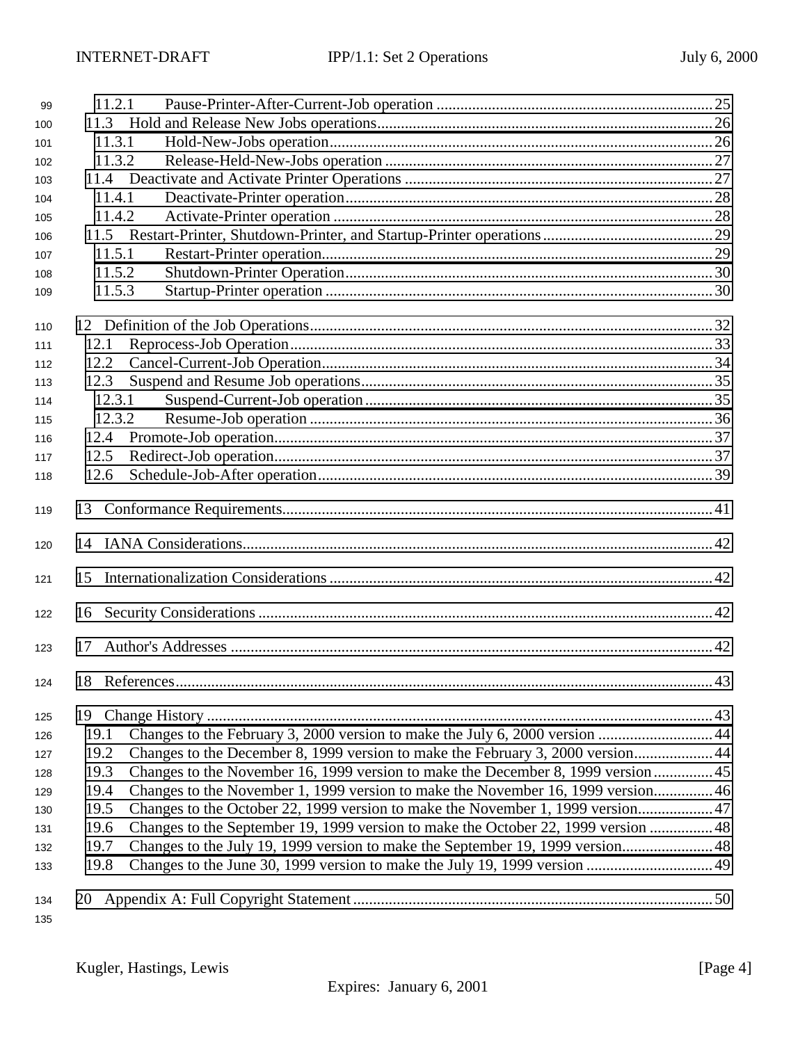| 99         | 11.2.1                                                                                     |  |
|------------|--------------------------------------------------------------------------------------------|--|
| 100        |                                                                                            |  |
| 101        | 11.3.1                                                                                     |  |
| 102        | 11.3.2                                                                                     |  |
| 103        |                                                                                            |  |
| 104        | 11.4.1                                                                                     |  |
| 105        | 11.4.2                                                                                     |  |
| 106        |                                                                                            |  |
| 107        | 11.5.1                                                                                     |  |
| 108        | 11.5.2                                                                                     |  |
| 109        | 11.5.3                                                                                     |  |
| 110        |                                                                                            |  |
| 111        | 12.1                                                                                       |  |
| 112        | 12.2                                                                                       |  |
| 113        | 12.3                                                                                       |  |
| 114        | 12.3.1                                                                                     |  |
| 115        | 12.3.2                                                                                     |  |
| 116        | 12.4                                                                                       |  |
| 117        | 12.5                                                                                       |  |
| 118        | 12.6                                                                                       |  |
| 119        |                                                                                            |  |
| 120        |                                                                                            |  |
| 121        | 15                                                                                         |  |
| 122        |                                                                                            |  |
| 123        | 17                                                                                         |  |
| 124        |                                                                                            |  |
| 125        |                                                                                            |  |
| 126        | 19.1                                                                                       |  |
| 127        | Changes to the December 8, 1999 version to make the February 3, 2000 version 44<br>19.2    |  |
| 128        | Changes to the November 16, 1999 version to make the December 8, 1999 version  45<br>19.3  |  |
| 129        | Changes to the November 1, 1999 version to make the November 16, 1999 version 46<br>19.4   |  |
| 130        | Changes to the October 22, 1999 version to make the November 1, 1999 version 47<br>19.5    |  |
| 131        | Changes to the September 19, 1999 version to make the October 22, 1999 version  48<br>19.6 |  |
| 132        | Changes to the July 19, 1999 version to make the September 19, 1999 version48<br>19.7      |  |
| 133        | 19.8                                                                                       |  |
| 134<br>135 |                                                                                            |  |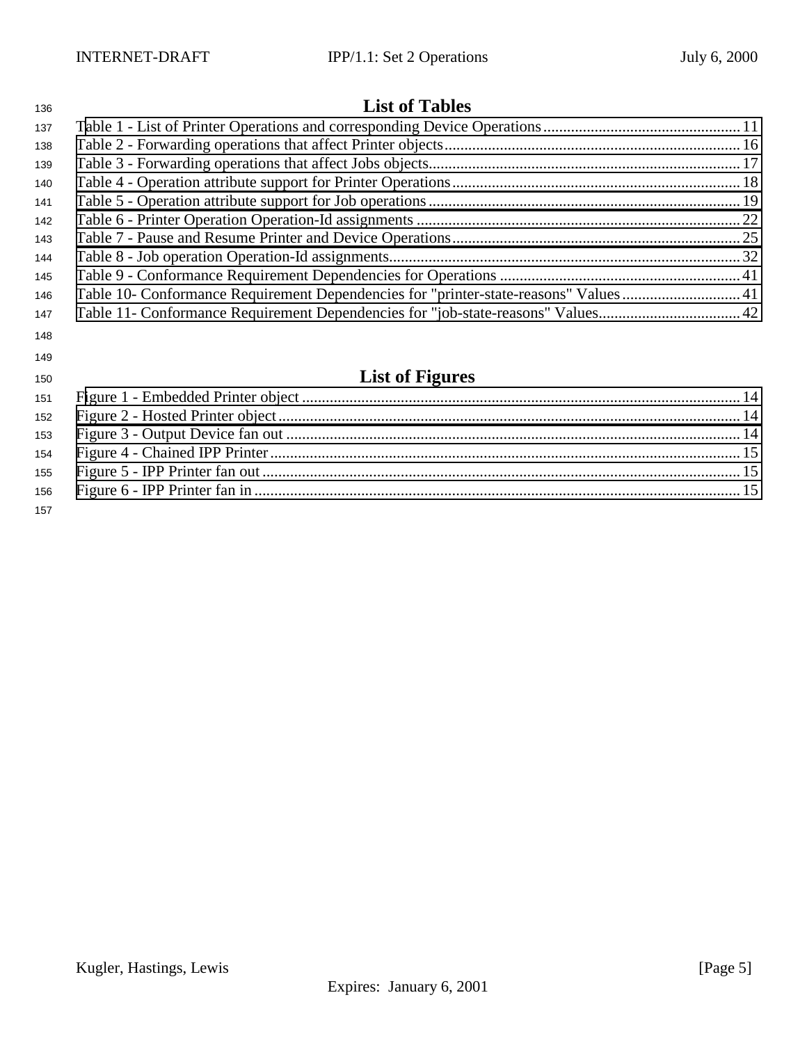# **List of Tables**

| טשו |                                                                                     |  |
|-----|-------------------------------------------------------------------------------------|--|
| 137 |                                                                                     |  |
| 138 |                                                                                     |  |
| 139 |                                                                                     |  |
| 140 |                                                                                     |  |
| 141 |                                                                                     |  |
| 142 |                                                                                     |  |
| 143 |                                                                                     |  |
| 144 |                                                                                     |  |
| 145 |                                                                                     |  |
| 146 | Table 10- Conformance Requirement Dependencies for "printer-state-reasons" Values41 |  |
| 147 |                                                                                     |  |
| 148 |                                                                                     |  |
| 149 |                                                                                     |  |
| 150 | <b>List of Figures</b>                                                              |  |
| 151 |                                                                                     |  |
|     |                                                                                     |  |

|     | $\sim$ , and the state of the state of the state of the state of the state of the state of the state of the state of the state of the state of the state of the state of the state of the state of the state of the state of th |  |
|-----|---------------------------------------------------------------------------------------------------------------------------------------------------------------------------------------------------------------------------------|--|
|     |                                                                                                                                                                                                                                 |  |
|     |                                                                                                                                                                                                                                 |  |
|     |                                                                                                                                                                                                                                 |  |
|     |                                                                                                                                                                                                                                 |  |
|     |                                                                                                                                                                                                                                 |  |
| 157 |                                                                                                                                                                                                                                 |  |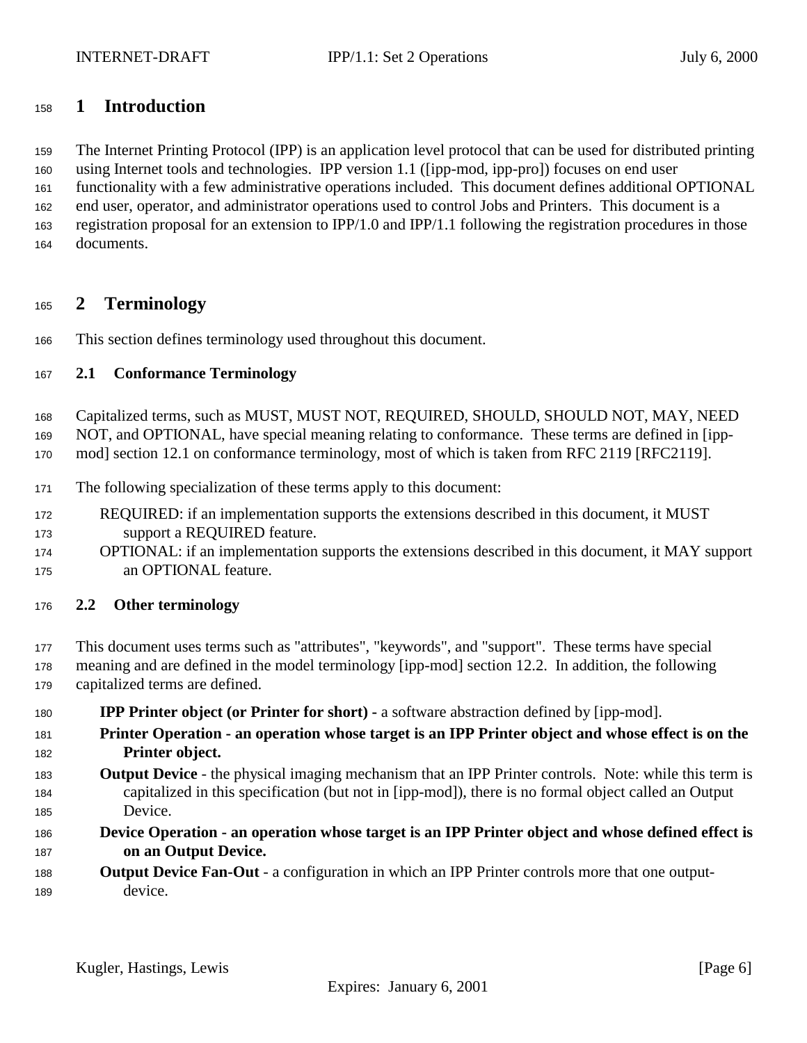# <span id="page-5-0"></span>**1 Introduction**

 The Internet Printing Protocol (IPP) is an application level protocol that can be used for distributed printing using Internet tools and technologies. IPP version 1.1 ([ipp-mod, ipp-pro]) focuses on end user functionality with a few administrative operations included. This document defines additional OPTIONAL end user, operator, and administrator operations used to control Jobs and Printers. This document is a registration proposal for an extension to IPP/1.0 and IPP/1.1 following the registration procedures in those documents.

# **2 Terminology**

This section defines terminology used throughout this document.

# **2.1 Conformance Terminology**

Capitalized terms, such as MUST, MUST NOT, REQUIRED, SHOULD, SHOULD NOT, MAY, NEED

NOT, and OPTIONAL, have special meaning relating to conformance. These terms are defined in [ipp-

mod] section 12.1 on conformance terminology, most of which is taken from RFC 2119 [RFC2119].

- The following specialization of these terms apply to this document:
- REQUIRED: if an implementation supports the extensions described in this document, it MUST support a REQUIRED feature.
- OPTIONAL: if an implementation supports the extensions described in this document, it MAY support an OPTIONAL feature.
- **2.2 Other terminology**
- This document uses terms such as "attributes", "keywords", and "support". These terms have special
- meaning and are defined in the model terminology [ipp-mod] section 12.2. In addition, the following capitalized terms are defined.
- **IPP Printer object (or Printer for short)** a software abstraction defined by [ipp-mod].
- **Printer Operation an operation whose target is an IPP Printer object and whose effect is on the Printer object.**
- **Output Device**  the physical imaging mechanism that an IPP Printer controls. Note: while this term is capitalized in this specification (but not in [ipp-mod]), there is no formal object called an Output Device.
- **Device Operation an operation whose target is an IPP Printer object and whose defined effect is on an Output Device.**
- **Output Device Fan-Out** a configuration in which an IPP Printer controls more that one output-device.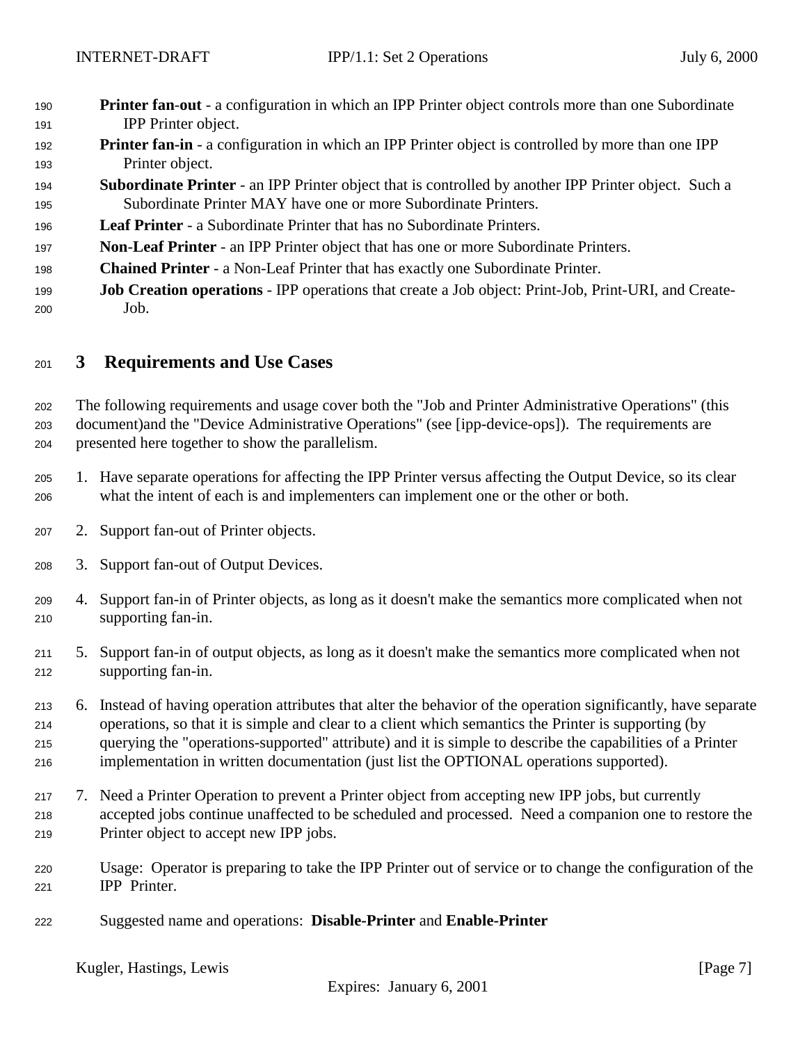- <span id="page-6-0"></span> **Printer fan**-**out** - a configuration in which an IPP Printer object controls more than one Subordinate IPP Printer object.
- **Printer fan-in** a configuration in which an IPP Printer object is controlled by more than one IPP Printer object.
- **Subordinate Printer**  an IPP Printer object that is controlled by another IPP Printer object. Such a Subordinate Printer MAY have one or more Subordinate Printers.
- **Leaf Printer**  a Subordinate Printer that has no Subordinate Printers.
- **Non**-**Leaf Printer** an IPP Printer object that has one or more Subordinate Printers.
- **Chained Printer**  a Non-Leaf Printer that has exactly one Subordinate Printer.
- **Job Creation operations**  IPP operations that create a Job object: Print-Job, Print-URI, and Create-Job.

# **3 Requirements and Use Cases**

 The following requirements and usage cover both the "Job and Printer Administrative Operations" (this document)and the "Device Administrative Operations" (see [ipp-device-ops]). The requirements are presented here together to show the parallelism.

- 1. Have separate operations for affecting the IPP Printer versus affecting the Output Device, so its clear what the intent of each is and implementers can implement one or the other or both.
- 2. Support fan-out of Printer objects.
- 3. Support fan-out of Output Devices.
- 4. Support fan-in of Printer objects, as long as it doesn't make the semantics more complicated when not supporting fan-in.
- 5. Support fan-in of output objects, as long as it doesn't make the semantics more complicated when not supporting fan-in.
- 6. Instead of having operation attributes that alter the behavior of the operation significantly, have separate operations, so that it is simple and clear to a client which semantics the Printer is supporting (by querying the "operations-supported" attribute) and it is simple to describe the capabilities of a Printer implementation in written documentation (just list the OPTIONAL operations supported).
- 7. Need a Printer Operation to prevent a Printer object from accepting new IPP jobs, but currently accepted jobs continue unaffected to be scheduled and processed. Need a companion one to restore the Printer object to accept new IPP jobs.
- Usage: Operator is preparing to take the IPP Printer out of service or to change the configuration of the IPP Printer.
- Suggested name and operations: **Disable-Printer** and **Enable-Printer**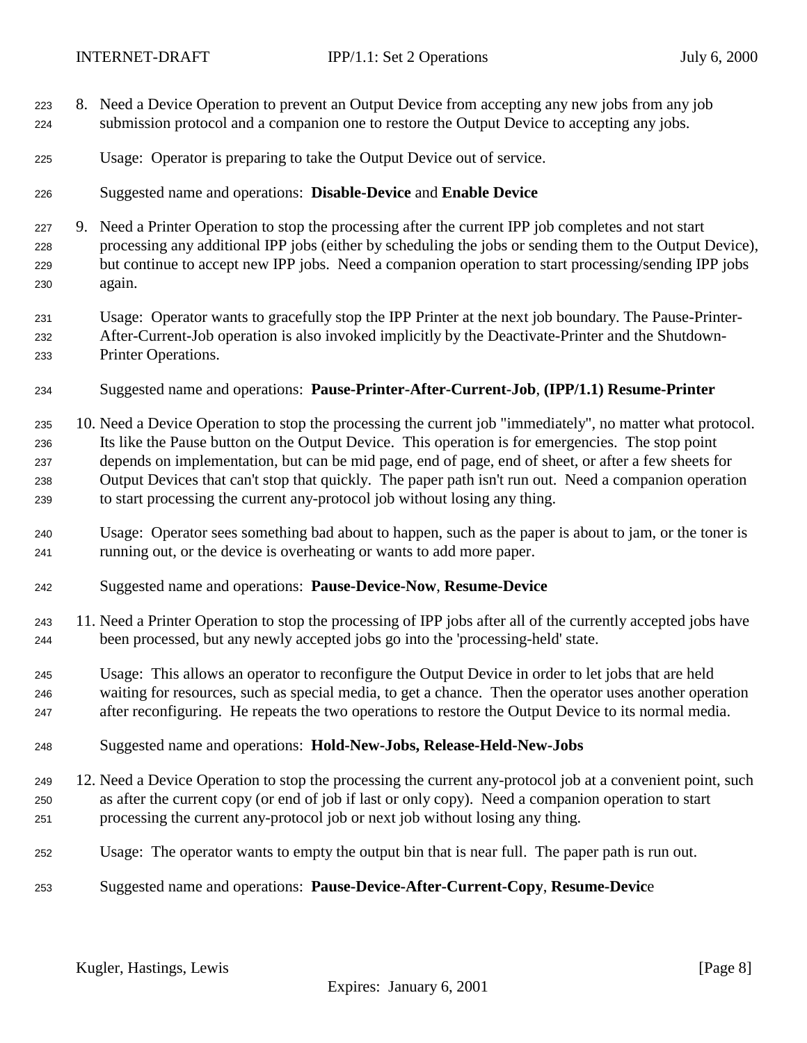- 8. Need a Device Operation to prevent an Output Device from accepting any new jobs from any job submission protocol and a companion one to restore the Output Device to accepting any jobs.
- Usage: Operator is preparing to take the Output Device out of service.
- Suggested name and operations: **Disable-Device** and **Enable Device**
- 9. Need a Printer Operation to stop the processing after the current IPP job completes and not start processing any additional IPP jobs (either by scheduling the jobs or sending them to the Output Device), but continue to accept new IPP jobs. Need a companion operation to start processing/sending IPP jobs again.
- Usage: Operator wants to gracefully stop the IPP Printer at the next job boundary. The Pause-Printer- After-Current-Job operation is also invoked implicitly by the Deactivate-Printer and the Shutdown-Printer Operations.
- Suggested name and operations: **Pause-Printer-After-Current-Job**, **(IPP/1.1) Resume-Printer**
- 10. Need a Device Operation to stop the processing the current job "immediately", no matter what protocol. Its like the Pause button on the Output Device. This operation is for emergencies. The stop point depends on implementation, but can be mid page, end of page, end of sheet, or after a few sheets for Output Devices that can't stop that quickly. The paper path isn't run out. Need a companion operation to start processing the current any-protocol job without losing any thing.
- Usage: Operator sees something bad about to happen, such as the paper is about to jam, or the toner is running out, or the device is overheating or wants to add more paper.
- Suggested name and operations: **Pause-Device-Now**, **Resume-Device**
- 11. Need a Printer Operation to stop the processing of IPP jobs after all of the currently accepted jobs have been processed, but any newly accepted jobs go into the 'processing-held' state.
- Usage: This allows an operator to reconfigure the Output Device in order to let jobs that are held waiting for resources, such as special media, to get a chance. Then the operator uses another operation after reconfiguring. He repeats the two operations to restore the Output Device to its normal media.
- Suggested name and operations: **Hold-New-Jobs, Release-Held-New-Jobs**
- 12. Need a Device Operation to stop the processing the current any-protocol job at a convenient point, such as after the current copy (or end of job if last or only copy). Need a companion operation to start processing the current any-protocol job or next job without losing any thing.
- Usage: The operator wants to empty the output bin that is near full. The paper path is run out.
- Suggested name and operations: **Pause-Device-After-Current-Copy**, **Resume-Devic**e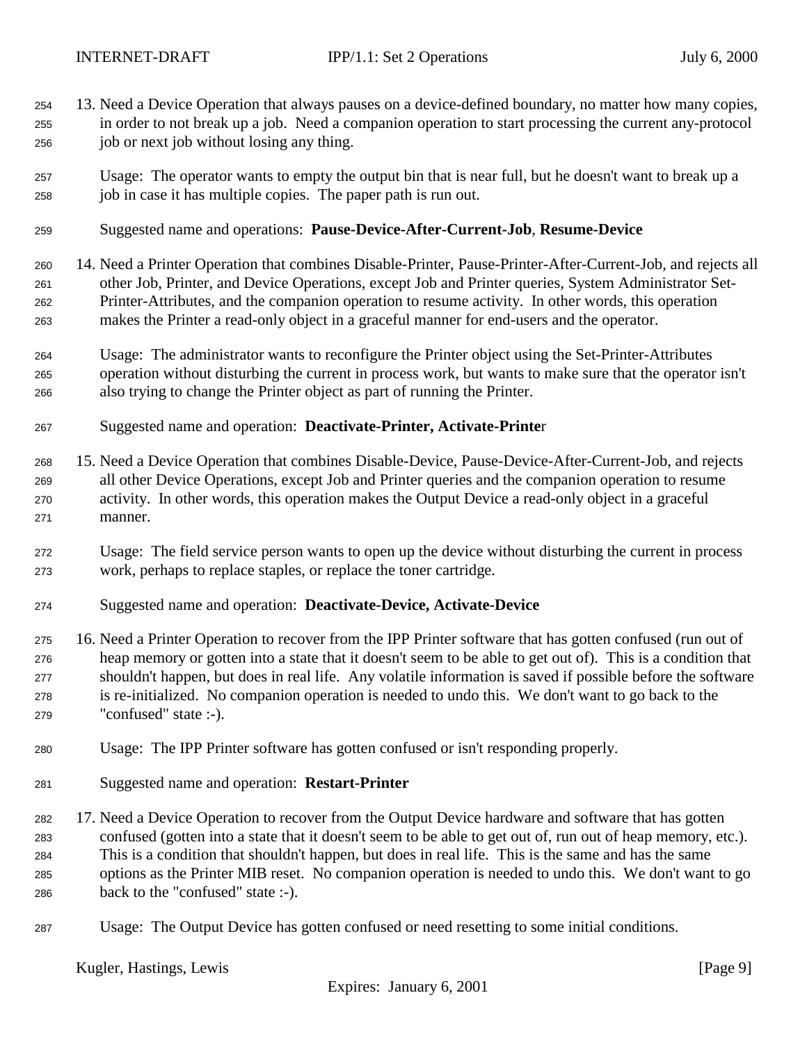- 13. Need a Device Operation that always pauses on a device-defined boundary, no matter how many copies, in order to not break up a job. Need a companion operation to start processing the current any-protocol job or next job without losing any thing.
- Usage: The operator wants to empty the output bin that is near full, but he doesn't want to break up a job in case it has multiple copies. The paper path is run out.
- Suggested name and operations: **Pause-Device-After-Current-Job**, **Resume-Device**
- 14. Need a Printer Operation that combines Disable-Printer, Pause-Printer-After-Current-Job, and rejects all other Job, Printer, and Device Operations, except Job and Printer queries, System Administrator Set- Printer-Attributes, and the companion operation to resume activity. In other words, this operation makes the Printer a read-only object in a graceful manner for end-users and the operator.
- Usage: The administrator wants to reconfigure the Printer object using the Set-Printer-Attributes operation without disturbing the current in process work, but wants to make sure that the operator isn't also trying to change the Printer object as part of running the Printer.
- Suggested name and operation: **Deactivate-Printer, Activate-Printe**r
- 15. Need a Device Operation that combines Disable-Device, Pause-Device-After-Current-Job, and rejects all other Device Operations, except Job and Printer queries and the companion operation to resume activity. In other words, this operation makes the Output Device a read-only object in a graceful manner.
- Usage: The field service person wants to open up the device without disturbing the current in process work, perhaps to replace staples, or replace the toner cartridge.
- Suggested name and operation: **Deactivate-Device, Activate-Device**
- 16. Need a Printer Operation to recover from the IPP Printer software that has gotten confused (run out of heap memory or gotten into a state that it doesn't seem to be able to get out of). This is a condition that shouldn't happen, but does in real life. Any volatile information is saved if possible before the software is re-initialized. No companion operation is needed to undo this. We don't want to go back to the "confused" state :-).
- Usage: The IPP Printer software has gotten confused or isn't responding properly.
- Suggested name and operation: **Restart-Printer**
- 17. Need a Device Operation to recover from the Output Device hardware and software that has gotten confused (gotten into a state that it doesn't seem to be able to get out of, run out of heap memory, etc.). This is a condition that shouldn't happen, but does in real life. This is the same and has the same options as the Printer MIB reset. No companion operation is needed to undo this. We don't want to go back to the "confused" state :-).
- Usage: The Output Device has gotten confused or need resetting to some initial conditions.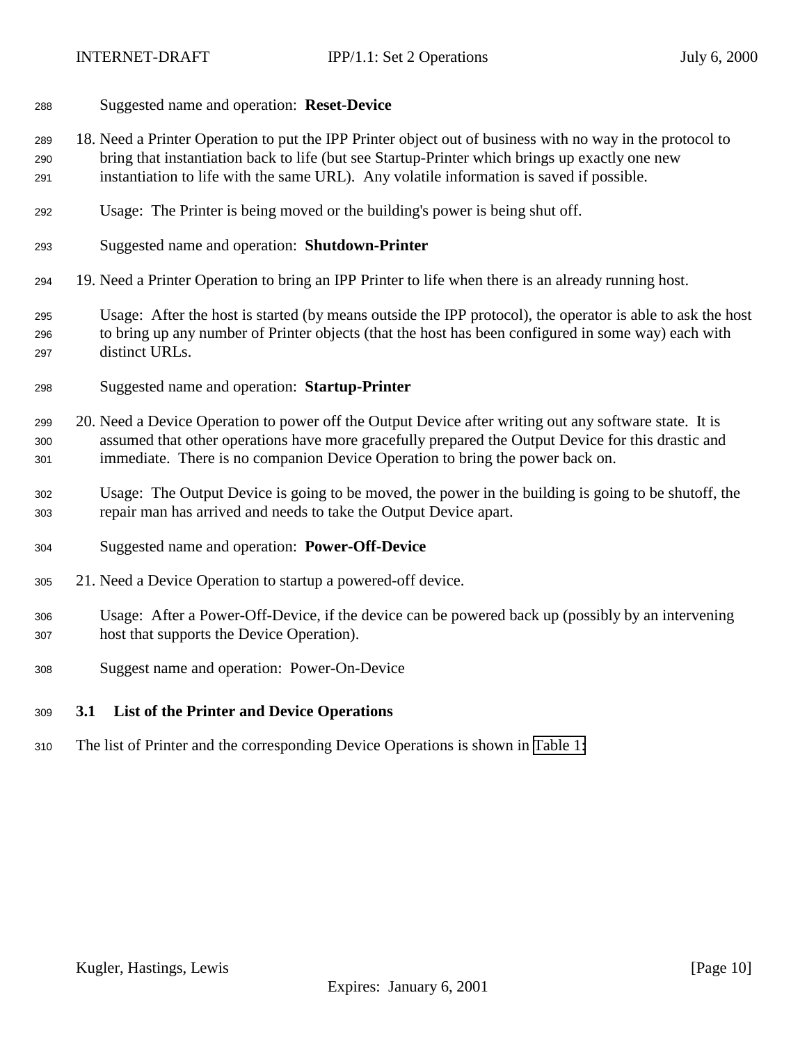#### <span id="page-9-0"></span>Suggested name and operation: **Reset-Device**

- 18. Need a Printer Operation to put the IPP Printer object out of business with no way in the protocol to bring that instantiation back to life (but see Startup-Printer which brings up exactly one new instantiation to life with the same URL). Any volatile information is saved if possible.
- Usage: The Printer is being moved or the building's power is being shut off.
- Suggested name and operation: **Shutdown-Printer**
- 19. Need a Printer Operation to bring an IPP Printer to life when there is an already running host.
- Usage: After the host is started (by means outside the IPP protocol), the operator is able to ask the host to bring up any number of Printer objects (that the host has been configured in some way) each with distinct URLs.
- Suggested name and operation: **Startup-Printer**
- 20. Need a Device Operation to power off the Output Device after writing out any software state. It is assumed that other operations have more gracefully prepared the Output Device for this drastic and immediate. There is no companion Device Operation to bring the power back on.
- Usage: The Output Device is going to be moved, the power in the building is going to be shutoff, the repair man has arrived and needs to take the Output Device apart.
- Suggested name and operation: **Power-Off-Device**
- 21. Need a Device Operation to startup a powered-off device.
- Usage: After a Power-Off-Device, if the device can be powered back up (possibly by an intervening host that supports the Device Operation).
- Suggest name and operation: Power-On-Device

#### **3.1 List of the Printer and Device Operations**

The list of Printer and the corresponding Device Operations is shown in [Table 1:](#page-10-0)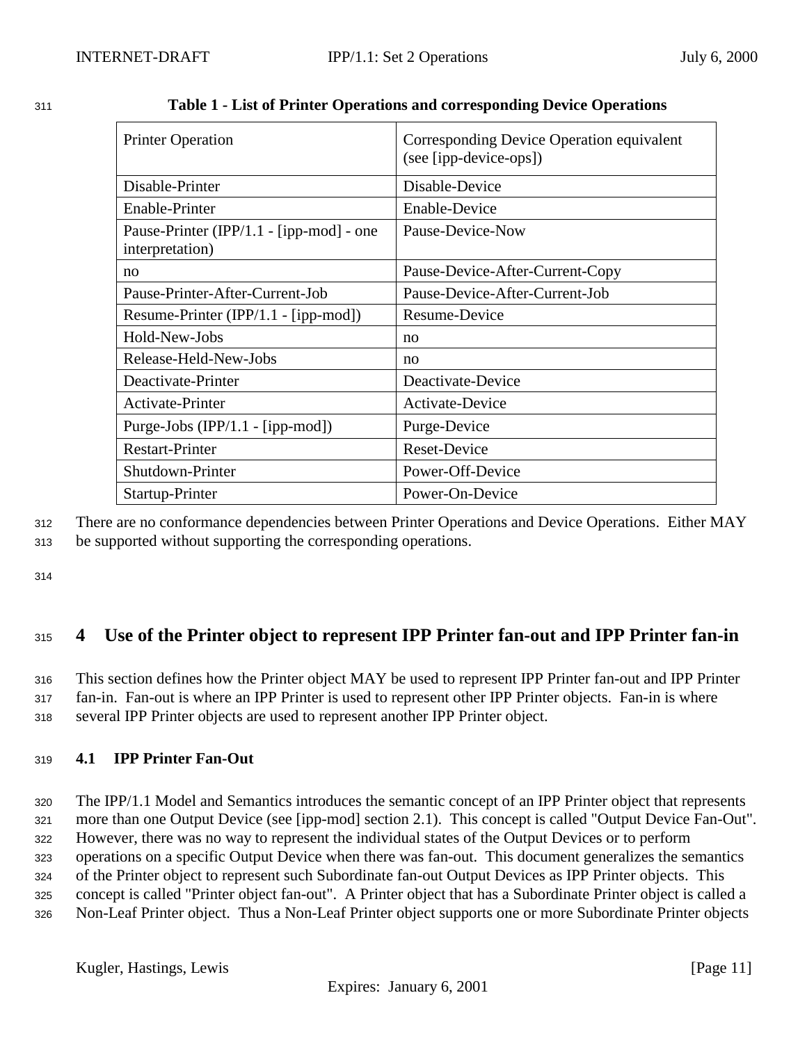| <b>Printer Operation</b>                                    | Corresponding Device Operation equivalent<br>(see [ipp-device-ops]) |
|-------------------------------------------------------------|---------------------------------------------------------------------|
| Disable-Printer                                             | Disable-Device                                                      |
| Enable-Printer                                              | <b>Enable-Device</b>                                                |
| Pause-Printer (IPP/1.1 - [ipp-mod] - one<br>interpretation) | Pause-Device-Now                                                    |
| no                                                          | Pause-Device-After-Current-Copy                                     |
| Pause-Printer-After-Current-Job                             | Pause-Device-After-Current-Job                                      |
| Resume-Printer (IPP/1.1 - [ipp-mod])                        | Resume-Device                                                       |
| Hold-New-Jobs                                               | no                                                                  |
| Release-Held-New-Jobs                                       | no                                                                  |
| Deactivate-Printer                                          | Deactivate-Device                                                   |
| Activate-Printer                                            | Activate-Device                                                     |
| Purge-Jobs (IPP/1.1 - [ipp-mod])                            | Purge-Device                                                        |
| <b>Restart-Printer</b>                                      | <b>Reset-Device</b>                                                 |
| Shutdown-Printer                                            | Power-Off-Device                                                    |
| Startup-Printer                                             | Power-On-Device                                                     |

<span id="page-10-0"></span>

| 311 |  | Table 1 - List of Printer Operations and corresponding Device Operations |
|-----|--|--------------------------------------------------------------------------|
|     |  |                                                                          |

<sup>312</sup> There are no conformance dependencies between Printer Operations and Device Operations. Either MAY

<sup>313</sup> be supported without supporting the corresponding operations.

314

# <sup>315</sup> **4 Use of the Printer object to represent IPP Printer fan-out and IPP Printer fan-in**

<sup>316</sup> This section defines how the Printer object MAY be used to represent IPP Printer fan-out and IPP Printer <sup>317</sup> fan-in. Fan-out is where an IPP Printer is used to represent other IPP Printer objects. Fan-in is where <sup>318</sup> several IPP Printer objects are used to represent another IPP Printer object.

# <sup>319</sup> **4.1 IPP Printer Fan-Out**

 The IPP/1.1 Model and Semantics introduces the semantic concept of an IPP Printer object that represents more than one Output Device (see [ipp-mod] section 2.1). This concept is called "Output Device Fan-Out". However, there was no way to represent the individual states of the Output Devices or to perform operations on a specific Output Device when there was fan-out. This document generalizes the semantics of the Printer object to represent such Subordinate fan-out Output Devices as IPP Printer objects. This concept is called "Printer object fan-out". A Printer object that has a Subordinate Printer object is called a Non-Leaf Printer object. Thus a Non-Leaf Printer object supports one or more Subordinate Printer objects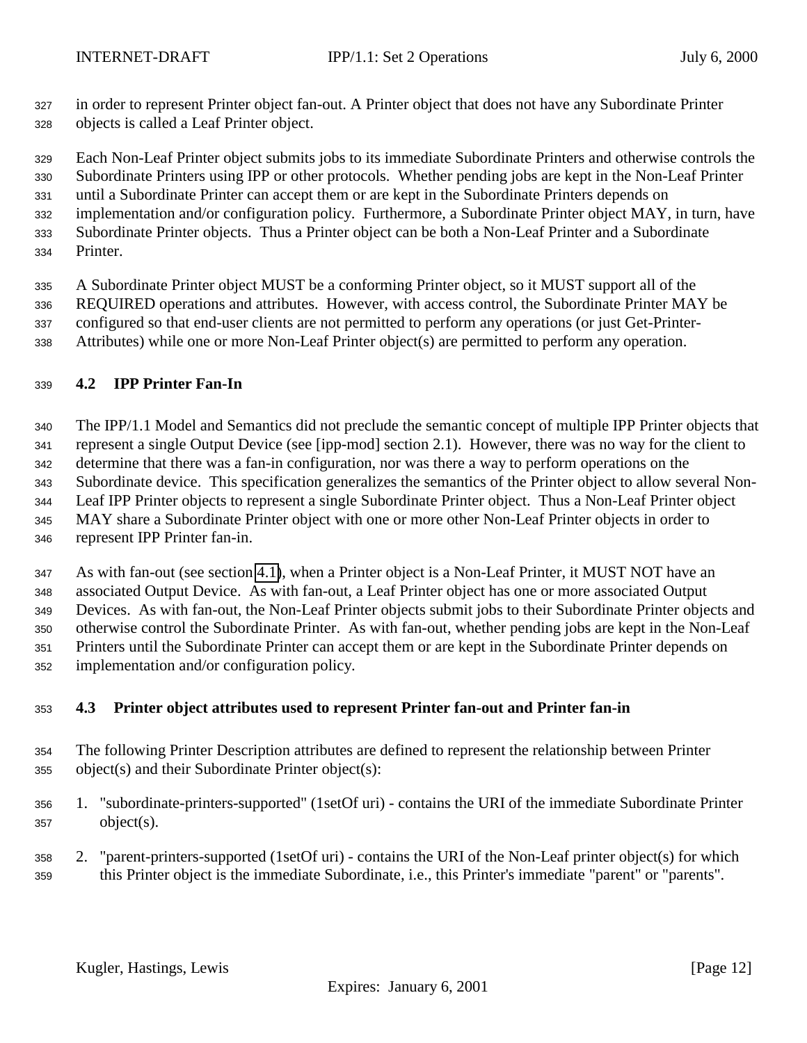<span id="page-11-0"></span> in order to represent Printer object fan-out. A Printer object that does not have any Subordinate Printer objects is called a Leaf Printer object.

Each Non-Leaf Printer object submits jobs to its immediate Subordinate Printers and otherwise controls the

 Subordinate Printers using IPP or other protocols. Whether pending jobs are kept in the Non-Leaf Printer until a Subordinate Printer can accept them or are kept in the Subordinate Printers depends on

- implementation and/or configuration policy. Furthermore, a Subordinate Printer object MAY, in turn, have
- Subordinate Printer objects. Thus a Printer object can be both a Non-Leaf Printer and a Subordinate
- Printer.

 A Subordinate Printer object MUST be a conforming Printer object, so it MUST support all of the REQUIRED operations and attributes. However, with access control, the Subordinate Printer MAY be configured so that end-user clients are not permitted to perform any operations (or just Get-Printer-Attributes) while one or more Non-Leaf Printer object(s) are permitted to perform any operation.

# **4.2 IPP Printer Fan-In**

 The IPP/1.1 Model and Semantics did not preclude the semantic concept of multiple IPP Printer objects that represent a single Output Device (see [ipp-mod] section 2.1). However, there was no way for the client to determine that there was a fan-in configuration, nor was there a way to perform operations on the Subordinate device. This specification generalizes the semantics of the Printer object to allow several Non- Leaf IPP Printer objects to represent a single Subordinate Printer object. Thus a Non-Leaf Printer object MAY share a Subordinate Printer object with one or more other Non-Leaf Printer objects in order to represent IPP Printer fan-in.

 As with fan-out (see section [4.1\)](#page-10-0), when a Printer object is a Non-Leaf Printer, it MUST NOT have an associated Output Device. As with fan-out, a Leaf Printer object has one or more associated Output Devices. As with fan-out, the Non-Leaf Printer objects submit jobs to their Subordinate Printer objects and otherwise control the Subordinate Printer. As with fan-out, whether pending jobs are kept in the Non-Leaf Printers until the Subordinate Printer can accept them or are kept in the Subordinate Printer depends on implementation and/or configuration policy.

# **4.3 Printer object attributes used to represent Printer fan-out and Printer fan-in**

- The following Printer Description attributes are defined to represent the relationship between Printer object(s) and their Subordinate Printer object(s):
- 1. "subordinate-printers-supported" (1setOf uri) contains the URI of the immediate Subordinate Printer object(s).
- 2. "parent-printers-supported (1setOf uri) contains the URI of the Non-Leaf printer object(s) for which this Printer object is the immediate Subordinate, i.e., this Printer's immediate "parent" or "parents".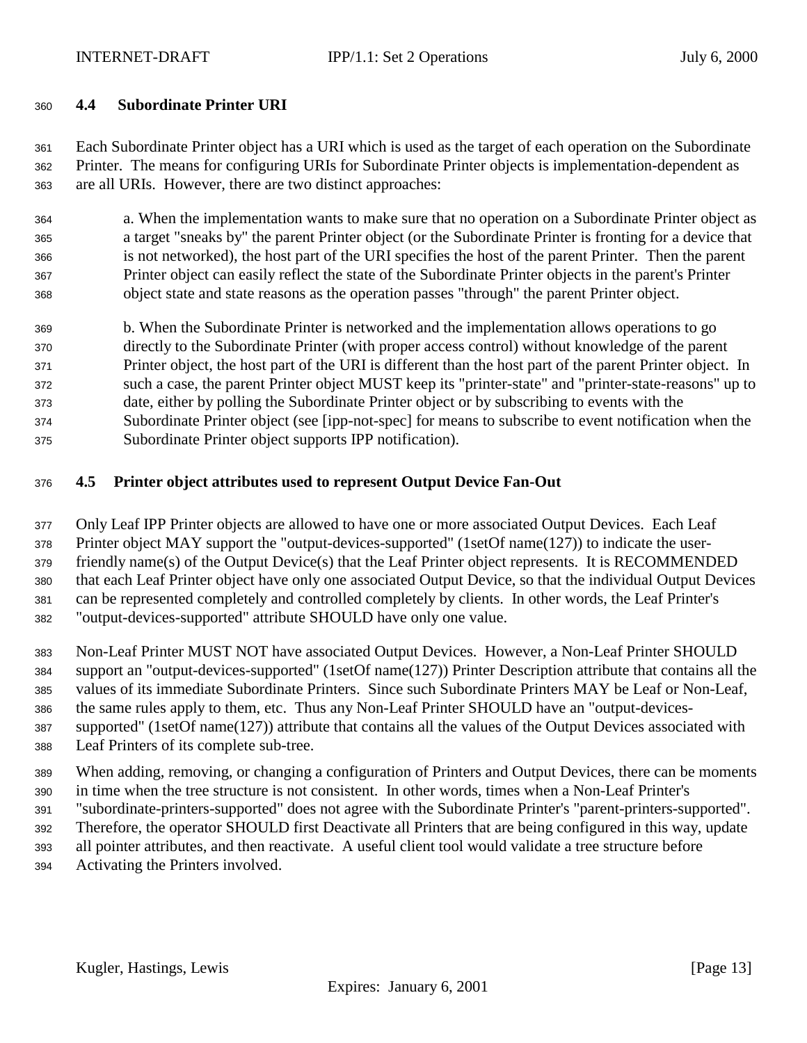<span id="page-12-0"></span>

## **4.4 Subordinate Printer URI**

 Each Subordinate Printer object has a URI which is used as the target of each operation on the Subordinate Printer. The means for configuring URIs for Subordinate Printer objects is implementation-dependent as are all URIs. However, there are two distinct approaches:

 a. When the implementation wants to make sure that no operation on a Subordinate Printer object as a target "sneaks by" the parent Printer object (or the Subordinate Printer is fronting for a device that is not networked), the host part of the URI specifies the host of the parent Printer. Then the parent Printer object can easily reflect the state of the Subordinate Printer objects in the parent's Printer object state and state reasons as the operation passes "through" the parent Printer object.

 b. When the Subordinate Printer is networked and the implementation allows operations to go directly to the Subordinate Printer (with proper access control) without knowledge of the parent Printer object, the host part of the URI is different than the host part of the parent Printer object. In such a case, the parent Printer object MUST keep its "printer-state" and "printer-state-reasons" up to date, either by polling the Subordinate Printer object or by subscribing to events with the Subordinate Printer object (see [ipp-not-spec] for means to subscribe to event notification when the Subordinate Printer object supports IPP notification).

# **4.5 Printer object attributes used to represent Output Device Fan-Out**

 Only Leaf IPP Printer objects are allowed to have one or more associated Output Devices. Each Leaf Printer object MAY support the "output-devices-supported" (1setOf name(127)) to indicate the user- friendly name(s) of the Output Device(s) that the Leaf Printer object represents. It is RECOMMENDED that each Leaf Printer object have only one associated Output Device, so that the individual Output Devices can be represented completely and controlled completely by clients. In other words, the Leaf Printer's "output-devices-supported" attribute SHOULD have only one value.

 Non-Leaf Printer MUST NOT have associated Output Devices. However, a Non-Leaf Printer SHOULD support an "output-devices-supported" (1setOf name(127)) Printer Description attribute that contains all the values of its immediate Subordinate Printers. Since such Subordinate Printers MAY be Leaf or Non-Leaf, the same rules apply to them, etc. Thus any Non-Leaf Printer SHOULD have an "output-devices- supported" (1setOf name(127)) attribute that contains all the values of the Output Devices associated with Leaf Printers of its complete sub-tree.

 When adding, removing, or changing a configuration of Printers and Output Devices, there can be moments in time when the tree structure is not consistent. In other words, times when a Non-Leaf Printer's

- "subordinate-printers-supported" does not agree with the Subordinate Printer's "parent-printers-supported".
- Therefore, the operator SHOULD first Deactivate all Printers that are being configured in this way, update
- all pointer attributes, and then reactivate. A useful client tool would validate a tree structure before
- Activating the Printers involved.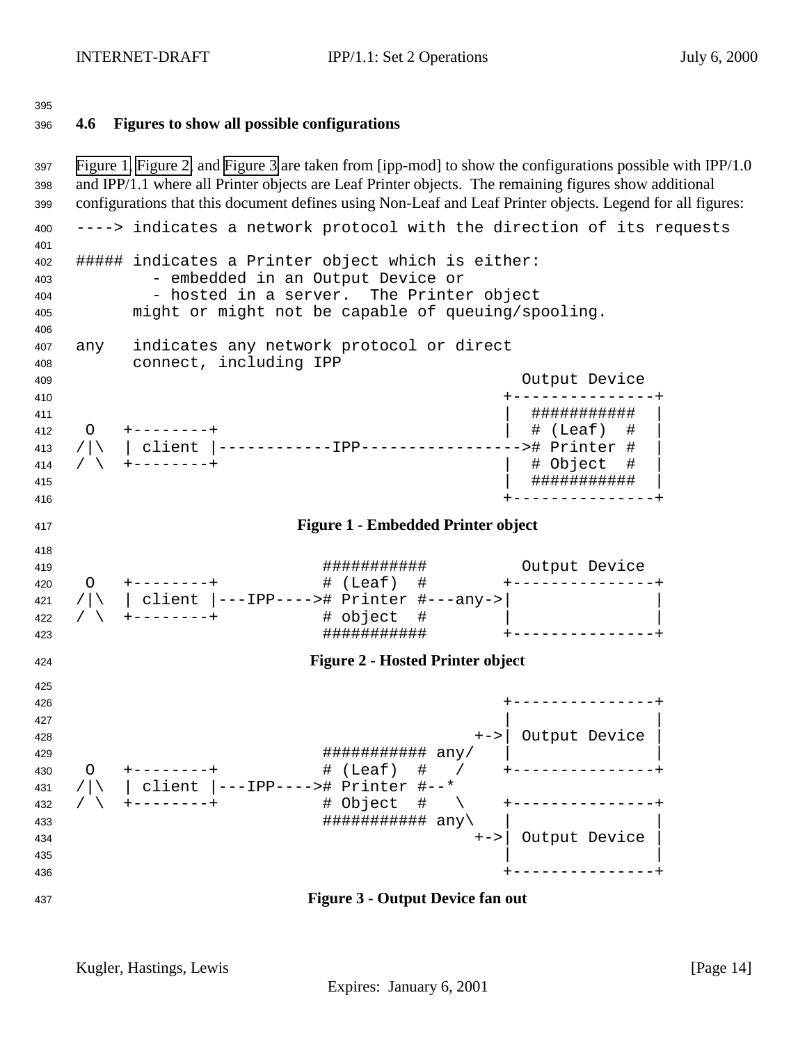## <span id="page-13-0"></span>**4.6 Figures to show all possible configurations**

 Figure 1, Figure 2, and Figure 3 are taken from [ipp-mod] to show the configurations possible with IPP/1.0 and IPP/1.1 where all Printer objects are Leaf Printer objects. The remaining figures show additional configurations that this document defines using Non-Leaf and Leaf Printer objects. Legend for all figures: ----> indicates a network protocol with the direction of its requests ##### indicates a Printer object which is either: - embedded in an Output Device or 404 - hosted in a server. The Printer object might or might not be capable of queuing/spooling. any indicates any network protocol or direct connect, including IPP Output Device +---------------+ | ########### | O +--------+ | # (Leaf) # | /|\ | client |------------IPP-----------------># Printer # | / \ +--------+ | # Object # | | ########### | +---------------+ **Figure 1 - Embedded Printer object** ########### Output Device O +--------+ # (Leaf) # +---------------+ /|\ | client |---IPP----># Printer #---any->| | 422 / \ +-------+ ########### +---------------+ **Figure 2 - Hosted Printer object** +---------------+  $\overline{a}$   $\overline{a}$   $\overline{a}$   $\overline{a}$   $\overline{a}$   $\overline{a}$   $\overline{a}$   $\overline{a}$   $\overline{a}$   $\overline{a}$   $\overline{a}$   $\overline{a}$   $\overline{a}$   $\overline{a}$   $\overline{a}$   $\overline{a}$   $\overline{a}$   $\overline{a}$   $\overline{a}$   $\overline{a}$   $\overline{a}$   $\overline{a}$   $\overline{a}$   $\overline{a}$   $\overline{$  +->| Output Device | ########### any/ | | O +--------+ # (Leaf) # / +---------------+ /|\ | client |---IPP----># Printer #--\* / \ +--------+ # Object # \ +---------------+  $\texttt{433} \hspace{2.5cm} \texttt{#}\texttt{#}\texttt{#}\texttt{#}\texttt{#}\texttt{#}\texttt{#} \texttt{ #} \texttt{ #} \texttt{ #} \texttt{ and } \texttt{?} \textcolor{red}{\textbf{1}} \texttt{ } \texttt{433} \texttt{ }$  +->| Output Device |  $\vert$  435  $\vert$  +---------------+ **Figure 3 - Output Device fan out**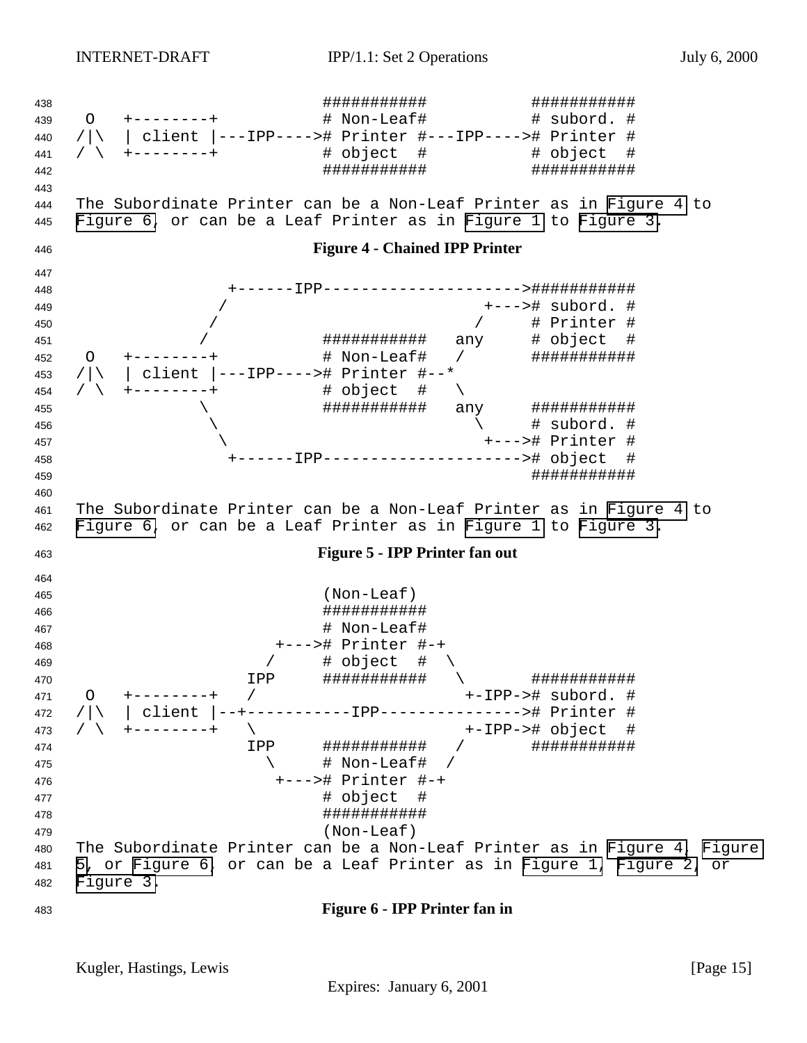<span id="page-14-0"></span> ########### ########### O +--------+ # Non-Leaf# # subord. # /|\ | client |---IPP----># Printer #---IPP----># Printer # / \ +--------+ # object # # object # ########### ########### The Subordinate Printer can be a Non-Leaf Printer as in Figure 4 to Figure 6, or can be a Leaf Printer as in [Figure 1](#page-13-0) to [Figure 3.](#page-13-0) **Figure 4 - Chained IPP Printer** +------IPP--------------------->########### / +---># subord. # / / # Printer # / ########### any # object # 452 O +--------+ # Non-Leaf# / ############# /|\ | client |---IPP----># Printer #--\* / \ +--------+ # object # \ \ ########### any ###########  $\qquad \qquad \backslash$   $\qquad \qquad \rightarrow$   $\qquad \qquad \rightarrow$   $\qquad \qquad \rightarrow$   $\qquad \qquad \rightarrow$   $\qquad \qquad \rightarrow$   $\qquad \qquad \rightarrow$   $\qquad \qquad \rightarrow$   $\qquad \qquad \rightarrow$   $\qquad \qquad \rightarrow$   $\qquad \qquad \rightarrow$   $\qquad \qquad \rightarrow$   $\qquad \qquad \rightarrow$   $\qquad \qquad \rightarrow$   $\qquad \qquad \rightarrow$   $\qquad \qquad \rightarrow$   $\qquad \qquad \rightarrow$   $\qquad \qquad \rightarrow$   $\qquad \qquad \rightarrow$   $\qquad \qquad$  \ +---># Printer # +------IPP---------------------># object # ########### The Subordinate Printer can be a Non-Leaf Printer as in Figure 4 to Figure 6, or can be a Leaf Printer as in [Figure 1](#page-13-0) to [Figure 3.](#page-13-0) **Figure 5 - IPP Printer fan out** (Non-Leaf) ########### # Non-Leaf# +---># Printer #-+ 469 / # object #  $\setminus$  IPP ########### \ ########### O +--------+ / +-IPP-># subord. # 472 / | \ | client |--+------------IPP---------------># Printer #<br>479 / \ +--------+ \ +-TPP-># object # / \ +--------+ \ +-IPP-># object # IPP ########### / ###########  $\left\{\begin{array}{ccc} & & \ + & \text{Non-Leaf} & / \end{array}\right.$  +---># Printer #-+ **# object** # ########### (Non-Leaf) The Subordinate Printer can be a Non-Leaf Printer as in Figure 4, Figure 5, or Figure 6, or can be a Leaf Printer as in [Figure 1,](#page-13-0) [Figure 2,](#page-13-0) or [Figure 3.](#page-13-0) **Figure 6 - IPP Printer fan in**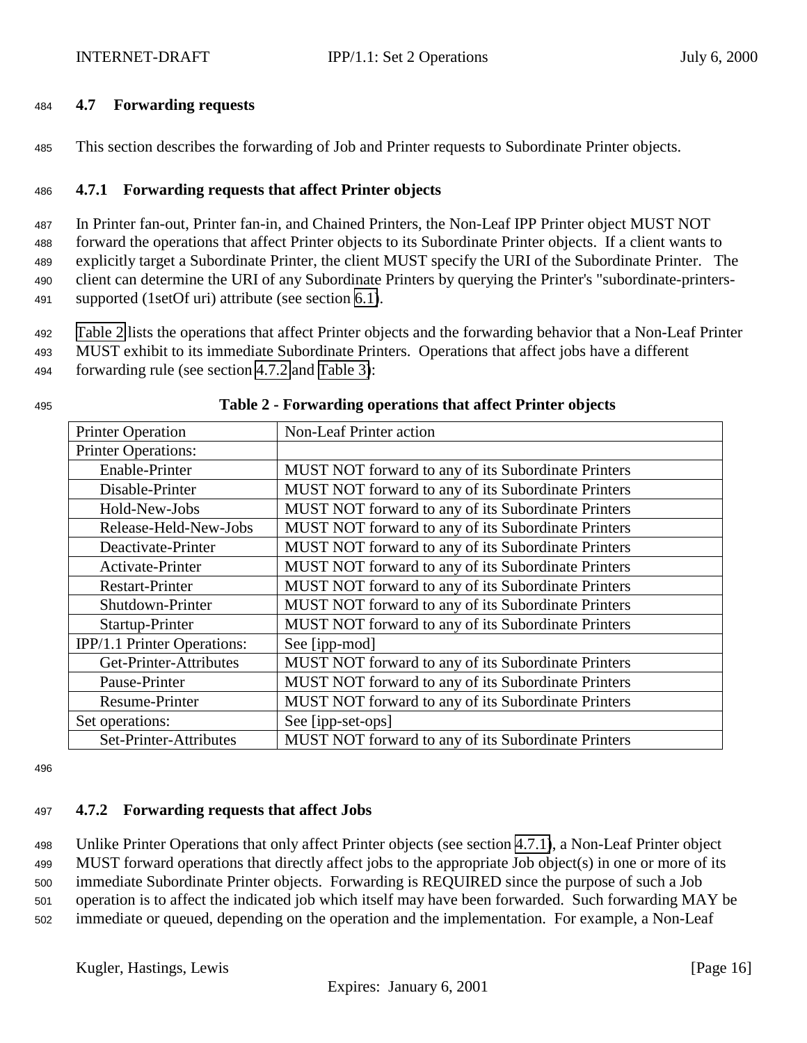#### <span id="page-15-0"></span><sup>484</sup> **4.7 Forwarding requests**

<sup>485</sup> This section describes the forwarding of Job and Printer requests to Subordinate Printer objects.

## <sup>486</sup> **4.7.1 Forwarding requests that affect Printer objects**

 In Printer fan-out, Printer fan-in, and Chained Printers, the Non-Leaf IPP Printer object MUST NOT forward the operations that affect Printer objects to its Subordinate Printer objects. If a client wants to explicitly target a Subordinate Printer, the client MUST specify the URI of the Subordinate Printer. The client can determine the URI of any Subordinate Printers by querying the Printer's "subordinate-printers-supported (1setOf uri) attribute (see section [6.1\)](#page-19-0).

<sup>492</sup> Table 2 lists the operations that affect Printer objects and the forwarding behavior that a Non-Leaf Printer

<sup>493</sup> MUST exhibit to its immediate Subordinate Printers. Operations that affect jobs have a different

<sup>494</sup> forwarding rule (see section 4.7.2 and [Table 3\)](#page-16-0):

| <b>Printer Operation</b>    | Non-Leaf Printer action                             |
|-----------------------------|-----------------------------------------------------|
| <b>Printer Operations:</b>  |                                                     |
| Enable-Printer              | MUST NOT forward to any of its Subordinate Printers |
| Disable-Printer             | MUST NOT forward to any of its Subordinate Printers |
| Hold-New-Jobs               | MUST NOT forward to any of its Subordinate Printers |
| Release-Held-New-Jobs       | MUST NOT forward to any of its Subordinate Printers |
| Deactivate-Printer          | MUST NOT forward to any of its Subordinate Printers |
| Activate-Printer            | MUST NOT forward to any of its Subordinate Printers |
| <b>Restart-Printer</b>      | MUST NOT forward to any of its Subordinate Printers |
| Shutdown-Printer            | MUST NOT forward to any of its Subordinate Printers |
| Startup-Printer             | MUST NOT forward to any of its Subordinate Printers |
| IPP/1.1 Printer Operations: | See [ipp-mod]                                       |
| Get-Printer-Attributes      | MUST NOT forward to any of its Subordinate Printers |
| Pause-Printer               | MUST NOT forward to any of its Subordinate Printers |
| Resume-Printer              | MUST NOT forward to any of its Subordinate Printers |
| Set operations:             | See [ipp-set-ops]                                   |
| Set-Printer-Attributes      | MUST NOT forward to any of its Subordinate Printers |

#### <sup>495</sup> **Table 2 - Forwarding operations that affect Printer objects**

496

#### <sup>497</sup> **4.7.2 Forwarding requests that affect Jobs**

 Unlike Printer Operations that only affect Printer objects (see section 4.7.1), a Non-Leaf Printer object MUST forward operations that directly affect jobs to the appropriate Job object(s) in one or more of its immediate Subordinate Printer objects. Forwarding is REQUIRED since the purpose of such a Job operation is to affect the indicated job which itself may have been forwarded. Such forwarding MAY be immediate or queued, depending on the operation and the implementation. For example, a Non-Leaf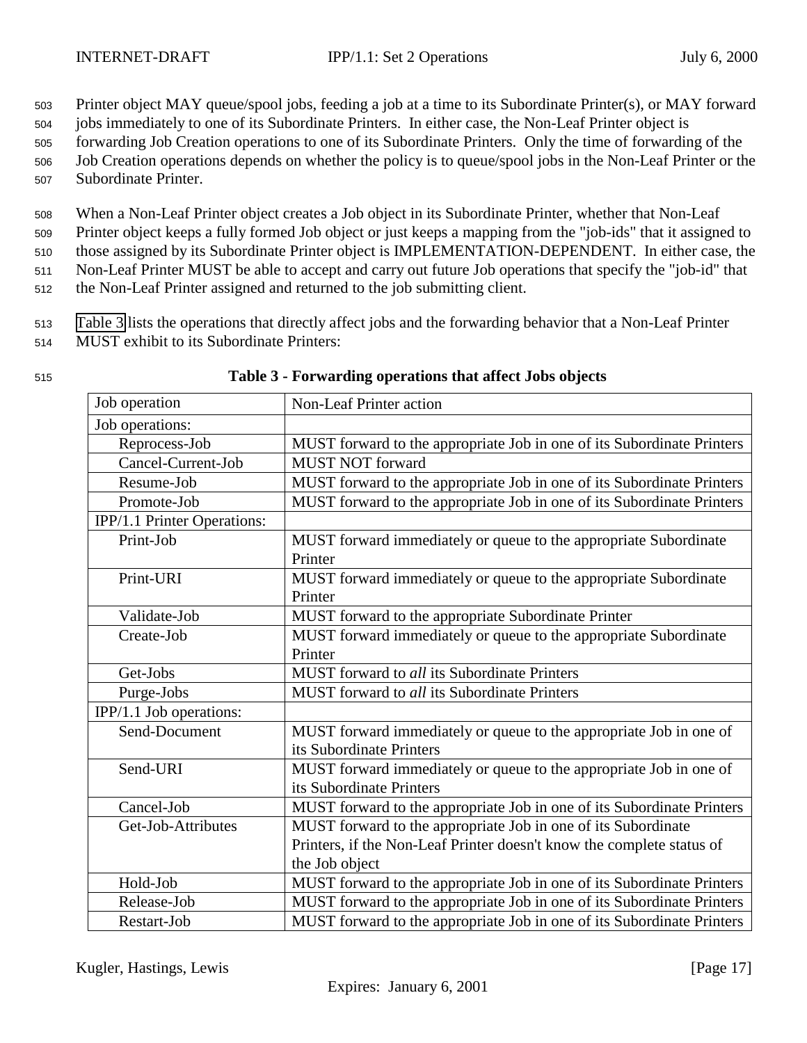<span id="page-16-0"></span><sup>503</sup> Printer object MAY queue/spool jobs, feeding a job at a time to its Subordinate Printer(s), or MAY forward

<sup>504</sup> jobs immediately to one of its Subordinate Printers. In either case, the Non-Leaf Printer object is

<sup>505</sup> forwarding Job Creation operations to one of its Subordinate Printers. Only the time of forwarding of the

<sup>506</sup> Job Creation operations depends on whether the policy is to queue/spool jobs in the Non-Leaf Printer or the <sup>507</sup> Subordinate Printer.

<sup>508</sup> When a Non-Leaf Printer object creates a Job object in its Subordinate Printer, whether that Non-Leaf

<sup>509</sup> Printer object keeps a fully formed Job object or just keeps a mapping from the "job-ids" that it assigned to

<sup>510</sup> those assigned by its Subordinate Printer object is IMPLEMENTATION-DEPENDENT. In either case, the

<sup>511</sup> Non-Leaf Printer MUST be able to accept and carry out future Job operations that specify the "job-id" that

<sup>512</sup> the Non-Leaf Printer assigned and returned to the job submitting client.

<sup>513</sup> Table 3 lists the operations that directly affect jobs and the forwarding behavior that a Non-Leaf Printer

<sup>514</sup> MUST exhibit to its Subordinate Printers:

| Job operation               | Non-Leaf Printer action                                                |
|-----------------------------|------------------------------------------------------------------------|
| Job operations:             |                                                                        |
| Reprocess-Job               | MUST forward to the appropriate Job in one of its Subordinate Printers |
| Cancel-Current-Job          | <b>MUST NOT forward</b>                                                |
| Resume-Job                  | MUST forward to the appropriate Job in one of its Subordinate Printers |
| Promote-Job                 | MUST forward to the appropriate Job in one of its Subordinate Printers |
| IPP/1.1 Printer Operations: |                                                                        |
| Print-Job                   | MUST forward immediately or queue to the appropriate Subordinate       |
|                             | Printer                                                                |
| Print-URI                   | MUST forward immediately or queue to the appropriate Subordinate       |
|                             | Printer                                                                |
| Validate-Job                | MUST forward to the appropriate Subordinate Printer                    |
| Create-Job                  | MUST forward immediately or queue to the appropriate Subordinate       |
|                             | Printer                                                                |
| Get-Jobs                    | MUST forward to all its Subordinate Printers                           |
| Purge-Jobs                  | MUST forward to all its Subordinate Printers                           |
| IPP/1.1 Job operations:     |                                                                        |
| Send-Document               | MUST forward immediately or queue to the appropriate Job in one of     |
|                             | its Subordinate Printers                                               |
| Send-URI                    | MUST forward immediately or queue to the appropriate Job in one of     |
|                             | its Subordinate Printers                                               |
| Cancel-Job                  | MUST forward to the appropriate Job in one of its Subordinate Printers |
| Get-Job-Attributes          | MUST forward to the appropriate Job in one of its Subordinate          |
|                             | Printers, if the Non-Leaf Printer doesn't know the complete status of  |
|                             | the Job object                                                         |
| Hold-Job                    | MUST forward to the appropriate Job in one of its Subordinate Printers |
| Release-Job                 | MUST forward to the appropriate Job in one of its Subordinate Printers |
| Restart-Job                 | MUST forward to the appropriate Job in one of its Subordinate Printers |

#### <sup>515</sup> **Table 3 - Forwarding operations that affect Jobs objects**

Kugler, Hastings, Lewis [Page 17]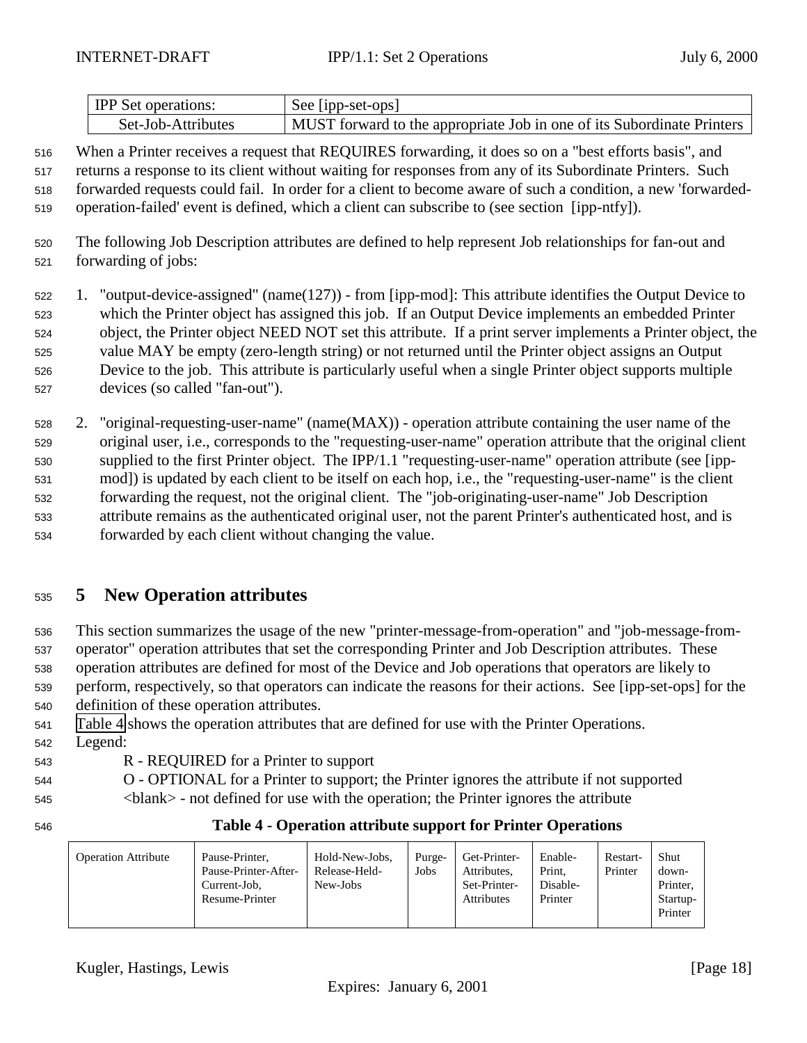<span id="page-17-0"></span>

| <b>IPP</b> Set operations: | See [ipp-set-ops]                                                      |
|----------------------------|------------------------------------------------------------------------|
| Set-Job-Attributes         | MUST forward to the appropriate Job in one of its Subordinate Printers |

 When a Printer receives a request that REQUIRES forwarding, it does so on a "best efforts basis", and returns a response to its client without waiting for responses from any of its Subordinate Printers. Such forwarded requests could fail. In order for a client to become aware of such a condition, a new 'forwarded-operation-failed' event is defined, which a client can subscribe to (see section [ipp-ntfy]).

- <sup>520</sup> The following Job Description attributes are defined to help represent Job relationships for fan-out and <sup>521</sup> forwarding of jobs:
- <sup>522</sup> 1. "output-device-assigned" (name(127)) from [ipp-mod]: This attribute identifies the Output Device to <sup>523</sup> which the Printer object has assigned this job. If an Output Device implements an embedded Printer <sup>524</sup> object, the Printer object NEED NOT set this attribute. If a print server implements a Printer object, the <sup>525</sup> value MAY be empty (zero-length string) or not returned until the Printer object assigns an Output <sup>526</sup> Device to the job. This attribute is particularly useful when a single Printer object supports multiple <sup>527</sup> devices (so called "fan-out").
- <sup>528</sup> 2. "original-requesting-user-name" (name(MAX)) operation attribute containing the user name of the <sup>529</sup> original user, i.e., corresponds to the "requesting-user-name" operation attribute that the original client <sup>530</sup> supplied to the first Printer object. The IPP/1.1 "requesting-user-name" operation attribute (see [ipp-<sup>531</sup> mod]) is updated by each client to be itself on each hop, i.e., the "requesting-user-name" is the client <sup>532</sup> forwarding the request, not the original client. The "job-originating-user-name" Job Description <sup>533</sup> attribute remains as the authenticated original user, not the parent Printer's authenticated host, and is <sup>534</sup> forwarded by each client without changing the value.

# <sup>535</sup> **5 New Operation attributes**

 This section summarizes the usage of the new "printer-message-from-operation" and "job-message-from- operator" operation attributes that set the corresponding Printer and Job Description attributes. These operation attributes are defined for most of the Device and Job operations that operators are likely to perform, respectively, so that operators can indicate the reasons for their actions. See [ipp-set-ops] for the definition of these operation attributes.

- <sup>541</sup> Table 4 shows the operation attributes that are defined for use with the Printer Operations.
- <sup>542</sup> Legend:
- <sup>543</sup> R REQUIRED for a Printer to support
- <sup>544</sup> O OPTIONAL for a Printer to support; the Printer ignores the attribute if not supported <sup>545</sup> <blank> - not defined for use with the operation; the Printer ignores the attribute

# <sup>546</sup> **Table 4 - Operation attribute support for Printer Operations**

| <b>Operation Attribute</b> | Pause-Printer.<br>Pause-Printer-After-<br>Current-Job.<br>Resume-Printer | Hold-New-Jobs,<br>Release-Held-<br>New-Jobs | Purge-<br>Jobs | Get-Printer-<br>Attributes.<br>Set-Printer-<br><b>Attributes</b> | Enable-<br>Print.<br>Disable-<br>Printer | Restart-<br>Printer | Shut<br>down-<br>Printer.<br>Startup-<br>Printer |
|----------------------------|--------------------------------------------------------------------------|---------------------------------------------|----------------|------------------------------------------------------------------|------------------------------------------|---------------------|--------------------------------------------------|
|----------------------------|--------------------------------------------------------------------------|---------------------------------------------|----------------|------------------------------------------------------------------|------------------------------------------|---------------------|--------------------------------------------------|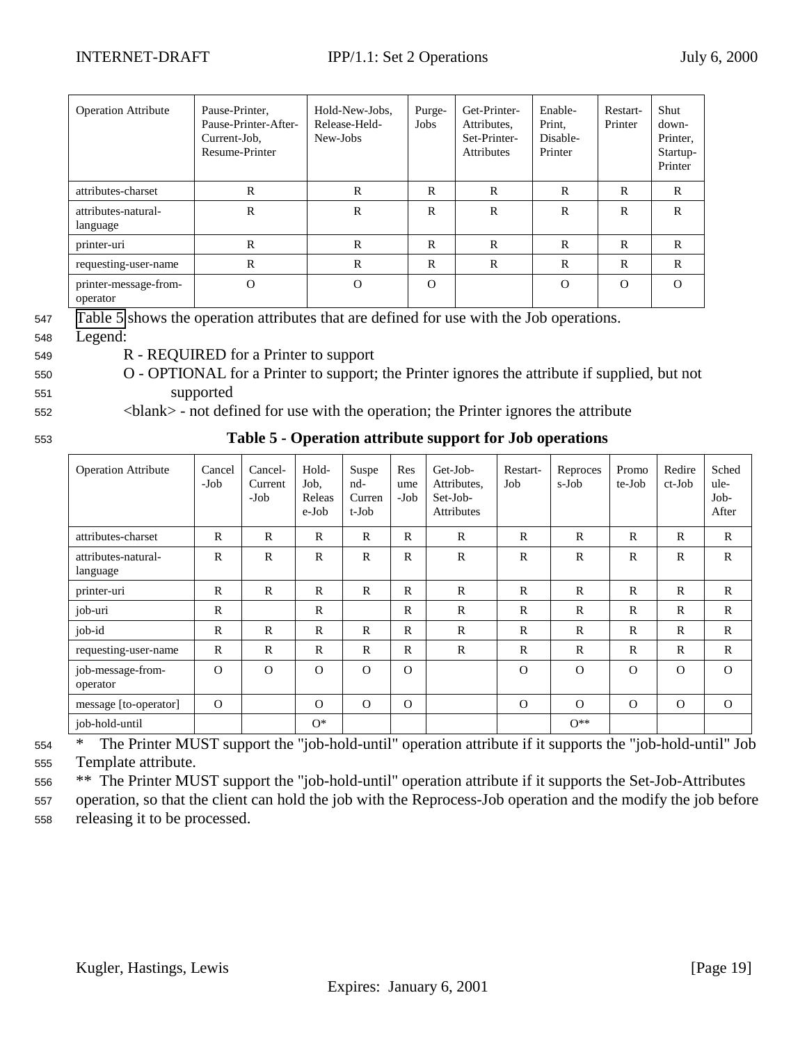<span id="page-18-0"></span>

| <b>Operation Attribute</b>        | Pause-Printer,<br>Pause-Printer-After-<br>Current-Job,<br>Resume-Printer | Hold-New-Jobs,<br>Release-Held-<br>New-Jobs | Purge-<br>Jobs | Get-Printer-<br>Attributes.<br>Set-Printer-<br><b>Attributes</b> | Enable-<br>Print,<br>Disable-<br>Printer | Restart-<br>Printer | Shut<br>down-<br>Printer,<br>Startup-<br>Printer |
|-----------------------------------|--------------------------------------------------------------------------|---------------------------------------------|----------------|------------------------------------------------------------------|------------------------------------------|---------------------|--------------------------------------------------|
| attributes-charset                | R                                                                        | R                                           | R              | $\mathbb{R}$                                                     | $\mathbf R$                              | R                   | $\mathbb{R}$                                     |
| attributes-natural-<br>language   | $\mathbb{R}$                                                             | $\mathbb{R}$                                | R              | $\mathbb{R}$                                                     | $\mathbf R$                              | R                   | R                                                |
| printer-uri                       | $\mathbb{R}$                                                             | R                                           | R              | $\mathbb{R}$                                                     | $\mathbb{R}$                             | R                   | R                                                |
| requesting-user-name              | R                                                                        | $\mathbb{R}$                                | R              | $\mathbb{R}$                                                     | $\mathbf R$                              | R                   | $\mathbb{R}$                                     |
| printer-message-from-<br>operator | $\Omega$                                                                 | $\Omega$                                    | $\Omega$       |                                                                  | $\Omega$                                 | $\Omega$            | $\Omega$                                         |

<sup>547</sup> Table 5 shows the operation attributes that are defined for use with the Job operations.

- <sup>548</sup> Legend:
- <sup>549</sup> R REQUIRED for a Printer to support
- <sup>550</sup> O OPTIONAL for a Printer to support; the Printer ignores the attribute if supplied, but not <sup>551</sup> supported
- <sup>552</sup> <blank> not defined for use with the operation; the Printer ignores the attribute

| I<br>٦<br>٦<br>۰,<br>۰.<br>×<br>۰,<br>× |
|-----------------------------------------|

<sup>553</sup> **Table 5 - Operation attribute support for Job operations**

| <b>Operation Attribute</b>      | Cancel<br>$-Job$ | Cancel-<br>Current<br>-Job | Hold-<br>Job.<br>Releas<br>e-Job | Suspe<br>nd-<br>Curren<br>t-Job | Res<br>ume<br>-Job | Get-Job-<br>Attributes.<br>Set-Job-<br><b>Attributes</b> | Restart-<br>Job | Reproces<br>s-Job | Promo<br>te-Job | Redire<br>ct-Job | Sched<br>ule-<br>Job-<br>After |
|---------------------------------|------------------|----------------------------|----------------------------------|---------------------------------|--------------------|----------------------------------------------------------|-----------------|-------------------|-----------------|------------------|--------------------------------|
| attributes-charset              | $\mathbb{R}$     | $\mathbb{R}$               | $\mathbf R$                      | $\mathsf{R}$                    | $\mathbb{R}$       | $\mathbb{R}$                                             | $\mathbb{R}$    | $\mathbb{R}$      | $\mathbf R$     | $\mathbb{R}$     | $\mathbf{R}$                   |
| attributes-natural-<br>language | $\mathbf R$      | $\mathbb{R}$               | $\mathbf R$                      | $\mathsf{R}$                    | $\mathbb{R}$       | $\mathbb{R}$                                             | $\mathbb{R}$    | $\mathbb{R}$      | $\mathbf R$     | $\mathbb{R}$     | $\mathbf{R}$                   |
| printer-uri                     | $\mathbb{R}$     | $\mathbb{R}$               | $\mathbb{R}$                     | $\mathsf{R}$                    | $\mathbb{R}$       | $\mathbb{R}$                                             | $\mathbb{R}$    | $\mathbf R$       | $\mathbf R$     | $\mathbb{R}$     | $\mathbf{R}$                   |
| job-uri                         | $\mathbb{R}$     |                            | $\mathbf R$                      |                                 | $\mathbb{R}$       | $\mathbb{R}$                                             | $\mathbb{R}$    | $\mathbf R$       | $\mathbf R$     | $\mathbb{R}$     | $\mathbf{R}$                   |
| job-id                          | $\mathbb{R}$     | $\mathbb{R}$               | $\mathbb{R}$                     | $\mathbb{R}$                    | $\mathbb{R}$       | $\mathbb{R}$                                             | $\mathbb{R}$    | $\mathbb{R}$      | $\mathbf R$     | $\mathbb{R}$     | $\mathbf{R}$                   |
| requesting-user-name            | $\mathbb{R}$     | $\mathbb{R}$               | $\mathbb{R}$                     | $\mathbb{R}$                    | $\mathbb{R}$       | $\mathbb{R}$                                             | $\mathbb{R}$    | $\mathbb{R}$      | $\mathbf R$     | $\mathbb{R}$     | $\mathbf{R}$                   |
| job-message-from-<br>operator   | $\Omega$         | $\Omega$                   | $\Omega$                         | $\Omega$                        | $\Omega$           |                                                          | $\Omega$        | $\Omega$          | $\Omega$        | $\Omega$         | $\Omega$                       |
| message [to-operator]           | $\Omega$         |                            | $\Omega$                         | $\Omega$                        | $\Omega$           |                                                          | $\Omega$        | $\Omega$          | $\Omega$        | $\Omega$         | $\Omega$                       |
| job-hold-until                  |                  |                            | $O^*$                            |                                 |                    |                                                          |                 | $O^{\ast\ast}$    |                 |                  |                                |

<sup>554</sup> \* The Printer MUST support the "job-hold-until" operation attribute if it supports the "job-hold-until" Job <sup>555</sup> Template attribute.

<sup>556</sup> \*\* The Printer MUST support the "job-hold-until" operation attribute if it supports the Set-Job-Attributes

<sup>557</sup> operation, so that the client can hold the job with the Reprocess-Job operation and the modify the job before <sup>558</sup> releasing it to be processed.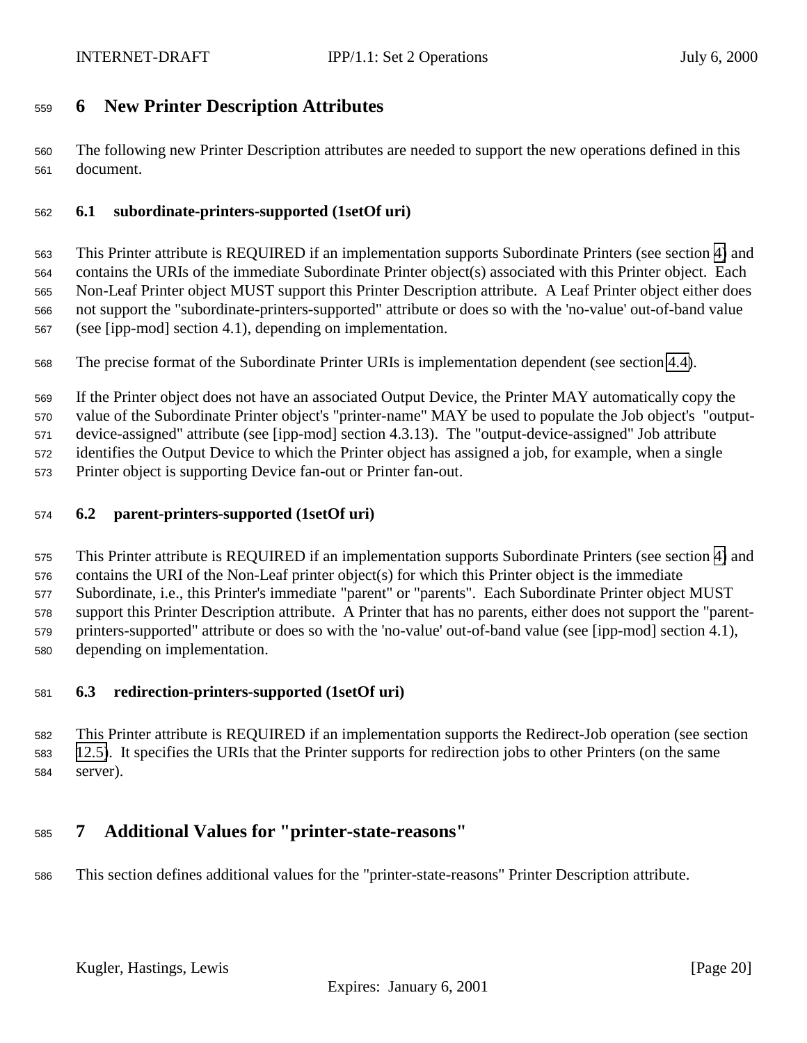# <span id="page-19-0"></span>**6 New Printer Description Attributes**

 The following new Printer Description attributes are needed to support the new operations defined in this document.

## **6.1 subordinate-printers-supported (1setOf uri)**

 This Printer attribute is REQUIRED if an implementation supports Subordinate Printers (see section [4\)](#page-10-0) and contains the URIs of the immediate Subordinate Printer object(s) associated with this Printer object. Each Non-Leaf Printer object MUST support this Printer Description attribute. A Leaf Printer object either does not support the "subordinate-printers-supported" attribute or does so with the 'no-value' out-of-band value (see [ipp-mod] section 4.1), depending on implementation.

The precise format of the Subordinate Printer URIs is implementation dependent (see section [4.4\)](#page-12-0).

If the Printer object does not have an associated Output Device, the Printer MAY automatically copy the

value of the Subordinate Printer object's "printer-name" MAY be used to populate the Job object's "output-

device-assigned" attribute (see [ipp-mod] section 4.3.13). The "output-device-assigned" Job attribute

identifies the Output Device to which the Printer object has assigned a job, for example, when a single

Printer object is supporting Device fan-out or Printer fan-out.

## **6.2 parent-printers-supported (1setOf uri)**

 This Printer attribute is REQUIRED if an implementation supports Subordinate Printers (see section [4\)](#page-10-0) and contains the URI of the Non-Leaf printer object(s) for which this Printer object is the immediate Subordinate, i.e., this Printer's immediate "parent" or "parents". Each Subordinate Printer object MUST support this Printer Description attribute. A Printer that has no parents, either does not support the "parent- printers-supported" attribute or does so with the 'no-value' out-of-band value (see [ipp-mod] section 4.1), depending on implementation.

#### **6.3 redirection-printers-supported (1setOf uri)**

 This Printer attribute is REQUIRED if an implementation supports the Redirect-Job operation (see section [12.5\)](#page-36-0). It specifies the URIs that the Printer supports for redirection jobs to other Printers (on the same server).

# **7 Additional Values for "printer-state-reasons"**

This section defines additional values for the "printer-state-reasons" Printer Description attribute.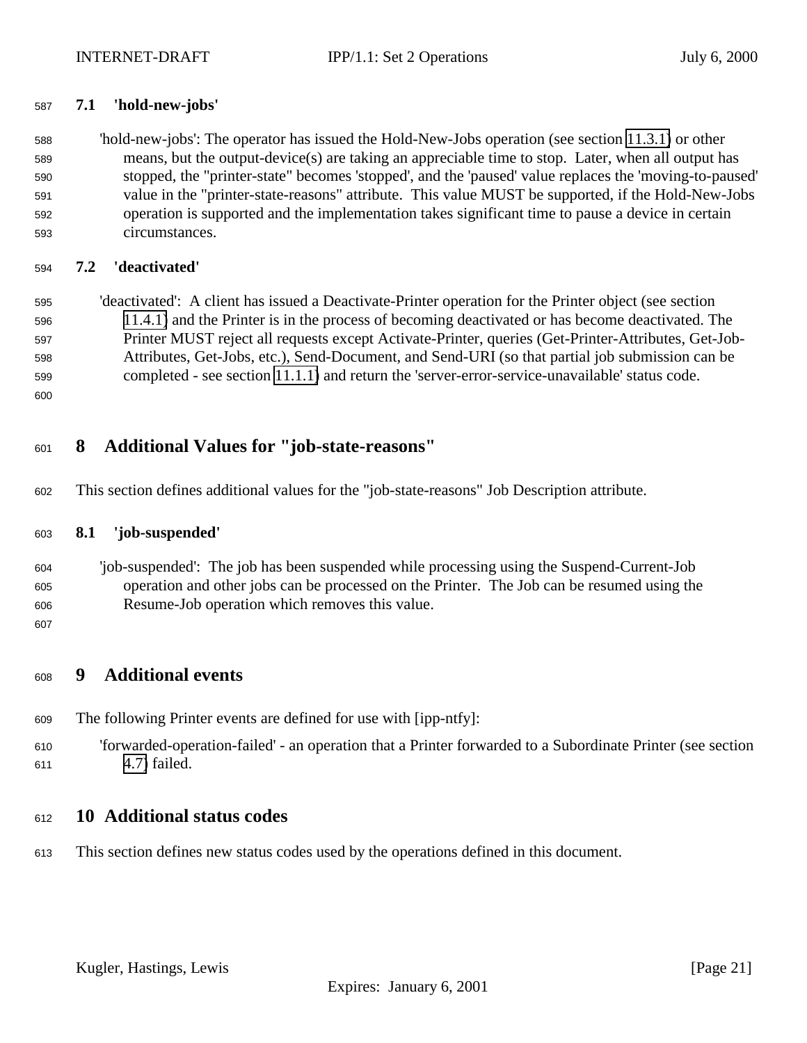## <span id="page-20-0"></span>**7.1 'hold-new-jobs'**

 'hold-new-jobs': The operator has issued the Hold-New-Jobs operation (see section [11.3.1\)](#page-25-0) or other means, but the output-device(s) are taking an appreciable time to stop. Later, when all output has stopped, the "printer-state" becomes 'stopped', and the 'paused' value replaces the 'moving-to-paused' value in the "printer-state-reasons" attribute. This value MUST be supported, if the Hold-New-Jobs operation is supported and the implementation takes significant time to pause a device in certain circumstances.

# **7.2 'deactivated'**

 'deactivated': A client has issued a Deactivate-Printer operation for the Printer object (see section [11.4.1\)](#page-27-0) and the Printer is in the process of becoming deactivated or has become deactivated. The Printer MUST reject all requests except Activate-Printer, queries (Get-Printer-Attributes, Get-Job- Attributes, Get-Jobs, etc.), Send-Document, and Send-URI (so that partial job submission can be completed - see section [11.1.1\)](#page-22-0) and return the 'server-error-service-unavailable' status code.

# **8 Additional Values for "job-state-reasons"**

This section defines additional values for the "job-state-reasons" Job Description attribute.

#### **8.1 'job-suspended'**

 'job-suspended': The job has been suspended while processing using the Suspend-Current-Job operation and other jobs can be processed on the Printer. The Job can be resumed using the Resume-Job operation which removes this value.

# **9 Additional events**

- The following Printer events are defined for use with [ipp-ntfy]:
- 'forwarded-operation-failed' an operation that a Printer forwarded to a Subordinate Printer (see section [4.7\)](#page-15-0) failed.

# **10 Additional status codes**

This section defines new status codes used by the operations defined in this document.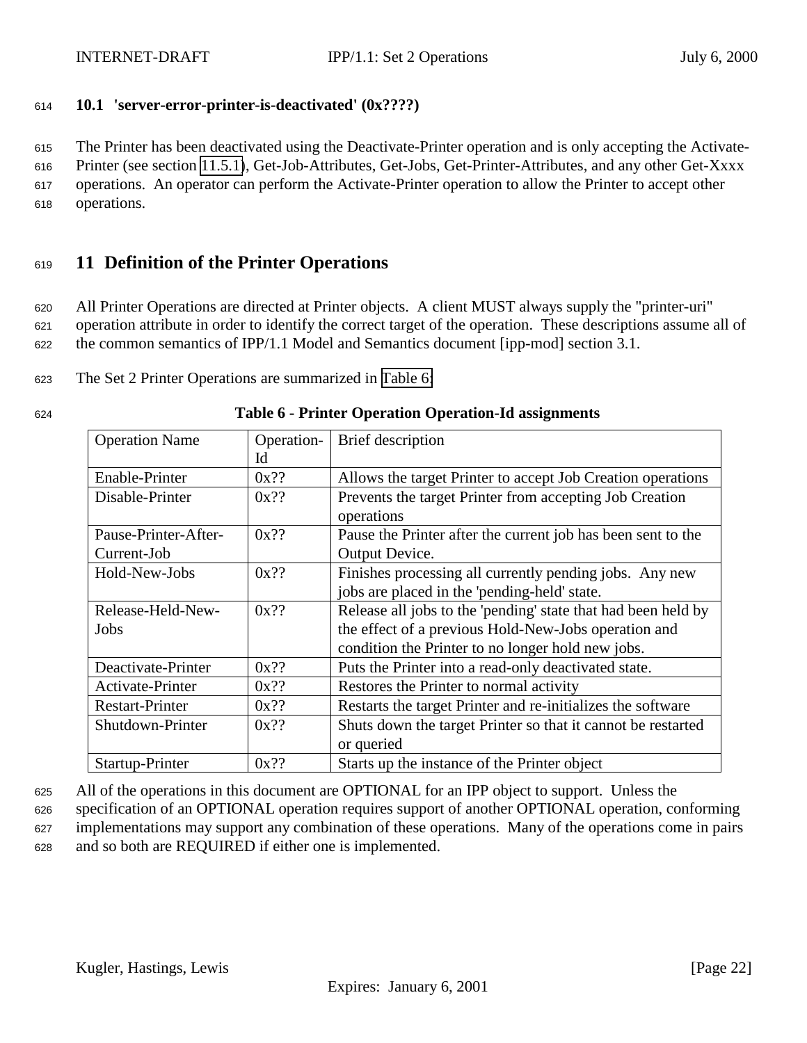<span id="page-21-0"></span>

# <sup>614</sup> **10.1 'server-error-printer-is-deactivated' (0x????)**

<sup>615</sup> The Printer has been deactivated using the Deactivate-Printer operation and is only accepting the Activate-

<sup>616</sup> Printer (see section [11.5.1\)](#page-28-0), Get-Job-Attributes, Get-Jobs, Get-Printer-Attributes, and any other Get-Xxxx <sup>617</sup> operations. An operator can perform the Activate-Printer operation to allow the Printer to accept other

<sup>618</sup> operations.

# <sup>619</sup> **11 Definition of the Printer Operations**

<sup>620</sup> All Printer Operations are directed at Printer objects. A client MUST always supply the "printer-uri" <sup>621</sup> operation attribute in order to identify the correct target of the operation. These descriptions assume all of <sup>622</sup> the common semantics of IPP/1.1 Model and Semantics document [ipp-mod] section 3.1.

<sup>623</sup> The Set 2 Printer Operations are summarized in Table 6:

| <b>Operation Name</b>  | Operation- | <b>Brief</b> description                                      |
|------------------------|------------|---------------------------------------------------------------|
|                        | Id         |                                                               |
| Enable-Printer         | $0x$ ??    | Allows the target Printer to accept Job Creation operations   |
| Disable-Printer        | $0x$ ??    | Prevents the target Printer from accepting Job Creation       |
|                        |            | operations                                                    |
| Pause-Printer-After-   | $0x$ ??    | Pause the Printer after the current job has been sent to the  |
| Current-Job            |            | Output Device.                                                |
| Hold-New-Jobs          | $0x$ ??    | Finishes processing all currently pending jobs. Any new       |
|                        |            | jobs are placed in the 'pending-held' state.                  |
| Release-Held-New-      | $0x$ ??    | Release all jobs to the 'pending' state that had been held by |
| Jobs                   |            | the effect of a previous Hold-New-Jobs operation and          |
|                        |            | condition the Printer to no longer hold new jobs.             |
| Deactivate-Printer     | $0x$ ??    | Puts the Printer into a read-only deactivated state.          |
| Activate-Printer       | $0x$ ??    | Restores the Printer to normal activity                       |
| <b>Restart-Printer</b> | $0x$ ??    | Restarts the target Printer and re-initializes the software   |
| Shutdown-Printer       | $0x$ ??    | Shuts down the target Printer so that it cannot be restarted  |
|                        |            | or queried                                                    |
| Startup-Printer        | $0x$ ??    | Starts up the instance of the Printer object                  |

#### <sup>624</sup> **Table 6 - Printer Operation Operation-Id assignments**

<sup>625</sup> All of the operations in this document are OPTIONAL for an IPP object to support. Unless the

<sup>626</sup> specification of an OPTIONAL operation requires support of another OPTIONAL operation, conforming <sup>627</sup> implementations may support any combination of these operations. Many of the operations come in pairs <sup>628</sup> and so both are REQUIRED if either one is implemented.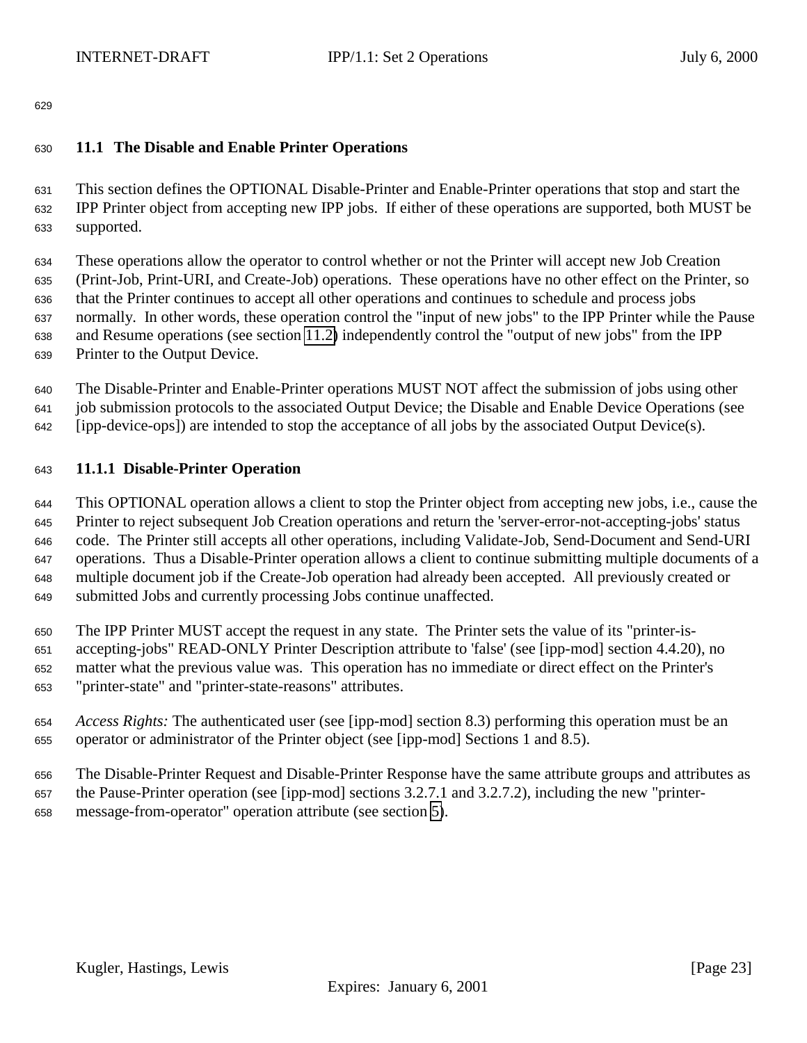## <span id="page-22-0"></span>**11.1 The Disable and Enable Printer Operations**

 This section defines the OPTIONAL Disable-Printer and Enable-Printer operations that stop and start the IPP Printer object from accepting new IPP jobs. If either of these operations are supported, both MUST be supported.

 These operations allow the operator to control whether or not the Printer will accept new Job Creation (Print-Job, Print-URI, and Create-Job) operations. These operations have no other effect on the Printer, so that the Printer continues to accept all other operations and continues to schedule and process jobs normally. In other words, these operation control the "input of new jobs" to the IPP Printer while the Pause and Resume operations (see section [11.2\)](#page-23-0) independently control the "output of new jobs" from the IPP Printer to the Output Device.

 The Disable-Printer and Enable-Printer operations MUST NOT affect the submission of jobs using other job submission protocols to the associated Output Device; the Disable and Enable Device Operations (see [ipp-device-ops]) are intended to stop the acceptance of all jobs by the associated Output Device(s).

#### **11.1.1 Disable-Printer Operation**

 This OPTIONAL operation allows a client to stop the Printer object from accepting new jobs, i.e., cause the Printer to reject subsequent Job Creation operations and return the 'server-error-not-accepting-jobs' status code. The Printer still accepts all other operations, including Validate-Job, Send-Document and Send-URI operations. Thus a Disable-Printer operation allows a client to continue submitting multiple documents of a multiple document job if the Create-Job operation had already been accepted. All previously created or submitted Jobs and currently processing Jobs continue unaffected.

 The IPP Printer MUST accept the request in any state. The Printer sets the value of its "printer-is- accepting-jobs" READ-ONLY Printer Description attribute to 'false' (see [ipp-mod] section 4.4.20), no matter what the previous value was. This operation has no immediate or direct effect on the Printer's "printer-state" and "printer-state-reasons" attributes.

- *Access Rights:* The authenticated user (see [ipp-mod] section 8.3) performing this operation must be an operator or administrator of the Printer object (see [ipp-mod] Sections 1 and 8.5).
- The Disable-Printer Request and Disable-Printer Response have the same attribute groups and attributes as the Pause-Printer operation (see [ipp-mod] sections 3.2.7.1 and 3.2.7.2), including the new "printer-message-from-operator" operation attribute (see section [5\)](#page-17-0).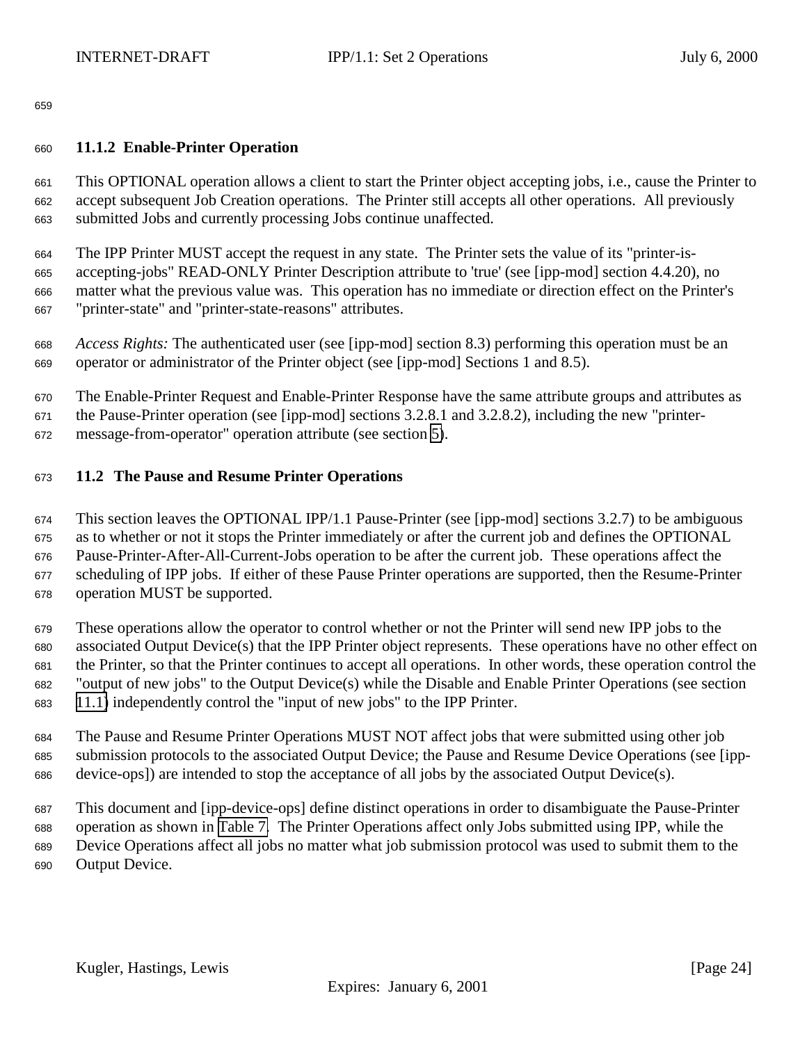## <span id="page-23-0"></span>**11.1.2 Enable-Printer Operation**

 This OPTIONAL operation allows a client to start the Printer object accepting jobs, i.e., cause the Printer to accept subsequent Job Creation operations. The Printer still accepts all other operations. All previously submitted Jobs and currently processing Jobs continue unaffected.

The IPP Printer MUST accept the request in any state. The Printer sets the value of its "printer-is-

 accepting-jobs" READ-ONLY Printer Description attribute to 'true' (see [ipp-mod] section 4.4.20), no matter what the previous value was. This operation has no immediate or direction effect on the Printer's "printer-state" and "printer-state-reasons" attributes.

 *Access Rights:* The authenticated user (see [ipp-mod] section 8.3) performing this operation must be an operator or administrator of the Printer object (see [ipp-mod] Sections 1 and 8.5).

 The Enable-Printer Request and Enable-Printer Response have the same attribute groups and attributes as the Pause-Printer operation (see [ipp-mod] sections 3.2.8.1 and 3.2.8.2), including the new "printer-message-from-operator" operation attribute (see section [5\)](#page-17-0).

## **11.2 The Pause and Resume Printer Operations**

 This section leaves the OPTIONAL IPP/1.1 Pause-Printer (see [ipp-mod] sections 3.2.7) to be ambiguous as to whether or not it stops the Printer immediately or after the current job and defines the OPTIONAL Pause-Printer-After-All-Current-Jobs operation to be after the current job. These operations affect the scheduling of IPP jobs. If either of these Pause Printer operations are supported, then the Resume-Printer operation MUST be supported.

 These operations allow the operator to control whether or not the Printer will send new IPP jobs to the associated Output Device(s) that the IPP Printer object represents. These operations have no other effect on the Printer, so that the Printer continues to accept all operations. In other words, these operation control the "output of new jobs" to the Output Device(s) while the Disable and Enable Printer Operations (see section [11.1\)](#page-22-0) independently control the "input of new jobs" to the IPP Printer.

 The Pause and Resume Printer Operations MUST NOT affect jobs that were submitted using other job submission protocols to the associated Output Device; the Pause and Resume Device Operations (see [ipp-device-ops]) are intended to stop the acceptance of all jobs by the associated Output Device(s).

 This document and [ipp-device-ops] define distinct operations in order to disambiguate the Pause-Printer operation as shown in [Table 7.](#page-24-0) The Printer Operations affect only Jobs submitted using IPP, while the Device Operations affect all jobs no matter what job submission protocol was used to submit them to the Output Device.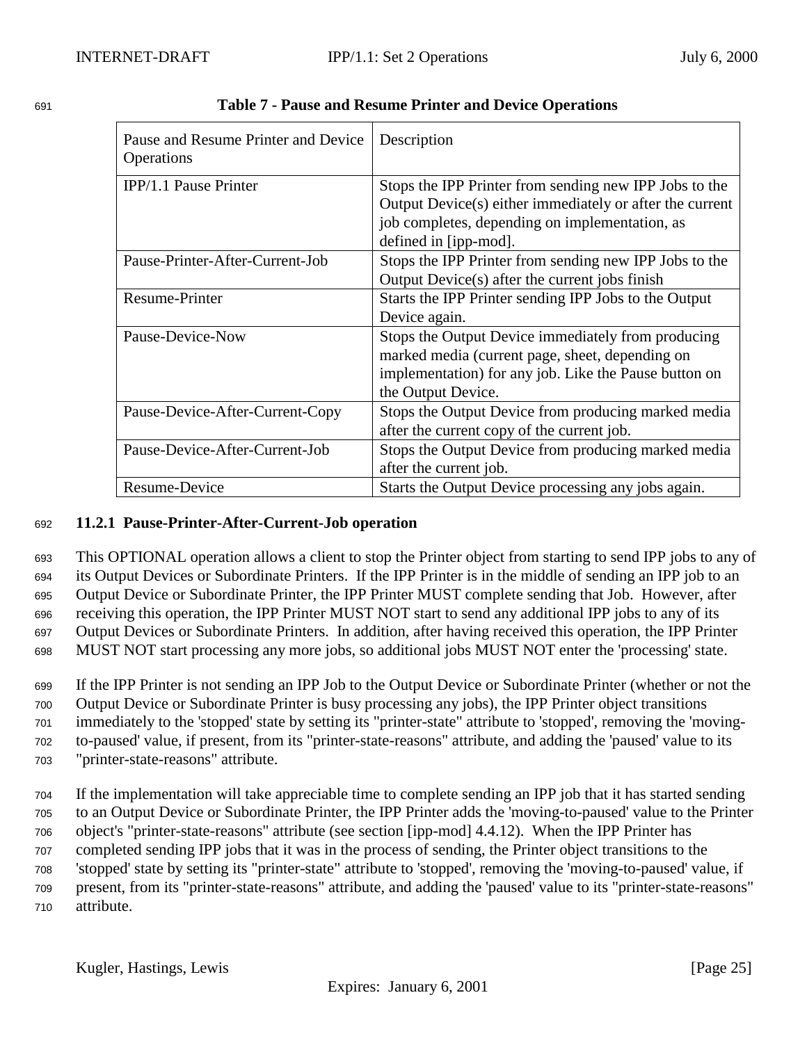| Pause and Resume Printer and Device<br>Operations | Description                                              |
|---------------------------------------------------|----------------------------------------------------------|
| IPP/1.1 Pause Printer                             | Stops the IPP Printer from sending new IPP Jobs to the   |
|                                                   | Output Device(s) either immediately or after the current |
|                                                   | job completes, depending on implementation, as           |
|                                                   | defined in [ipp-mod].                                    |
| Pause-Printer-After-Current-Job                   | Stops the IPP Printer from sending new IPP Jobs to the   |
|                                                   | Output Device(s) after the current jobs finish           |
| Resume-Printer                                    | Starts the IPP Printer sending IPP Jobs to the Output    |
|                                                   | Device again.                                            |
| Pause-Device-Now                                  | Stops the Output Device immediately from producing       |
|                                                   | marked media (current page, sheet, depending on          |
|                                                   | implementation) for any job. Like the Pause button on    |
|                                                   | the Output Device.                                       |
| Pause-Device-After-Current-Copy                   | Stops the Output Device from producing marked media      |
|                                                   | after the current copy of the current job.               |
| Pause-Device-After-Current-Job                    | Stops the Output Device from producing marked media      |
|                                                   | after the current job.                                   |
| Resume-Device                                     | Starts the Output Device processing any jobs again.      |

<span id="page-24-0"></span>

| 691 | <b>Table 7 - Pause and Resume Printer and Device Operations</b> |  |  |
|-----|-----------------------------------------------------------------|--|--|
|     |                                                                 |  |  |

## <sup>692</sup> **11.2.1 Pause-Printer-After-Current-Job operation**

 This OPTIONAL operation allows a client to stop the Printer object from starting to send IPP jobs to any of its Output Devices or Subordinate Printers. If the IPP Printer is in the middle of sending an IPP job to an Output Device or Subordinate Printer, the IPP Printer MUST complete sending that Job. However, after receiving this operation, the IPP Printer MUST NOT start to send any additional IPP jobs to any of its Output Devices or Subordinate Printers. In addition, after having received this operation, the IPP Printer MUST NOT start processing any more jobs, so additional jobs MUST NOT enter the 'processing' state.

 If the IPP Printer is not sending an IPP Job to the Output Device or Subordinate Printer (whether or not the Output Device or Subordinate Printer is busy processing any jobs), the IPP Printer object transitions immediately to the 'stopped' state by setting its "printer-state" attribute to 'stopped', removing the 'moving- to-paused' value, if present, from its "printer-state-reasons" attribute, and adding the 'paused' value to its "printer-state-reasons" attribute.

 If the implementation will take appreciable time to complete sending an IPP job that it has started sending to an Output Device or Subordinate Printer, the IPP Printer adds the 'moving-to-paused' value to the Printer object's "printer-state-reasons" attribute (see section [ipp-mod] 4.4.12). When the IPP Printer has completed sending IPP jobs that it was in the process of sending, the Printer object transitions to the 'stopped' state by setting its "printer-state" attribute to 'stopped', removing the 'moving-to-paused' value, if present, from its "printer-state-reasons" attribute, and adding the 'paused' value to its "printer-state-reasons" attribute.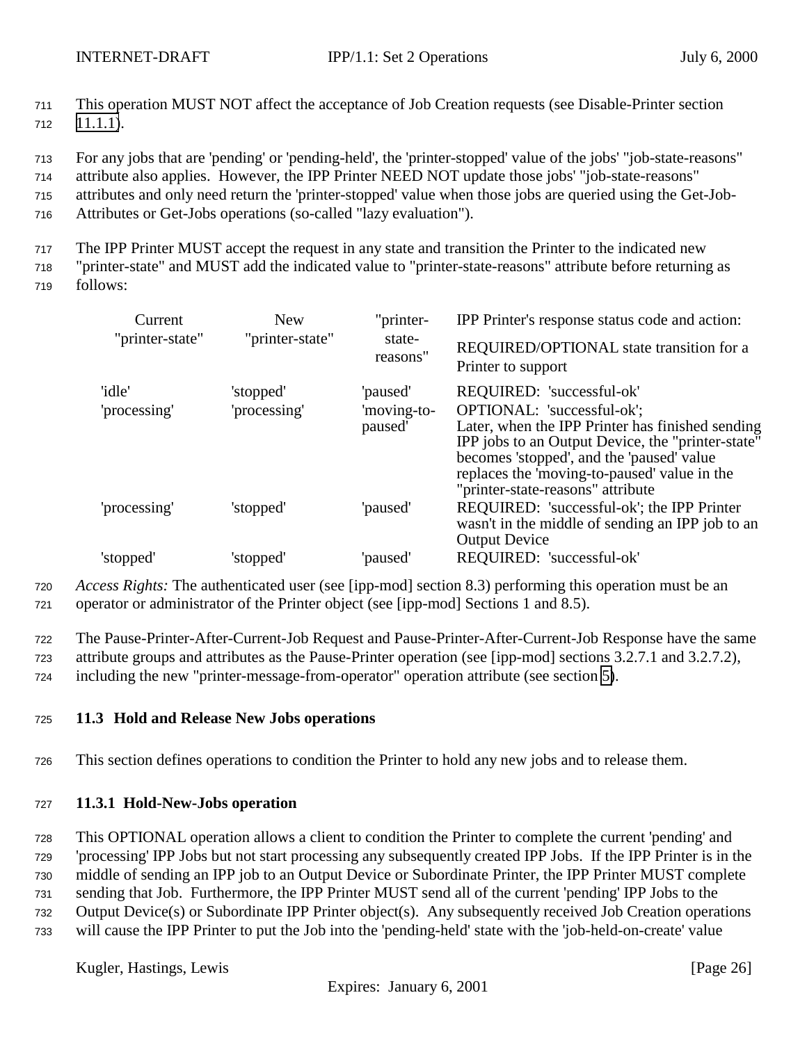<span id="page-25-0"></span><sup>711</sup> This operation MUST NOT affect the acceptance of Job Creation requests (see Disable-Printer section  $712$  [11.1.1\)](#page-22-0).

<sup>713</sup> For any jobs that are 'pending' or 'pending-held', the 'printer-stopped' value of the jobs' "job-state-reasons"

<sup>714</sup> attribute also applies. However, the IPP Printer NEED NOT update those jobs' "job-state-reasons"

<sup>715</sup> attributes and only need return the 'printer-stopped' value when those jobs are queried using the Get-Job-

<sup>716</sup> Attributes or Get-Jobs operations (so-called "lazy evaluation").

<sup>717</sup> The IPP Printer MUST accept the request in any state and transition the Printer to the indicated new

<sup>718</sup> "printer-state" and MUST add the indicated value to "printer-state-reasons" attribute before returning as

<sup>719</sup> follows:

| Current                | <b>New</b>                | "printer-                          | IPP Printer's response status code and action:                                                                                                                                                                                                                                                     |  |  |
|------------------------|---------------------------|------------------------------------|----------------------------------------------------------------------------------------------------------------------------------------------------------------------------------------------------------------------------------------------------------------------------------------------------|--|--|
| "printer-state"        | "printer-state"           | state-<br>reasons"                 | REQUIRED/OPTIONAL state transition for a<br>Printer to support                                                                                                                                                                                                                                     |  |  |
| 'idle'<br>'processing' | 'stopped'<br>'processing' | 'paused'<br>'moving-to-<br>paused' | REQUIRED: 'successful-ok'<br>OPTIONAL: 'successful-ok';<br>Later, when the IPP Printer has finished sending<br>IPP jobs to an Output Device, the "printer-state"<br>becomes 'stopped', and the 'paused' value<br>replaces the 'moving-to-paused' value in the<br>"printer-state-reasons" attribute |  |  |
| 'processing'           | 'stopped'                 | 'paused'                           | REQUIRED: 'successful-ok'; the IPP Printer<br>wasn't in the middle of sending an IPP job to an<br><b>Output Device</b>                                                                                                                                                                             |  |  |
| 'stopped'              | 'stopped'                 | 'paused'                           | REQUIRED: 'successful-ok'                                                                                                                                                                                                                                                                          |  |  |

<sup>720</sup> *Access Rights:* The authenticated user (see [ipp-mod] section 8.3) performing this operation must be an <sup>721</sup> operator or administrator of the Printer object (see [ipp-mod] Sections 1 and 8.5).

<sup>722</sup> The Pause-Printer-After-Current-Job Request and Pause-Printer-After-Current-Job Response have the same

<sup>723</sup> attribute groups and attributes as the Pause-Printer operation (see [ipp-mod] sections 3.2.7.1 and 3.2.7.2),

<sup>724</sup> including the new "printer-message-from-operator" operation attribute (see section [5\)](#page-17-0).

# <sup>725</sup> **11.3 Hold and Release New Jobs operations**

<sup>726</sup> This section defines operations to condition the Printer to hold any new jobs and to release them.

# <sup>727</sup> **11.3.1 Hold-New-Jobs operation**

<sup>728</sup> This OPTIONAL operation allows a client to condition the Printer to complete the current 'pending' and

<sup>729</sup> 'processing' IPP Jobs but not start processing any subsequently created IPP Jobs. If the IPP Printer is in the

<sup>730</sup> middle of sending an IPP job to an Output Device or Subordinate Printer, the IPP Printer MUST complete

<sup>731</sup> sending that Job. Furthermore, the IPP Printer MUST send all of the current 'pending' IPP Jobs to the

- <sup>732</sup> Output Device(s) or Subordinate IPP Printer object(s). Any subsequently received Job Creation operations
- <sup>733</sup> will cause the IPP Printer to put the Job into the 'pending-held' state with the 'job-held-on-create' value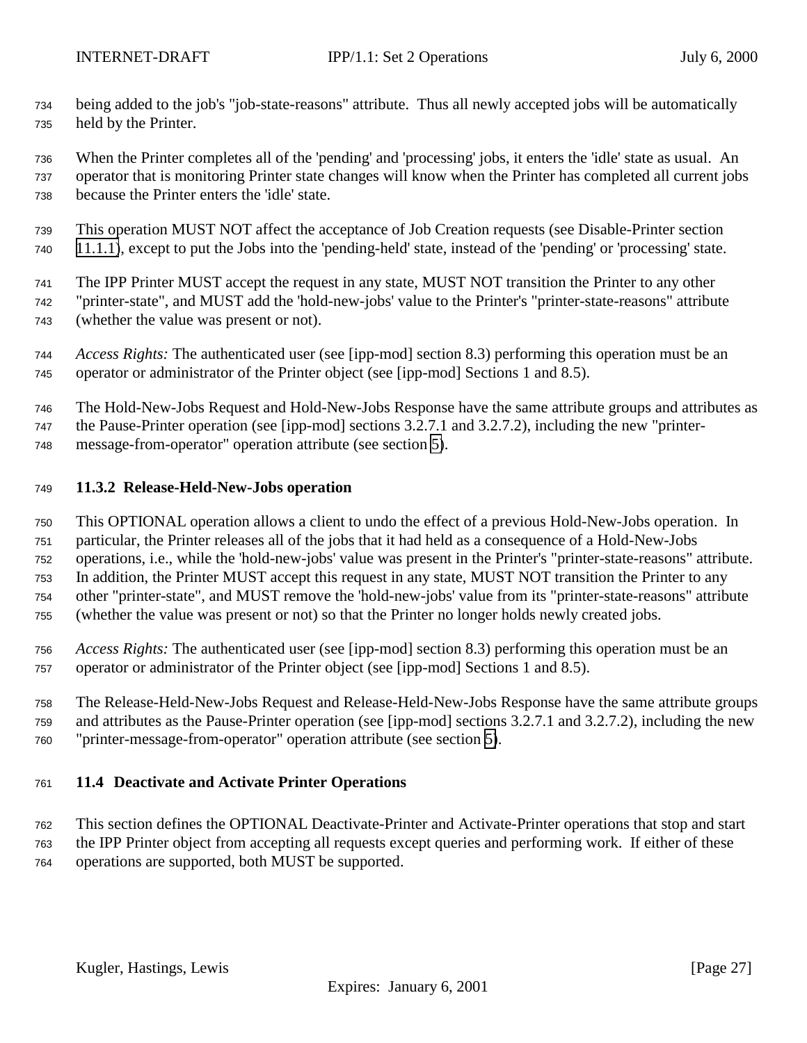- <span id="page-26-0"></span> being added to the job's "job-state-reasons" attribute. Thus all newly accepted jobs will be automatically held by the Printer.
- When the Printer completes all of the 'pending' and 'processing' jobs, it enters the 'idle' state as usual. An operator that is monitoring Printer state changes will know when the Printer has completed all current jobs because the Printer enters the 'idle' state.
- This operation MUST NOT affect the acceptance of Job Creation requests (see Disable-Printer section
- [11.1.1\)](#page-22-0), except to put the Jobs into the 'pending-held' state, instead of the 'pending' or 'processing' state.
- The IPP Printer MUST accept the request in any state, MUST NOT transition the Printer to any other
- "printer-state", and MUST add the 'hold-new-jobs' value to the Printer's "printer-state-reasons" attribute (whether the value was present or not).
- *Access Rights:* The authenticated user (see [ipp-mod] section 8.3) performing this operation must be an operator or administrator of the Printer object (see [ipp-mod] Sections 1 and 8.5).
- The Hold-New-Jobs Request and Hold-New-Jobs Response have the same attribute groups and attributes as
- the Pause-Printer operation (see [ipp-mod] sections 3.2.7.1 and 3.2.7.2), including the new "printer-
- message-from-operator" operation attribute (see section [5\)](#page-17-0).

#### **11.3.2 Release-Held-New-Jobs operation**

- This OPTIONAL operation allows a client to undo the effect of a previous Hold-New-Jobs operation. In
- particular, the Printer releases all of the jobs that it had held as a consequence of a Hold-New-Jobs operations, i.e., while the 'hold-new-jobs' value was present in the Printer's "printer-state-reasons" attribute.
- In addition, the Printer MUST accept this request in any state, MUST NOT transition the Printer to any
- other "printer-state", and MUST remove the 'hold-new-jobs' value from its "printer-state-reasons" attribute
- (whether the value was present or not) so that the Printer no longer holds newly created jobs.
- *Access Rights:* The authenticated user (see [ipp-mod] section 8.3) performing this operation must be an operator or administrator of the Printer object (see [ipp-mod] Sections 1 and 8.5).
- The Release-Held-New-Jobs Request and Release-Held-New-Jobs Response have the same attribute groups and attributes as the Pause-Printer operation (see [ipp-mod] sections 3.2.7.1 and 3.2.7.2), including the new "printer-message-from-operator" operation attribute (see section [5\)](#page-17-0).

# **11.4 Deactivate and Activate Printer Operations**

- This section defines the OPTIONAL Deactivate-Printer and Activate-Printer operations that stop and start the IPP Printer object from accepting all requests except queries and performing work. If either of these
- operations are supported, both MUST be supported.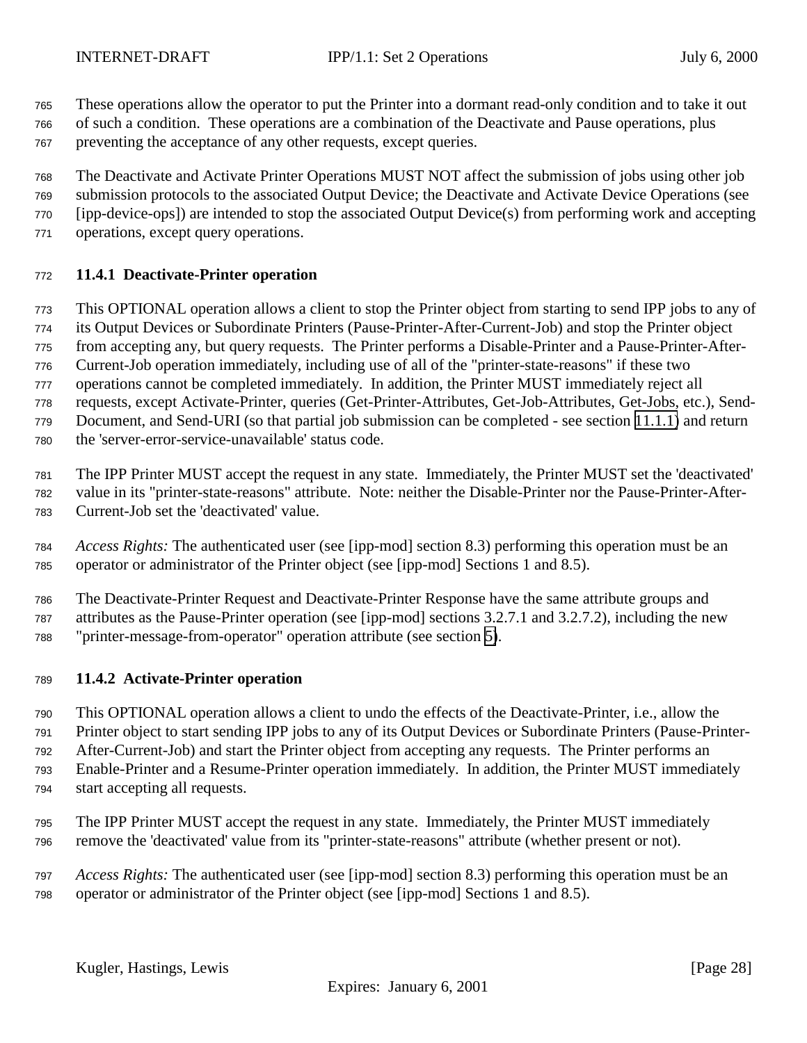<span id="page-27-0"></span>These operations allow the operator to put the Printer into a dormant read-only condition and to take it out

 of such a condition. These operations are a combination of the Deactivate and Pause operations, plus preventing the acceptance of any other requests, except queries.

The Deactivate and Activate Printer Operations MUST NOT affect the submission of jobs using other job

submission protocols to the associated Output Device; the Deactivate and Activate Device Operations (see

[ipp-device-ops]) are intended to stop the associated Output Device(s) from performing work and accepting

operations, except query operations.

# **11.4.1 Deactivate-Printer operation**

This OPTIONAL operation allows a client to stop the Printer object from starting to send IPP jobs to any of

its Output Devices or Subordinate Printers (Pause-Printer-After-Current-Job) and stop the Printer object

from accepting any, but query requests. The Printer performs a Disable-Printer and a Pause-Printer-After-

Current-Job operation immediately, including use of all of the "printer-state-reasons" if these two

operations cannot be completed immediately. In addition, the Printer MUST immediately reject all

requests, except Activate-Printer, queries (Get-Printer-Attributes, Get-Job-Attributes, Get-Jobs, etc.), Send-

Document, and Send-URI (so that partial job submission can be completed - see section [11.1.1\)](#page-22-0) and return

the 'server-error-service-unavailable' status code.

The IPP Printer MUST accept the request in any state. Immediately, the Printer MUST set the 'deactivated'

value in its "printer-state-reasons" attribute. Note: neither the Disable-Printer nor the Pause-Printer-After-

Current-Job set the 'deactivated' value.

 *Access Rights:* The authenticated user (see [ipp-mod] section 8.3) performing this operation must be an operator or administrator of the Printer object (see [ipp-mod] Sections 1 and 8.5).

 The Deactivate-Printer Request and Deactivate-Printer Response have the same attribute groups and attributes as the Pause-Printer operation (see [ipp-mod] sections 3.2.7.1 and 3.2.7.2), including the new "printer-message-from-operator" operation attribute (see section [5\)](#page-17-0).

# **11.4.2 Activate-Printer operation**

 This OPTIONAL operation allows a client to undo the effects of the Deactivate-Printer, i.e., allow the Printer object to start sending IPP jobs to any of its Output Devices or Subordinate Printers (Pause-Printer- After-Current-Job) and start the Printer object from accepting any requests. The Printer performs an Enable-Printer and a Resume-Printer operation immediately. In addition, the Printer MUST immediately

- start accepting all requests.
- The IPP Printer MUST accept the request in any state. Immediately, the Printer MUST immediately remove the 'deactivated' value from its "printer-state-reasons" attribute (whether present or not).
- *Access Rights:* The authenticated user (see [ipp-mod] section 8.3) performing this operation must be an operator or administrator of the Printer object (see [ipp-mod] Sections 1 and 8.5).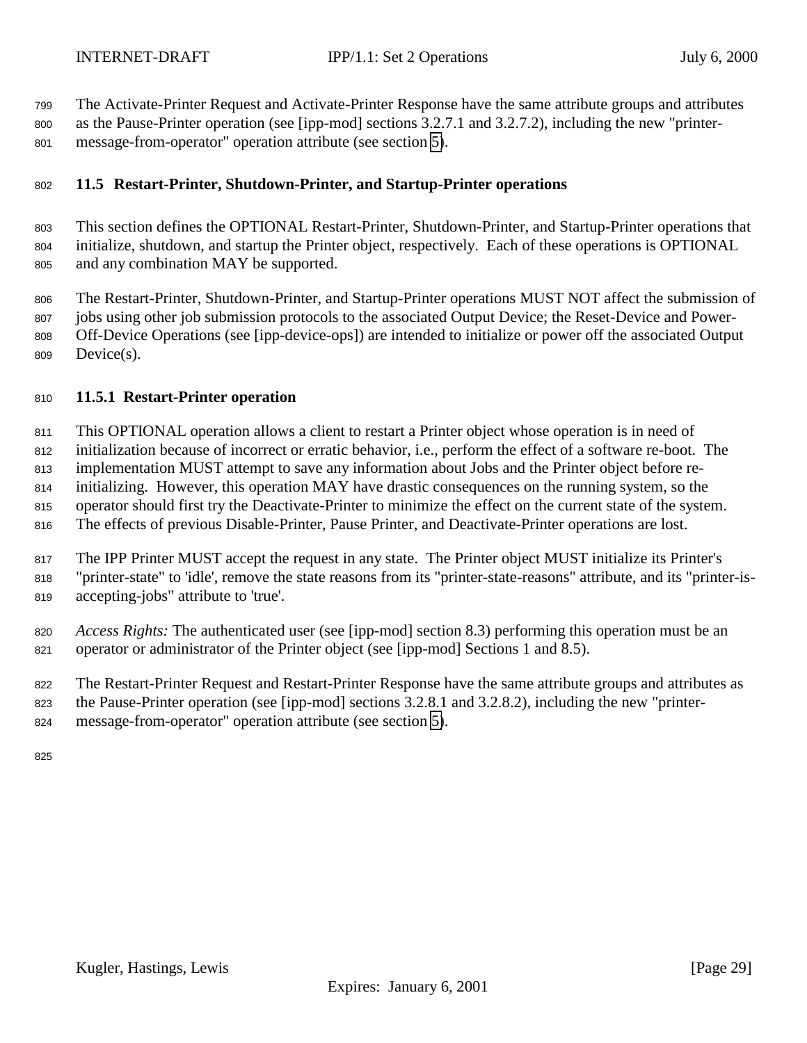<span id="page-28-0"></span>

 The Activate-Printer Request and Activate-Printer Response have the same attribute groups and attributes as the Pause-Printer operation (see [ipp-mod] sections 3.2.7.1 and 3.2.7.2), including the new "printer-

message-from-operator" operation attribute (see section [5\)](#page-17-0).

# **11.5 Restart-Printer, Shutdown-Printer, and Startup-Printer operations**

 This section defines the OPTIONAL Restart-Printer, Shutdown-Printer, and Startup-Printer operations that initialize, shutdown, and startup the Printer object, respectively. Each of these operations is OPTIONAL and any combination MAY be supported.

 The Restart-Printer, Shutdown-Printer, and Startup-Printer operations MUST NOT affect the submission of jobs using other job submission protocols to the associated Output Device; the Reset-Device and Power- Off-Device Operations (see [ipp-device-ops]) are intended to initialize or power off the associated Output Device(s).

## **11.5.1 Restart-Printer operation**

 This OPTIONAL operation allows a client to restart a Printer object whose operation is in need of initialization because of incorrect or erratic behavior, i.e., perform the effect of a software re-boot. The implementation MUST attempt to save any information about Jobs and the Printer object before re-

initializing. However, this operation MAY have drastic consequences on the running system, so the

operator should first try the Deactivate-Printer to minimize the effect on the current state of the system.

The effects of previous Disable-Printer, Pause Printer, and Deactivate-Printer operations are lost.

 The IPP Printer MUST accept the request in any state. The Printer object MUST initialize its Printer's "printer-state" to 'idle', remove the state reasons from its "printer-state-reasons" attribute, and its "printer-is-accepting-jobs" attribute to 'true'.

 *Access Rights:* The authenticated user (see [ipp-mod] section 8.3) performing this operation must be an operator or administrator of the Printer object (see [ipp-mod] Sections 1 and 8.5).

The Restart-Printer Request and Restart-Printer Response have the same attribute groups and attributes as

- the Pause-Printer operation (see [ipp-mod] sections 3.2.8.1 and 3.2.8.2), including the new "printer-
- message-from-operator" operation attribute (see section [5\)](#page-17-0).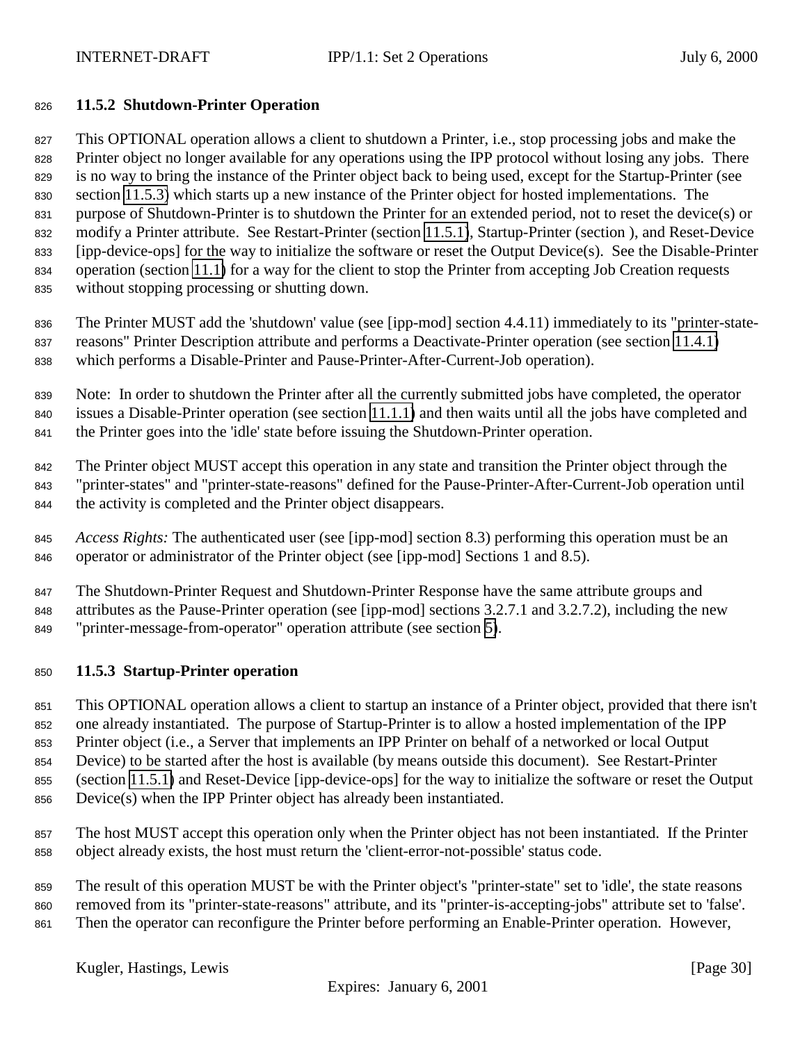#### <span id="page-29-0"></span>**11.5.2 Shutdown-Printer Operation**

 This OPTIONAL operation allows a client to shutdown a Printer, i.e., stop processing jobs and make the 828 Printer object no longer available for any operations using the IPP protocol without losing any jobs. There is no way to bring the instance of the Printer object back to being used, except for the Startup-Printer (see section 11.5.3) which starts up a new instance of the Printer object for hosted implementations. The purpose of Shutdown-Printer is to shutdown the Printer for an extended period, not to reset the device(s) or modify a Printer attribute. See Restart-Printer (section [11.5.1\)](#page-28-0), Startup-Printer (section ), and Reset-Device [ipp-device-ops] for the way to initialize the software or reset the Output Device(s). See the Disable-Printer operation (section [11.1\)](#page-22-0) for a way for the client to stop the Printer from accepting Job Creation requests without stopping processing or shutting down.

 The Printer MUST add the 'shutdown' value (see [ipp-mod] section 4.4.11) immediately to its "printer-state- reasons" Printer Description attribute and performs a Deactivate-Printer operation (see section [11.4.1\)](#page-27-0) which performs a Disable-Printer and Pause-Printer-After-Current-Job operation).

 Note: In order to shutdown the Printer after all the currently submitted jobs have completed, the operator issues a Disable-Printer operation (see section [11.1.1\)](#page-22-0) and then waits until all the jobs have completed and the Printer goes into the 'idle' state before issuing the Shutdown-Printer operation.

 The Printer object MUST accept this operation in any state and transition the Printer object through the "printer-states" and "printer-state-reasons" defined for the Pause-Printer-After-Current-Job operation until the activity is completed and the Printer object disappears.

 *Access Rights:* The authenticated user (see [ipp-mod] section 8.3) performing this operation must be an operator or administrator of the Printer object (see [ipp-mod] Sections 1 and 8.5).

 The Shutdown-Printer Request and Shutdown-Printer Response have the same attribute groups and attributes as the Pause-Printer operation (see [ipp-mod] sections 3.2.7.1 and 3.2.7.2), including the new "printer-message-from-operator" operation attribute (see section [5\)](#page-17-0).

#### **11.5.3 Startup-Printer operation**

 This OPTIONAL operation allows a client to startup an instance of a Printer object, provided that there isn't one already instantiated. The purpose of Startup-Printer is to allow a hosted implementation of the IPP Printer object (i.e., a Server that implements an IPP Printer on behalf of a networked or local Output

Device) to be started after the host is available (by means outside this document). See Restart-Printer

(section [11.5.1\)](#page-28-0) and Reset-Device [ipp-device-ops] for the way to initialize the software or reset the Output

Device(s) when the IPP Printer object has already been instantiated.

 The host MUST accept this operation only when the Printer object has not been instantiated. If the Printer object already exists, the host must return the 'client-error-not-possible' status code.

 The result of this operation MUST be with the Printer object's "printer-state" set to 'idle', the state reasons removed from its "printer-state-reasons" attribute, and its "printer-is-accepting-jobs" attribute set to 'false'.

Then the operator can reconfigure the Printer before performing an Enable-Printer operation. However,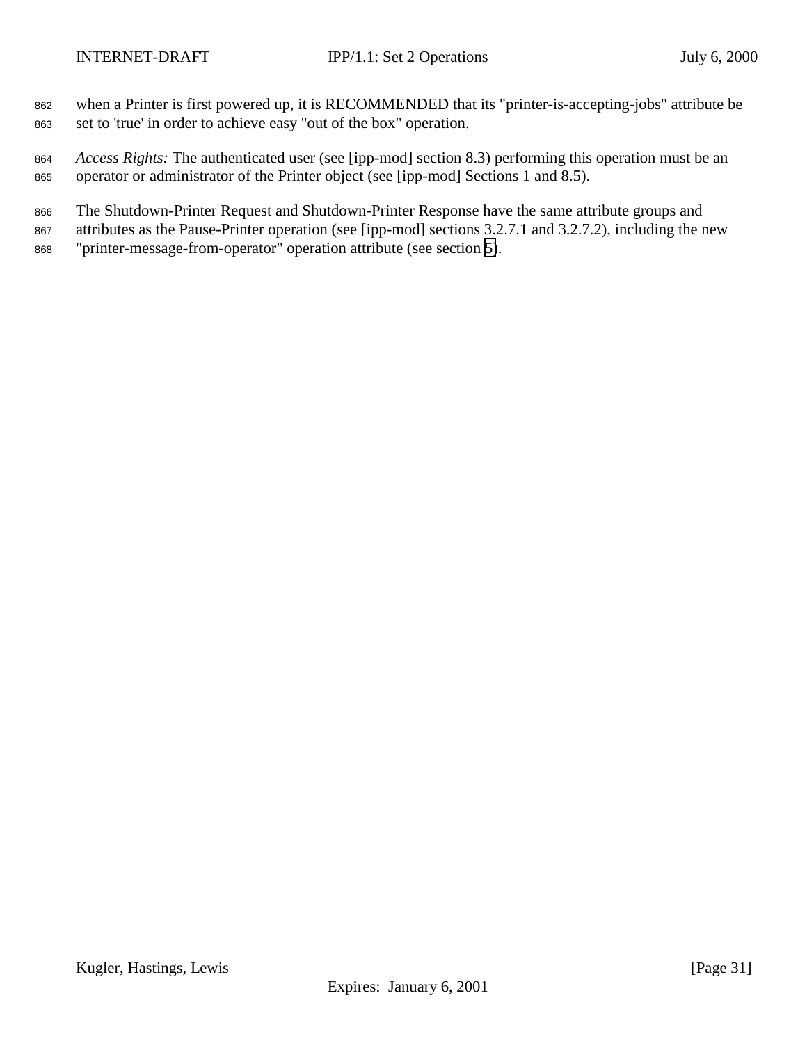- when a Printer is first powered up, it is RECOMMENDED that its "printer-is-accepting-jobs" attribute be set to 'true' in order to achieve easy "out of the box" operation.
- *Access Rights:* The authenticated user (see [ipp-mod] section 8.3) performing this operation must be an operator or administrator of the Printer object (see [ipp-mod] Sections 1 and 8.5).
- The Shutdown-Printer Request and Shutdown-Printer Response have the same attribute groups and
- attributes as the Pause-Printer operation (see [ipp-mod] sections 3.2.7.1 and 3.2.7.2), including the new "printer-message-from-operator" operation attribute (see section [5\)](#page-17-0).

Kugler, Hastings, Lewis [Page 31]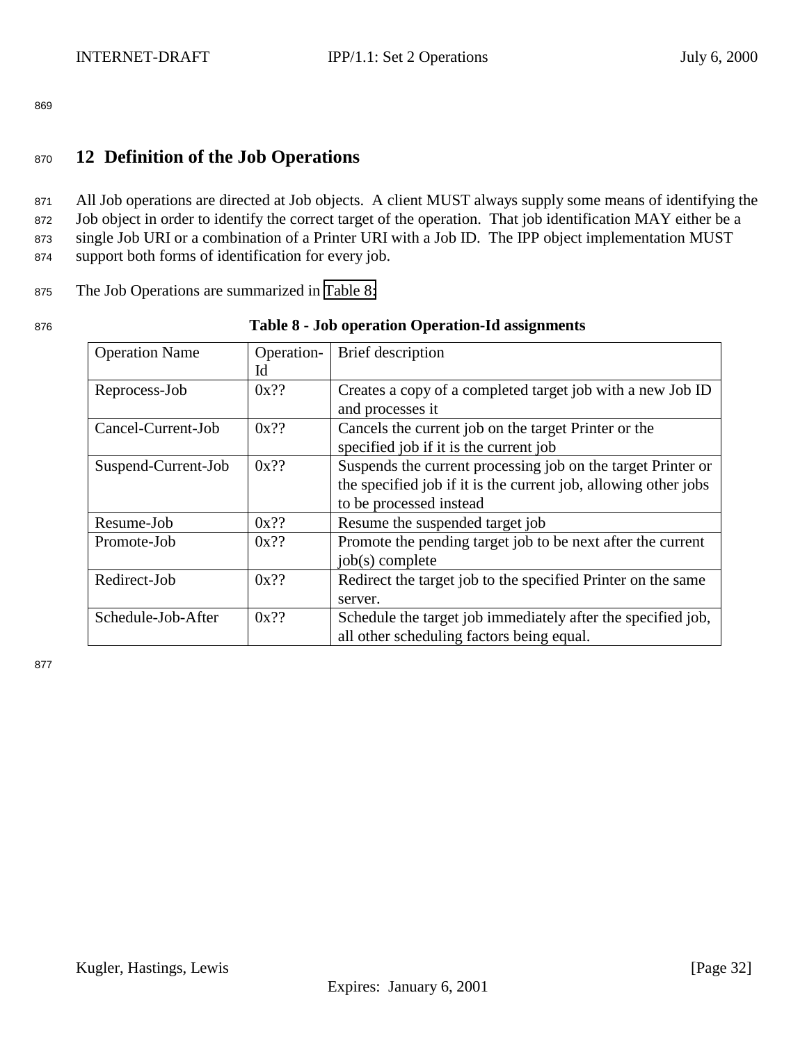# <span id="page-31-0"></span><sup>870</sup> **12 Definition of the Job Operations**

 All Job operations are directed at Job objects. A client MUST always supply some means of identifying the 872 Job object in order to identify the correct target of the operation. That job identification MAY either be a single Job URI or a combination of a Printer URI with a Job ID. The IPP object implementation MUST support both forms of identification for every job.

<sup>875</sup> The Job Operations are summarized in Table 8:

#### <sup>876</sup> **Table 8 - Job operation Operation-Id assignments**

| <b>Operation Name</b> | Operation- | Brief description                                               |
|-----------------------|------------|-----------------------------------------------------------------|
|                       | Id         |                                                                 |
| Reprocess-Job         | $0x$ ??    | Creates a copy of a completed target job with a new Job ID      |
|                       |            | and processes it                                                |
| Cancel-Current-Job    | $0x$ ??    | Cancels the current job on the target Printer or the            |
|                       |            | specified job if it is the current job                          |
| Suspend-Current-Job   | $0x$ ??    | Suspends the current processing job on the target Printer or    |
|                       |            | the specified job if it is the current job, allowing other jobs |
|                       |            | to be processed instead                                         |
| Resume-Job            | $0x$ ??    | Resume the suspended target job                                 |
| Promote-Job           | $0x$ ??    | Promote the pending target job to be next after the current     |
|                       |            | $job(s)$ complete                                               |
| Redirect-Job          | $0x$ ??    | Redirect the target job to the specified Printer on the same    |
|                       |            | server.                                                         |
| Schedule-Job-After    | $0x$ ??    | Schedule the target job immediately after the specified job,    |
|                       |            | all other scheduling factors being equal.                       |

877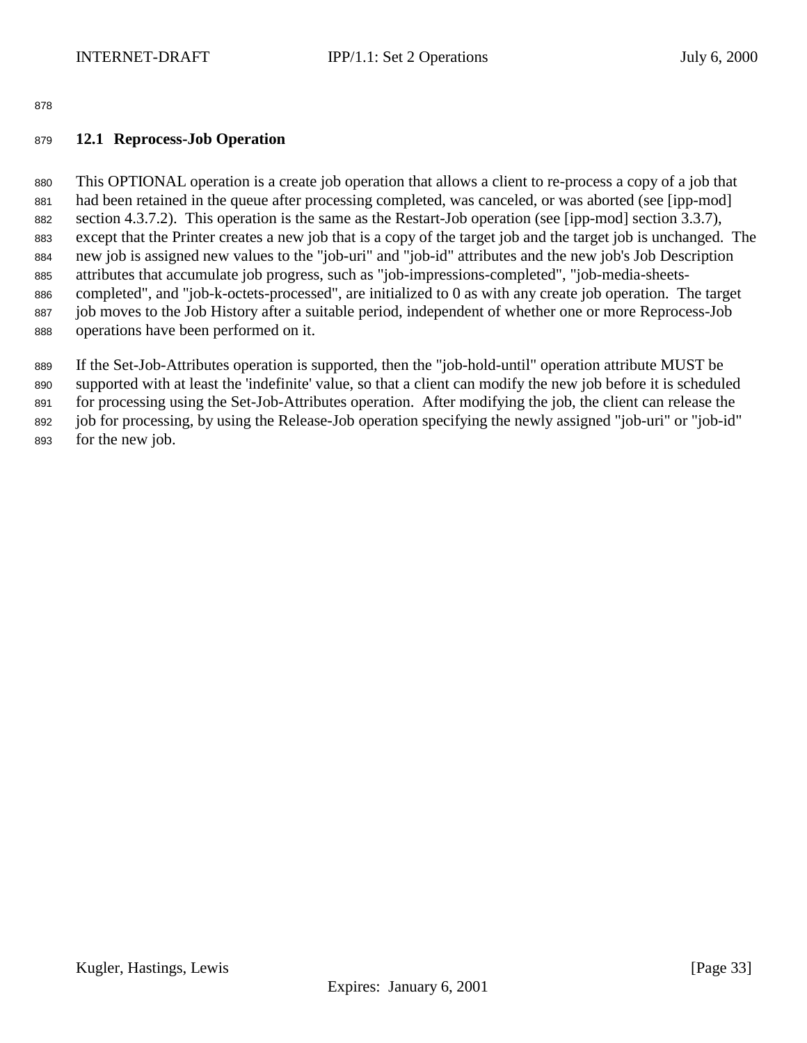# <span id="page-32-0"></span>**12.1 Reprocess-Job Operation**

 This OPTIONAL operation is a create job operation that allows a client to re-process a copy of a job that had been retained in the queue after processing completed, was canceled, or was aborted (see [ipp-mod] section 4.3.7.2). This operation is the same as the Restart-Job operation (see [ipp-mod] section 3.3.7), except that the Printer creates a new job that is a copy of the target job and the target job is unchanged. The new job is assigned new values to the "job-uri" and "job-id" attributes and the new job's Job Description attributes that accumulate job progress, such as "job-impressions-completed", "job-media-sheets- completed", and "job-k-octets-processed", are initialized to 0 as with any create job operation. The target job moves to the Job History after a suitable period, independent of whether one or more Reprocess-Job operations have been performed on it.

If the Set-Job-Attributes operation is supported, then the "job-hold-until" operation attribute MUST be

supported with at least the 'indefinite' value, so that a client can modify the new job before it is scheduled

for processing using the Set-Job-Attributes operation. After modifying the job, the client can release the

 job for processing, by using the Release-Job operation specifying the newly assigned "job-uri" or "job-id" for the new job.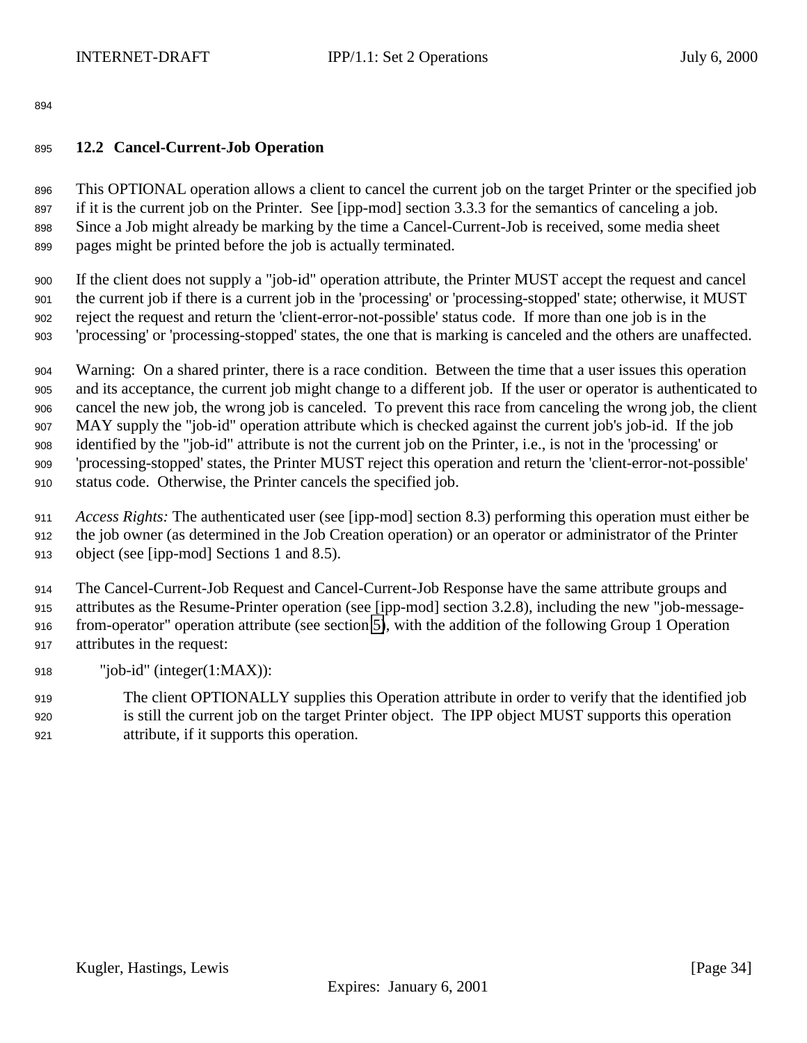# <span id="page-33-0"></span>**12.2 Cancel-Current-Job Operation**

 This OPTIONAL operation allows a client to cancel the current job on the target Printer or the specified job if it is the current job on the Printer. See [ipp-mod] section 3.3.3 for the semantics of canceling a job. Since a Job might already be marking by the time a Cancel-Current-Job is received, some media sheet pages might be printed before the job is actually terminated.

 If the client does not supply a "job-id" operation attribute, the Printer MUST accept the request and cancel the current job if there is a current job in the 'processing' or 'processing-stopped' state; otherwise, it MUST reject the request and return the 'client-error-not-possible' status code. If more than one job is in the 'processing' or 'processing-stopped' states, the one that is marking is canceled and the others are unaffected.

 Warning: On a shared printer, there is a race condition. Between the time that a user issues this operation and its acceptance, the current job might change to a different job. If the user or operator is authenticated to cancel the new job, the wrong job is canceled. To prevent this race from canceling the wrong job, the client MAY supply the "job-id" operation attribute which is checked against the current job's job-id. If the job identified by the "job-id" attribute is not the current job on the Printer, i.e., is not in the 'processing' or 'processing-stopped' states, the Printer MUST reject this operation and return the 'client-error-not-possible' status code. Otherwise, the Printer cancels the specified job.

 *Access Rights:* The authenticated user (see [ipp-mod] section 8.3) performing this operation must either be the job owner (as determined in the Job Creation operation) or an operator or administrator of the Printer object (see [ipp-mod] Sections 1 and 8.5).

 The Cancel-Current-Job Request and Cancel-Current-Job Response have the same attribute groups and attributes as the Resume-Printer operation (see [ipp-mod] section 3.2.8), including the new "job-message- from-operator" operation attribute (see section [5\)](#page-17-0), with the addition of the following Group 1 Operation attributes in the request:

- "job-id" (integer(1:MAX)):
- The client OPTIONALLY supplies this Operation attribute in order to verify that the identified job is still the current job on the target Printer object. The IPP object MUST supports this operation attribute, if it supports this operation.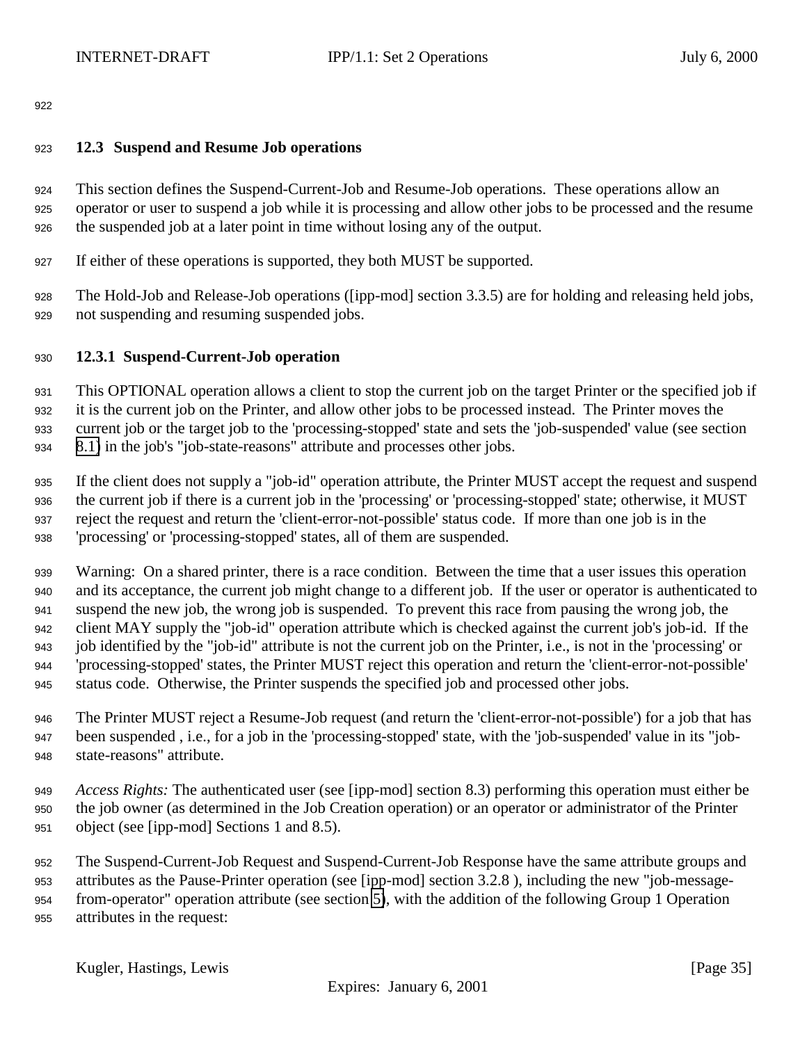## <span id="page-34-0"></span>**12.3 Suspend and Resume Job operations**

 This section defines the Suspend-Current-Job and Resume-Job operations. These operations allow an operator or user to suspend a job while it is processing and allow other jobs to be processed and the resume the suspended job at a later point in time without losing any of the output.

If either of these operations is supported, they both MUST be supported.

 The Hold-Job and Release-Job operations ([ipp-mod] section 3.3.5) are for holding and releasing held jobs, not suspending and resuming suspended jobs.

# **12.3.1 Suspend-Current-Job operation**

 This OPTIONAL operation allows a client to stop the current job on the target Printer or the specified job if it is the current job on the Printer, and allow other jobs to be processed instead. The Printer moves the current job or the target job to the 'processing-stopped' state and sets the 'job-suspended' value (see section [8.1\)](#page-20-0) in the job's "job-state-reasons" attribute and processes other jobs.

 If the client does not supply a "job-id" operation attribute, the Printer MUST accept the request and suspend the current job if there is a current job in the 'processing' or 'processing-stopped' state; otherwise, it MUST reject the request and return the 'client-error-not-possible' status code. If more than one job is in the 'processing' or 'processing-stopped' states, all of them are suspended.

 Warning: On a shared printer, there is a race condition. Between the time that a user issues this operation and its acceptance, the current job might change to a different job. If the user or operator is authenticated to suspend the new job, the wrong job is suspended. To prevent this race from pausing the wrong job, the client MAY supply the "job-id" operation attribute which is checked against the current job's job-id. If the job identified by the "job-id" attribute is not the current job on the Printer, i.e., is not in the 'processing' or 'processing-stopped' states, the Printer MUST reject this operation and return the 'client-error-not-possible' status code. Otherwise, the Printer suspends the specified job and processed other jobs.

 The Printer MUST reject a Resume-Job request (and return the 'client-error-not-possible') for a job that has been suspended , i.e., for a job in the 'processing-stopped' state, with the 'job-suspended' value in its "job-state-reasons" attribute.

 *Access Rights:* The authenticated user (see [ipp-mod] section 8.3) performing this operation must either be the job owner (as determined in the Job Creation operation) or an operator or administrator of the Printer object (see [ipp-mod] Sections 1 and 8.5).

 The Suspend-Current-Job Request and Suspend-Current-Job Response have the same attribute groups and attributes as the Pause-Printer operation (see [ipp-mod] section 3.2.8 ), including the new "job-message- from-operator" operation attribute (see section [5\)](#page-17-0), with the addition of the following Group 1 Operation attributes in the request: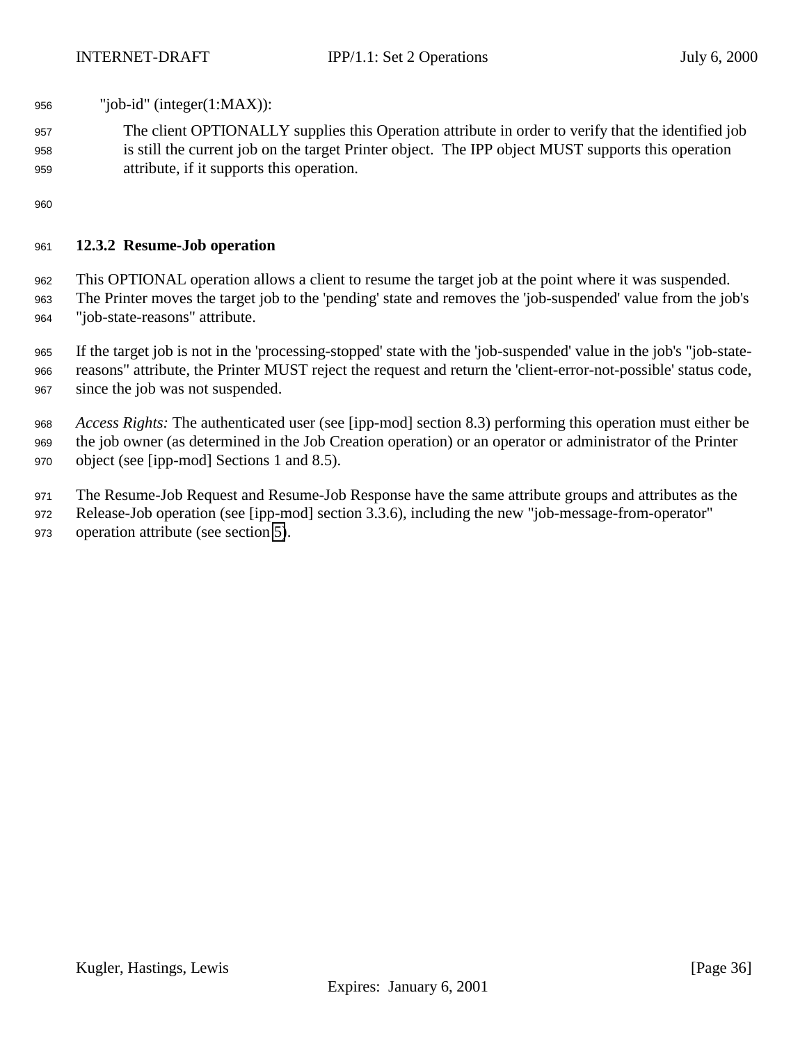- <span id="page-35-0"></span>"job-id" (integer(1:MAX)):
- The client OPTIONALLY supplies this Operation attribute in order to verify that the identified job is still the current job on the target Printer object. The IPP object MUST supports this operation attribute, if it supports this operation.

## **12.3.2 Resume-Job operation**

 This OPTIONAL operation allows a client to resume the target job at the point where it was suspended. The Printer moves the target job to the 'pending' state and removes the 'job-suspended' value from the job's "job-state-reasons" attribute.

 If the target job is not in the 'processing-stopped' state with the 'job-suspended' value in the job's "job-state- reasons" attribute, the Printer MUST reject the request and return the 'client-error-not-possible' status code, since the job was not suspended.

 *Access Rights:* The authenticated user (see [ipp-mod] section 8.3) performing this operation must either be the job owner (as determined in the Job Creation operation) or an operator or administrator of the Printer object (see [ipp-mod] Sections 1 and 8.5).

The Resume-Job Request and Resume-Job Response have the same attribute groups and attributes as the

Release-Job operation (see [ipp-mod] section 3.3.6), including the new "job-message-from-operator"

operation attribute (see section [5\)](#page-17-0).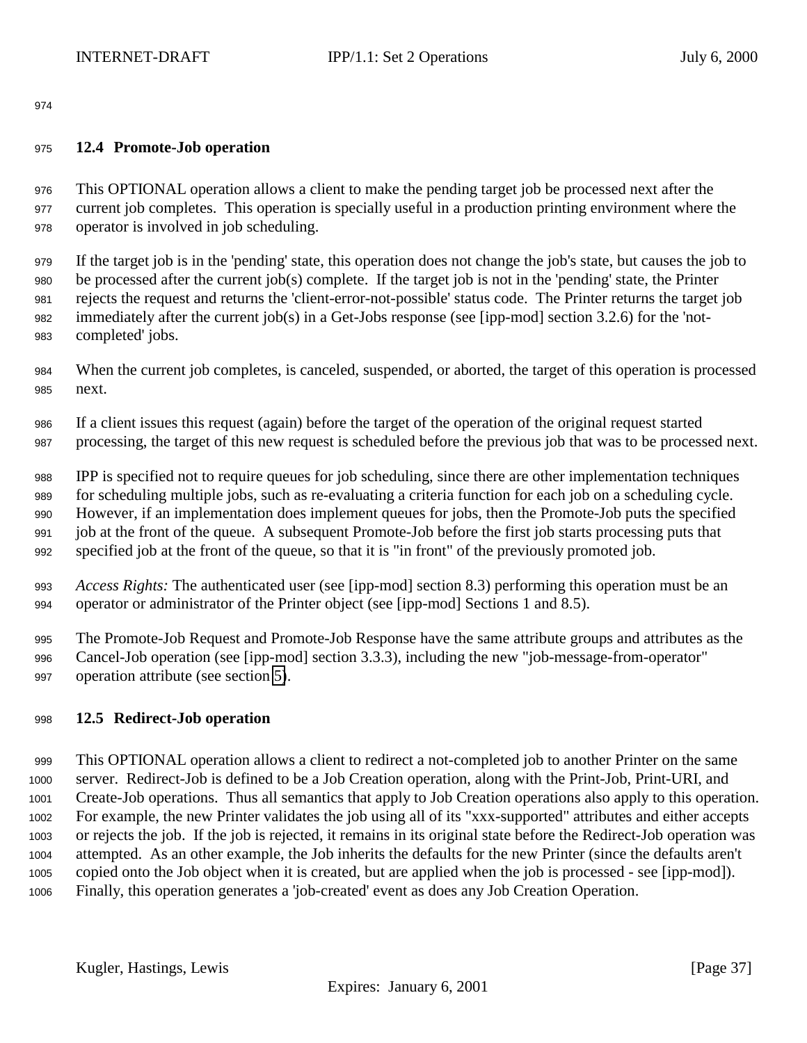## <span id="page-36-0"></span>**12.4 Promote-Job operation**

 This OPTIONAL operation allows a client to make the pending target job be processed next after the current job completes. This operation is specially useful in a production printing environment where the operator is involved in job scheduling.

 If the target job is in the 'pending' state, this operation does not change the job's state, but causes the job to be processed after the current job(s) complete. If the target job is not in the 'pending' state, the Printer rejects the request and returns the 'client-error-not-possible' status code. The Printer returns the target job immediately after the current job(s) in a Get-Jobs response (see [ipp-mod] section 3.2.6) for the 'not-completed' jobs.

- When the current job completes, is canceled, suspended, or aborted, the target of this operation is processed next.
- If a client issues this request (again) before the target of the operation of the original request started processing, the target of this new request is scheduled before the previous job that was to be processed next.

 IPP is specified not to require queues for job scheduling, since there are other implementation techniques for scheduling multiple jobs, such as re-evaluating a criteria function for each job on a scheduling cycle. However, if an implementation does implement queues for jobs, then the Promote-Job puts the specified job at the front of the queue. A subsequent Promote-Job before the first job starts processing puts that specified job at the front of the queue, so that it is "in front" of the previously promoted job.

 *Access Rights:* The authenticated user (see [ipp-mod] section 8.3) performing this operation must be an operator or administrator of the Printer object (see [ipp-mod] Sections 1 and 8.5).

 The Promote-Job Request and Promote-Job Response have the same attribute groups and attributes as the Cancel-Job operation (see [ipp-mod] section 3.3.3), including the new "job-message-from-operator" operation attribute (see section [5\)](#page-17-0).

# **12.5 Redirect-Job operation**

 This OPTIONAL operation allows a client to redirect a not-completed job to another Printer on the same server. Redirect-Job is defined to be a Job Creation operation, along with the Print-Job, Print-URI, and Create-Job operations. Thus all semantics that apply to Job Creation operations also apply to this operation. For example, the new Printer validates the job using all of its "xxx-supported" attributes and either accepts or rejects the job. If the job is rejected, it remains in its original state before the Redirect-Job operation was attempted. As an other example, the Job inherits the defaults for the new Printer (since the defaults aren't copied onto the Job object when it is created, but are applied when the job is processed - see [ipp-mod]). Finally, this operation generates a 'job-created' event as does any Job Creation Operation.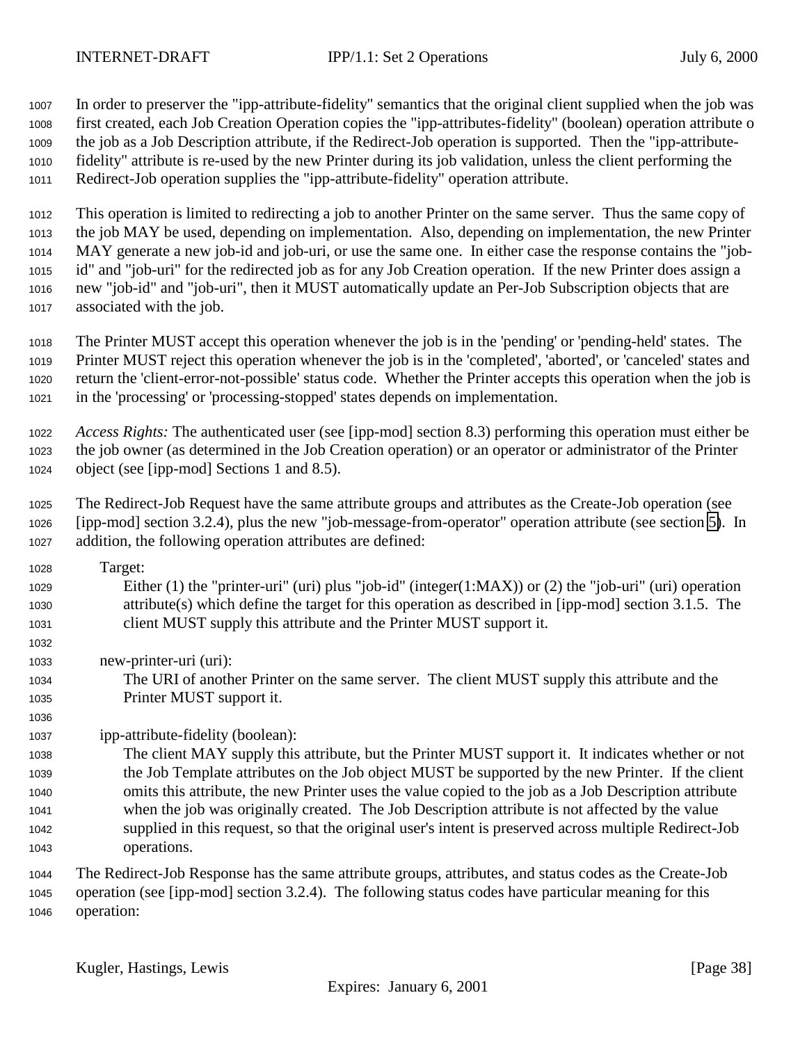In order to preserver the "ipp-attribute-fidelity" semantics that the original client supplied when the job was first created, each Job Creation Operation copies the "ipp-attributes-fidelity" (boolean) operation attribute o the job as a Job Description attribute, if the Redirect-Job operation is supported. Then the "ipp-attribute- fidelity" attribute is re-used by the new Printer during its job validation, unless the client performing the Redirect-Job operation supplies the "ipp-attribute-fidelity" operation attribute.

 This operation is limited to redirecting a job to another Printer on the same server. Thus the same copy of the job MAY be used, depending on implementation. Also, depending on implementation, the new Printer MAY generate a new job-id and job-uri, or use the same one. In either case the response contains the "job- id" and "job-uri" for the redirected job as for any Job Creation operation. If the new Printer does assign a new "job-id" and "job-uri", then it MUST automatically update an Per-Job Subscription objects that are associated with the job.

 The Printer MUST accept this operation whenever the job is in the 'pending' or 'pending-held' states. The Printer MUST reject this operation whenever the job is in the 'completed', 'aborted', or 'canceled' states and return the 'client-error-not-possible' status code. Whether the Printer accepts this operation when the job is in the 'processing' or 'processing-stopped' states depends on implementation.

 *Access Rights:* The authenticated user (see [ipp-mod] section 8.3) performing this operation must either be the job owner (as determined in the Job Creation operation) or an operator or administrator of the Printer object (see [ipp-mod] Sections 1 and 8.5).

 The Redirect-Job Request have the same attribute groups and attributes as the Create-Job operation (see [ipp-mod] section 3.2.4), plus the new "job-message-from-operator" operation attribute (see section [5\)](#page-17-0). In addition, the following operation attributes are defined:

- Target: Either (1) the "printer-uri" (uri) plus "job-id" (integer(1:MAX)) or (2) the "job-uri" (uri) operation attribute(s) which define the target for this operation as described in [ipp-mod] section 3.1.5. The client MUST supply this attribute and the Printer MUST support it.
- new-printer-uri (uri):

 The URI of another Printer on the same server. The client MUST supply this attribute and the Printer MUST support it.

ipp-attribute-fidelity (boolean):

 The client MAY supply this attribute, but the Printer MUST support it. It indicates whether or not the Job Template attributes on the Job object MUST be supported by the new Printer. If the client omits this attribute, the new Printer uses the value copied to the job as a Job Description attribute when the job was originally created. The Job Description attribute is not affected by the value supplied in this request, so that the original user's intent is preserved across multiple Redirect-Job operations.

 The Redirect-Job Response has the same attribute groups, attributes, and status codes as the Create-Job operation (see [ipp-mod] section 3.2.4). The following status codes have particular meaning for this operation: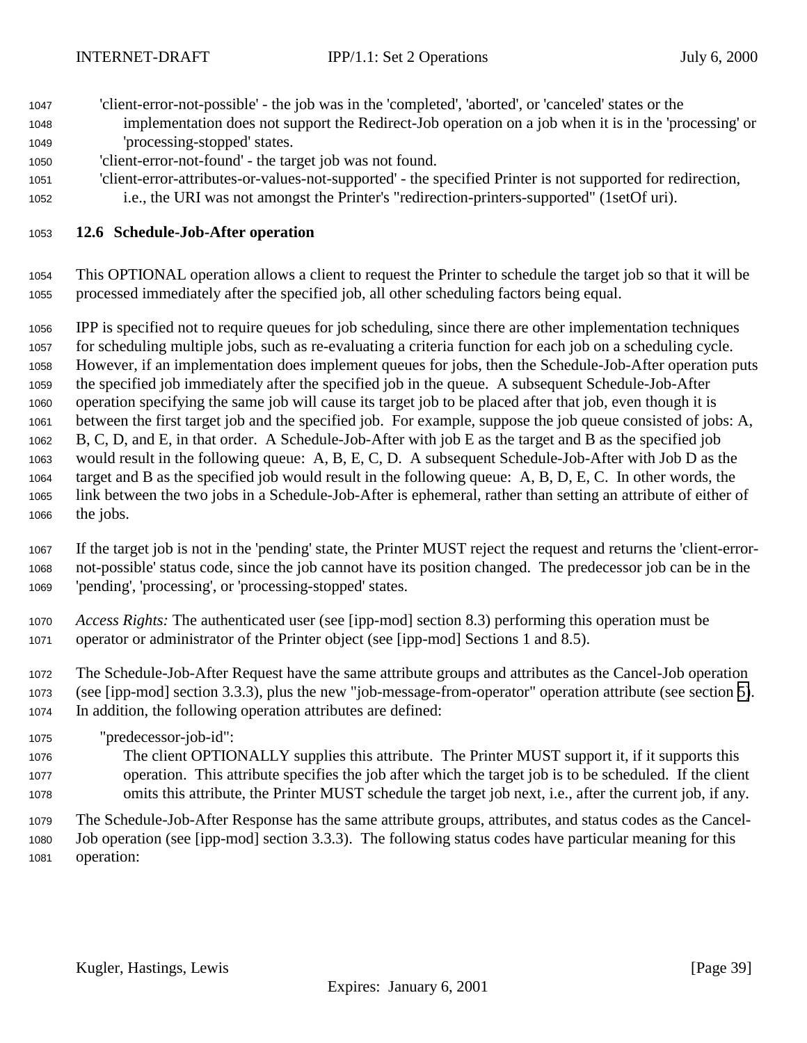- <span id="page-38-0"></span> 'client-error-not-possible' - the job was in the 'completed', 'aborted', or 'canceled' states or the implementation does not support the Redirect-Job operation on a job when it is in the 'processing' or 'processing-stopped' states.
- 'client-error-not-found' the target job was not found.
- 'client-error-attributes-or-values-not-supported' the specified Printer is not supported for redirection,
- i.e., the URI was not amongst the Printer's "redirection-printers-supported" (1setOf uri).

#### **12.6 Schedule-Job-After operation**

 This OPTIONAL operation allows a client to request the Printer to schedule the target job so that it will be processed immediately after the specified job, all other scheduling factors being equal.

 IPP is specified not to require queues for job scheduling, since there are other implementation techniques for scheduling multiple jobs, such as re-evaluating a criteria function for each job on a scheduling cycle. However, if an implementation does implement queues for jobs, then the Schedule-Job-After operation puts the specified job immediately after the specified job in the queue. A subsequent Schedule-Job-After operation specifying the same job will cause its target job to be placed after that job, even though it is between the first target job and the specified job. For example, suppose the job queue consisted of jobs: A, B, C, D, and E, in that order. A Schedule-Job-After with job E as the target and B as the specified job would result in the following queue: A, B, E, C, D. A subsequent Schedule-Job-After with Job D as the target and B as the specified job would result in the following queue: A, B, D, E, C. In other words, the link between the two jobs in a Schedule-Job-After is ephemeral, rather than setting an attribute of either of the jobs.

 If the target job is not in the 'pending' state, the Printer MUST reject the request and returns the 'client-error- not-possible' status code, since the job cannot have its position changed. The predecessor job can be in the 'pending', 'processing', or 'processing-stopped' states.

- *Access Rights:* The authenticated user (see [ipp-mod] section 8.3) performing this operation must be operator or administrator of the Printer object (see [ipp-mod] Sections 1 and 8.5).
- The Schedule-Job-After Request have the same attribute groups and attributes as the Cancel-Job operation (see [ipp-mod] section 3.3.3), plus the new "job-message-from-operator" operation attribute (see section [5\)](#page-17-0). In addition, the following operation attributes are defined:
- "predecessor-job-id":
- The client OPTIONALLY supplies this attribute. The Printer MUST support it, if it supports this operation. This attribute specifies the job after which the target job is to be scheduled. If the client omits this attribute, the Printer MUST schedule the target job next, i.e., after the current job, if any.

 The Schedule-Job-After Response has the same attribute groups, attributes, and status codes as the Cancel- Job operation (see [ipp-mod] section 3.3.3). The following status codes have particular meaning for this operation: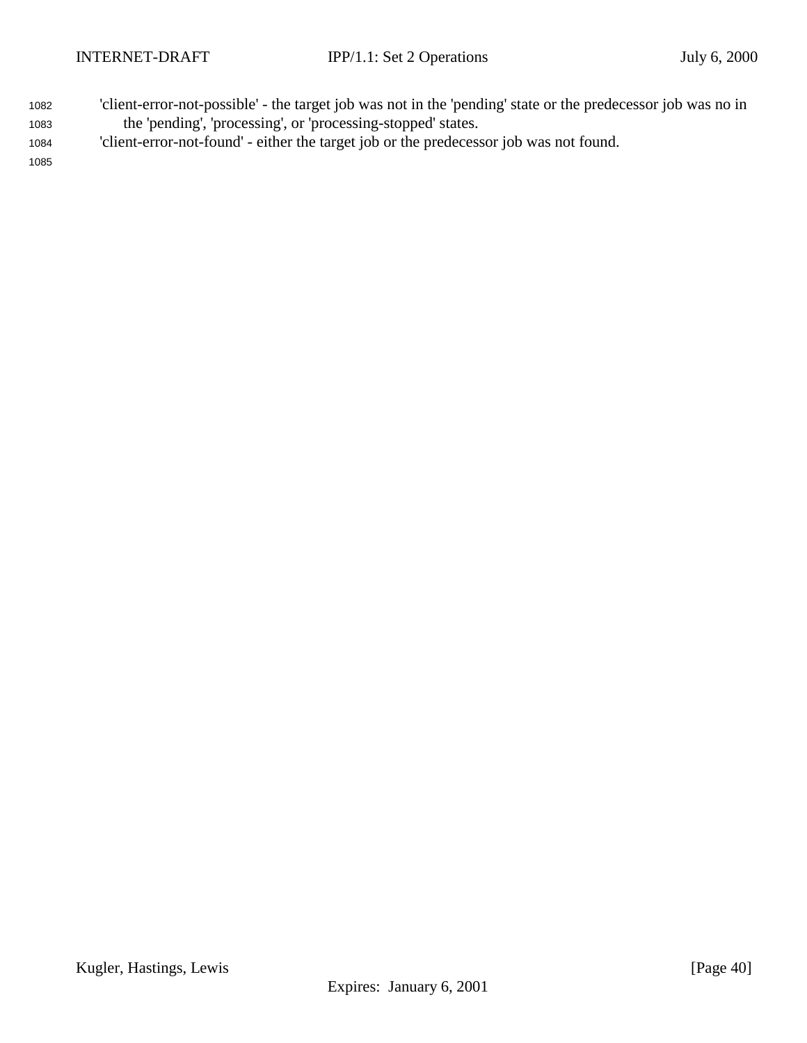- <sup>1082</sup> 'client-error-not-possible' the target job was not in the 'pending' state or the predecessor job was no in <sup>1083</sup> the 'pending', 'processing', or 'processing-stopped' states.
- <sup>1084</sup> 'client-error-not-found' either the target job or the predecessor job was not found.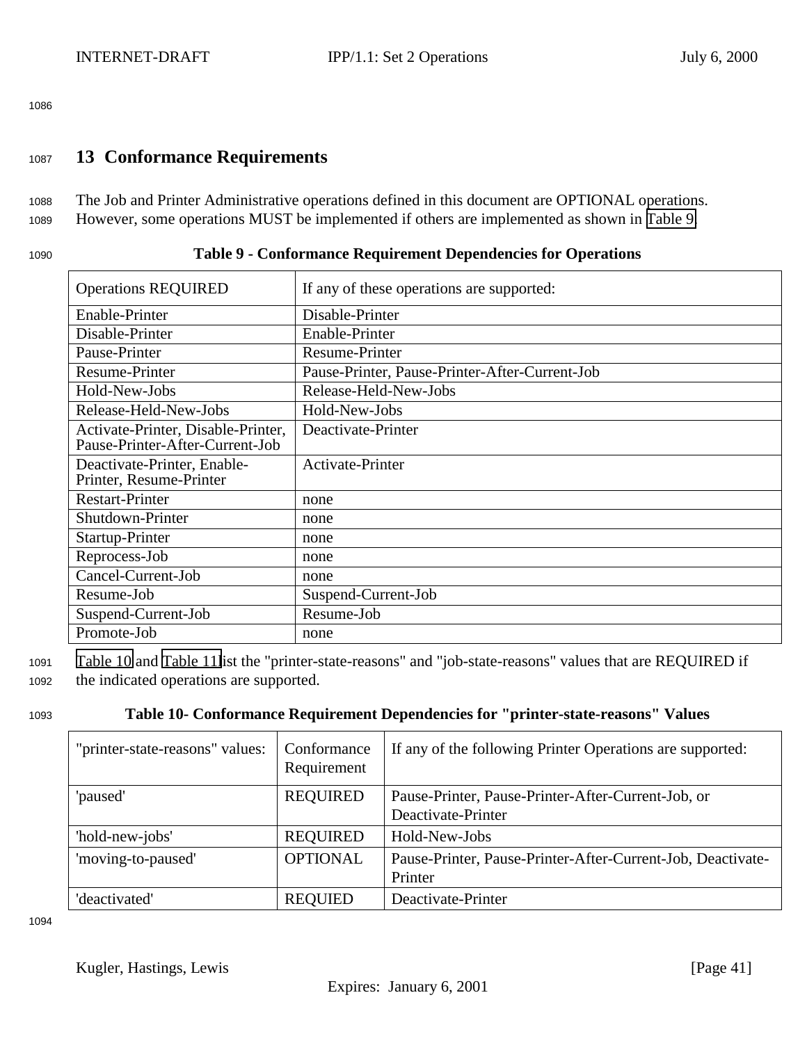# <span id="page-40-0"></span><sup>1087</sup> **13 Conformance Requirements**

<sup>1088</sup> The Job and Printer Administrative operations defined in this document are OPTIONAL operations. <sup>1089</sup> However, some operations MUST be implemented if others are implemented as shown in Table 9.

| Table 9 - Conformance Requirement Dependencies for Operations<br>1090 |
|-----------------------------------------------------------------------|
|-----------------------------------------------------------------------|

| <b>Operations REQUIRED</b>                                            | If any of these operations are supported:      |
|-----------------------------------------------------------------------|------------------------------------------------|
| Enable-Printer                                                        | Disable-Printer                                |
| Disable-Printer                                                       | Enable-Printer                                 |
| Pause-Printer                                                         | <b>Resume-Printer</b>                          |
| Resume-Printer                                                        | Pause-Printer, Pause-Printer-After-Current-Job |
| Hold-New-Jobs                                                         | Release-Held-New-Jobs                          |
| Release-Held-New-Jobs                                                 | Hold-New-Jobs                                  |
| Activate-Printer, Disable-Printer,<br>Pause-Printer-After-Current-Job | Deactivate-Printer                             |
| Deactivate-Printer, Enable-<br>Printer, Resume-Printer                | Activate-Printer                               |
| <b>Restart-Printer</b>                                                | none                                           |
| Shutdown-Printer                                                      | none                                           |
| Startup-Printer                                                       | none                                           |
| Reprocess-Job                                                         | none                                           |
| Cancel-Current-Job                                                    | none                                           |
| Resume-Job                                                            | Suspend-Current-Job                            |
| Suspend-Current-Job                                                   | Resume-Job                                     |
| Promote-Job                                                           | none                                           |

<sup>1091</sup> Table 10 and [Table 11l](#page-41-0)ist the "printer-state-reasons" and "job-state-reasons" values that are REQUIRED if <sup>1092</sup> the indicated operations are supported.

# <sup>1093</sup> **Table 10- Conformance Requirement Dependencies for "printer-state-reasons" Values**

| "printer-state-reasons" values: | Conformance<br>Requirement | If any of the following Printer Operations are supported:   |
|---------------------------------|----------------------------|-------------------------------------------------------------|
| 'paused'                        | <b>REQUIRED</b>            | Pause-Printer, Pause-Printer-After-Current-Job, or          |
|                                 |                            | Deactivate-Printer                                          |
| 'hold-new-jobs'                 | <b>REQUIRED</b>            | Hold-New-Jobs                                               |
| 'moving-to-paused'              | <b>OPTIONAL</b>            | Pause-Printer, Pause-Printer-After-Current-Job, Deactivate- |
|                                 |                            | Printer                                                     |
| 'deactivated'                   | <b>REQUIED</b>             | Deactivate-Printer                                          |

1094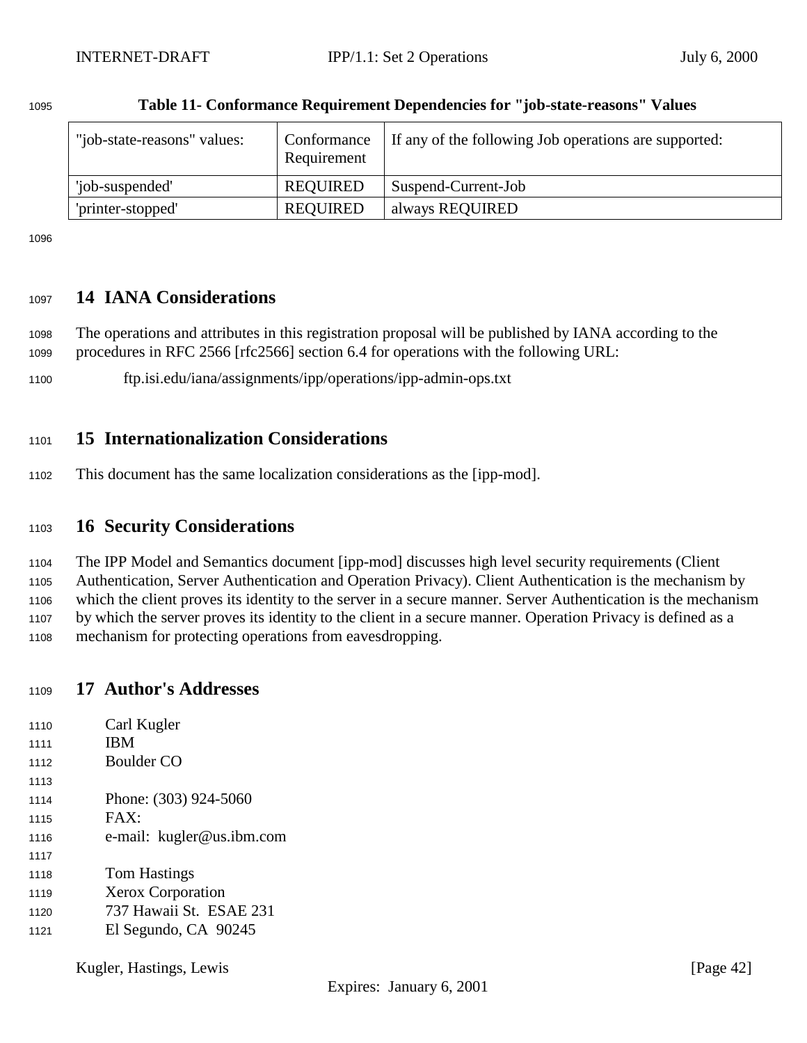| "job-state-reasons" values: | Conformance<br>Requirement | If any of the following Job operations are supported: |
|-----------------------------|----------------------------|-------------------------------------------------------|
| 'job-suspended'             | <b>REQUIRED</b>            | Suspend-Current-Job                                   |
| 'printer-stopped'           | <b>REQUIRED</b>            | always REQUIRED                                       |

## <span id="page-41-0"></span>**Table 11- Conformance Requirement Dependencies for "job-state-reasons" Values**

# **14 IANA Considerations**

 The operations and attributes in this registration proposal will be published by IANA according to the procedures in RFC 2566 [rfc2566] section 6.4 for operations with the following URL:

ftp.isi.edu/iana/assignments/ipp/operations/ipp-admin-ops.txt

# **15 Internationalization Considerations**

This document has the same localization considerations as the [ipp-mod].

# **16 Security Considerations**

The IPP Model and Semantics document [ipp-mod] discusses high level security requirements (Client

Authentication, Server Authentication and Operation Privacy). Client Authentication is the mechanism by

 which the client proves its identity to the server in a secure manner. Server Authentication is the mechanism by which the server proves its identity to the client in a secure manner. Operation Privacy is defined as a

mechanism for protecting operations from eavesdropping.

# **17 Author's Addresses**

- Carl Kugler **IBM**  Boulder CO 1114 Phone: (303) 924-5060 FAX: e-mail: kugler@us.ibm.com Tom Hastings Xerox Corporation 737 Hawaii St. ESAE 231
- El Segundo, CA 90245

Kugler, Hastings, Lewis [Page 42]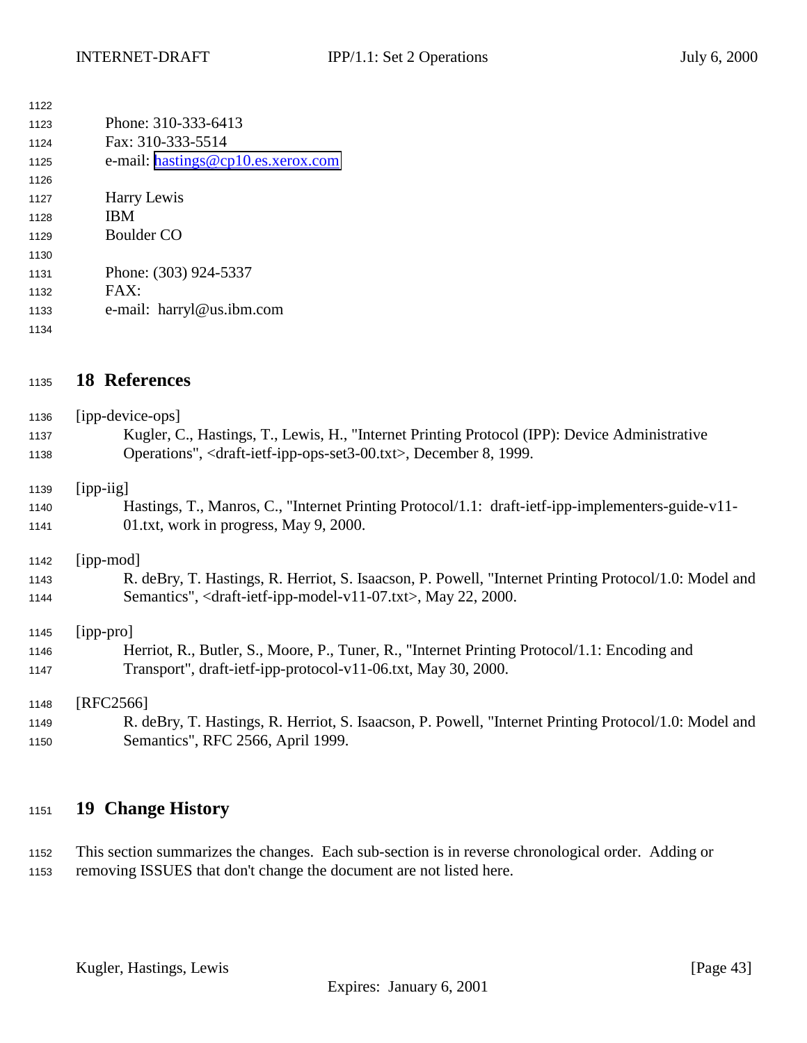<span id="page-42-0"></span>

| 1122 |                                    |
|------|------------------------------------|
| 1123 | Phone: 310-333-6413                |
| 1124 | Fax: 310-333-5514                  |
| 1125 | e-mail: hastings@cp10.es.xerox.com |
| 1126 |                                    |
| 1127 | Harry Lewis                        |
| 1128 | <b>IBM</b>                         |
| 1129 | Boulder CO                         |
| 1130 |                                    |
| 1131 | Phone: (303) 924-5337              |
| 1132 | FAX:                               |
| 1133 | e-mail: harryl@us.ibm.com          |
| 1134 |                                    |

# **18 References**

| 1136<br>1137<br>1138 | [ipp-device-ops]<br>Kugler, C., Hastings, T., Lewis, H., "Internet Printing Protocol (IPP): Device Administrative<br>Operations", <draft-ietf-ipp-ops-set3-00.txt>, December 8, 1999.</draft-ietf-ipp-ops-set3-00.txt> |
|----------------------|------------------------------------------------------------------------------------------------------------------------------------------------------------------------------------------------------------------------|
| 1139                 | $[$ ipp-iig]                                                                                                                                                                                                           |
| 1140                 | Hastings, T., Manros, C., "Internet Printing Protocol/1.1: draft-ietf-ipp-implementers-guide-v11-                                                                                                                      |
| 1141                 | 01.txt, work in progress, May 9, 2000.                                                                                                                                                                                 |
| 1142                 | [ipp-mod]                                                                                                                                                                                                              |
| 1143                 | R. deBry, T. Hastings, R. Herriot, S. Isaacson, P. Powell, "Internet Printing Protocol/1.0: Model and                                                                                                                  |
| 1144                 | Semantics", <draft-ietf-ipp-model-v11-07.txt>, May 22, 2000.</draft-ietf-ipp-model-v11-07.txt>                                                                                                                         |
| 1145                 | [ipp-pro]                                                                                                                                                                                                              |
| 1146                 | Herriot, R., Butler, S., Moore, P., Tuner, R., "Internet Printing Protocol/1.1: Encoding and                                                                                                                           |
| 1147                 | Transport", draft-ietf-ipp-protocol-v11-06.txt, May 30, 2000.                                                                                                                                                          |
| 1148                 | [RFC2566]                                                                                                                                                                                                              |
| 1149                 | R. deBry, T. Hastings, R. Herriot, S. Isaacson, P. Powell, "Internet Printing Protocol/1.0: Model and                                                                                                                  |
| 1150                 | Semantics", RFC 2566, April 1999.                                                                                                                                                                                      |

# **19 Change History**

 This section summarizes the changes. Each sub-section is in reverse chronological order. Adding or removing ISSUES that don't change the document are not listed here.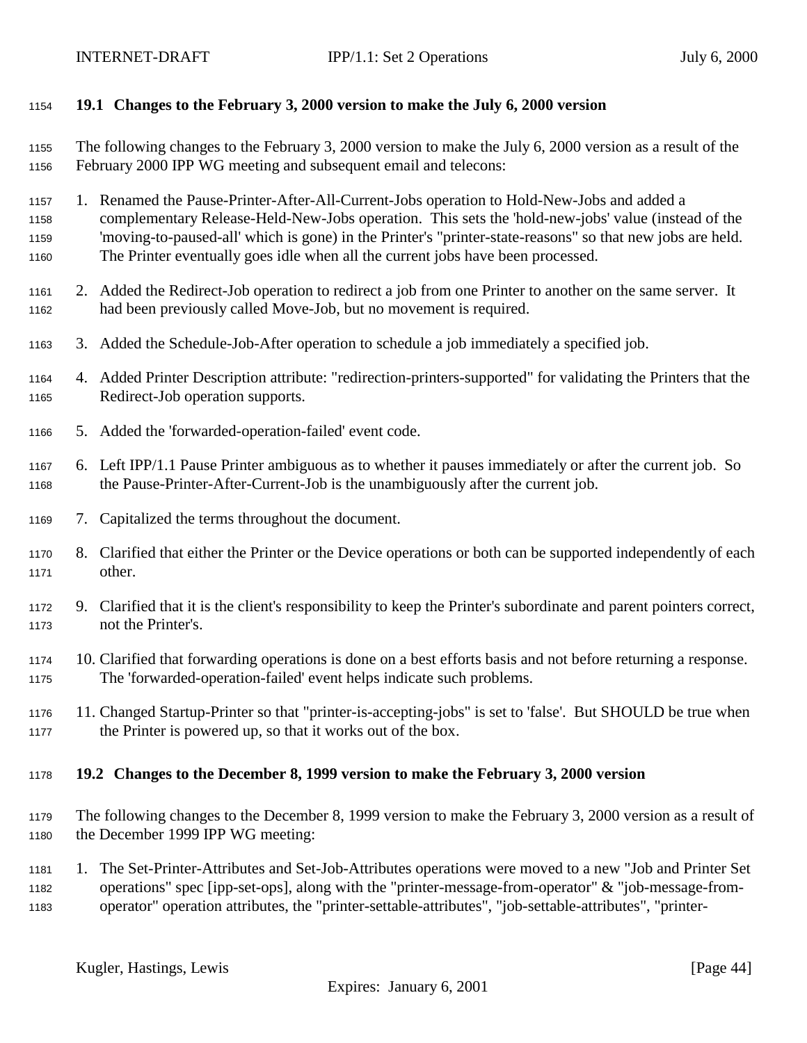## <span id="page-43-0"></span>**19.1 Changes to the February 3, 2000 version to make the July 6, 2000 version**

 The following changes to the February 3, 2000 version to make the July 6, 2000 version as a result of the February 2000 IPP WG meeting and subsequent email and telecons:

1. Renamed the Pause-Printer-After-All-Current-Jobs operation to Hold-New-Jobs and added a

 complementary Release-Held-New-Jobs operation. This sets the 'hold-new-jobs' value (instead of the 'moving-to-paused-all' which is gone) in the Printer's "printer-state-reasons" so that new jobs are held. The Printer eventually goes idle when all the current jobs have been processed.

- 2. Added the Redirect-Job operation to redirect a job from one Printer to another on the same server. It had been previously called Move-Job, but no movement is required.
- 3. Added the Schedule-Job-After operation to schedule a job immediately a specified job.
- 4. Added Printer Description attribute: "redirection-printers-supported" for validating the Printers that the Redirect-Job operation supports.
- 5. Added the 'forwarded-operation-failed' event code.
- 6. Left IPP/1.1 Pause Printer ambiguous as to whether it pauses immediately or after the current job. So the Pause-Printer-After-Current-Job is the unambiguously after the current job.
- 7. Capitalized the terms throughout the document.
- 8. Clarified that either the Printer or the Device operations or both can be supported independently of each other.
- 9. Clarified that it is the client's responsibility to keep the Printer's subordinate and parent pointers correct, not the Printer's.
- 10. Clarified that forwarding operations is done on a best efforts basis and not before returning a response. The 'forwarded-operation-failed' event helps indicate such problems.
- 11. Changed Startup-Printer so that "printer-is-accepting-jobs" is set to 'false'. But SHOULD be true when the Printer is powered up, so that it works out of the box.

#### **19.2 Changes to the December 8, 1999 version to make the February 3, 2000 version**

 The following changes to the December 8, 1999 version to make the February 3, 2000 version as a result of the December 1999 IPP WG meeting:

 1. The Set-Printer-Attributes and Set-Job-Attributes operations were moved to a new "Job and Printer Set operations" spec [ipp-set-ops], along with the "printer-message-from-operator" & "job-message-from-operator" operation attributes, the "printer-settable-attributes", "job-settable-attributes", "printer-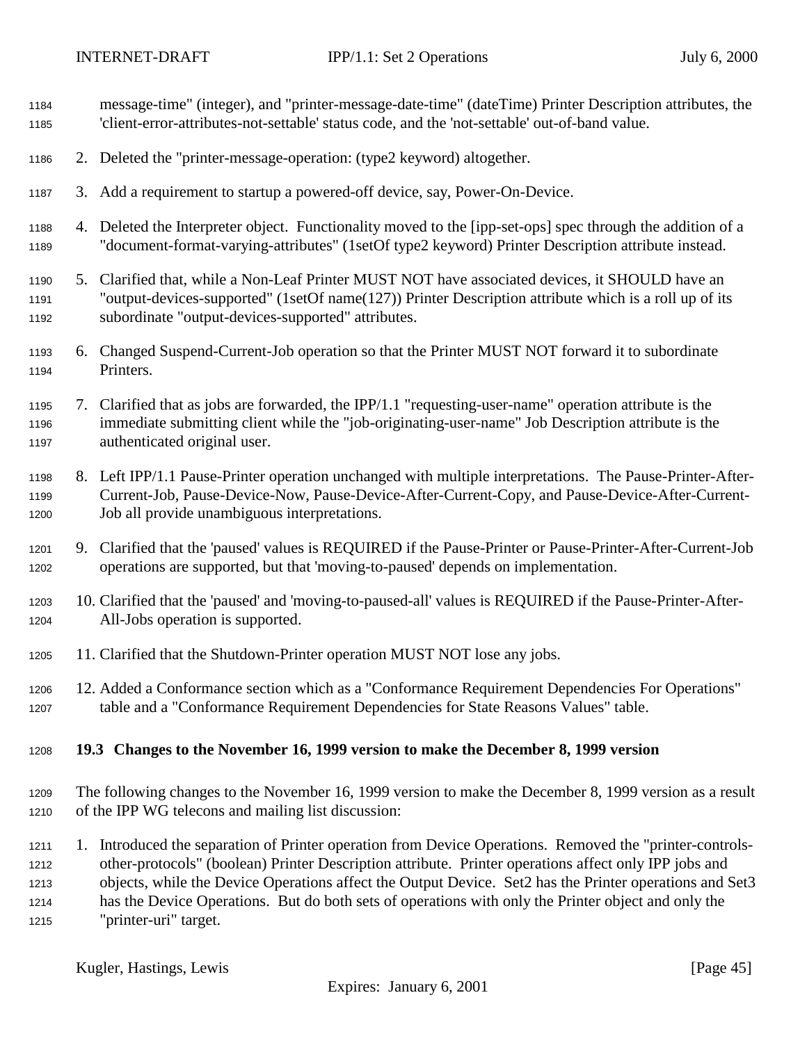<span id="page-44-0"></span>

| 1184<br>1185                         |    | message-time" (integer), and "printer-message-date-time" (dateTime) Printer Description attributes, the<br>'client-error-attributes-not-settable' status code, and the 'not-settable' out-of-band value.                                                                                                                                                                                                                                                     |
|--------------------------------------|----|--------------------------------------------------------------------------------------------------------------------------------------------------------------------------------------------------------------------------------------------------------------------------------------------------------------------------------------------------------------------------------------------------------------------------------------------------------------|
| 1186                                 |    | 2. Deleted the "printer-message-operation: (type2 keyword) altogether.                                                                                                                                                                                                                                                                                                                                                                                       |
| 1187                                 |    | 3. Add a requirement to startup a powered-off device, say, Power-On-Device.                                                                                                                                                                                                                                                                                                                                                                                  |
| 1188<br>1189                         |    | 4. Deleted the Interpreter object. Functionality moved to the [ipp-set-ops] spec through the addition of a<br>"document-format-varying-attributes" (1setOf type2 keyword) Printer Description attribute instead.                                                                                                                                                                                                                                             |
| 1190<br>1191<br>1192                 | 5. | Clarified that, while a Non-Leaf Printer MUST NOT have associated devices, it SHOULD have an<br>"output-devices-supported" (1setOf name(127)) Printer Description attribute which is a roll up of its<br>subordinate "output-devices-supported" attributes.                                                                                                                                                                                                  |
| 1193<br>1194                         |    | 6. Changed Suspend-Current-Job operation so that the Printer MUST NOT forward it to subordinate<br>Printers.                                                                                                                                                                                                                                                                                                                                                 |
| 1195<br>1196<br>1197                 |    | 7. Clarified that as jobs are forwarded, the IPP/1.1 "requesting-user-name" operation attribute is the<br>immediate submitting client while the "job-originating-user-name" Job Description attribute is the<br>authenticated original user.                                                                                                                                                                                                                 |
| 1198<br>1199<br>1200                 |    | 8. Left IPP/1.1 Pause-Printer operation unchanged with multiple interpretations. The Pause-Printer-After-<br>Current-Job, Pause-Device-Now, Pause-Device-After-Current-Copy, and Pause-Device-After-Current-<br>Job all provide unambiguous interpretations.                                                                                                                                                                                                 |
| 1201<br>1202                         | 9. | Clarified that the 'paused' values is REQUIRED if the Pause-Printer or Pause-Printer-After-Current-Job<br>operations are supported, but that 'moving-to-paused' depends on implementation.                                                                                                                                                                                                                                                                   |
| 1203<br>1204                         |    | 10. Clarified that the 'paused' and 'moving-to-paused-all' values is REQUIRED if the Pause-Printer-After-<br>All-Jobs operation is supported.                                                                                                                                                                                                                                                                                                                |
| 1205                                 |    | 11. Clarified that the Shutdown-Printer operation MUST NOT lose any jobs.                                                                                                                                                                                                                                                                                                                                                                                    |
| 1206<br>1207                         |    | 12. Added a Conformance section which as a "Conformance Requirement Dependencies For Operations"<br>table and a "Conformance Requirement Dependencies for State Reasons Values" table.                                                                                                                                                                                                                                                                       |
| 1208                                 |    | 19.3 Changes to the November 16, 1999 version to make the December 8, 1999 version                                                                                                                                                                                                                                                                                                                                                                           |
| 1209<br>1210                         |    | The following changes to the November 16, 1999 version to make the December 8, 1999 version as a result<br>of the IPP WG telecons and mailing list discussion:                                                                                                                                                                                                                                                                                               |
| 1211<br>1212<br>1213<br>1214<br>1215 |    | 1. Introduced the separation of Printer operation from Device Operations. Removed the "printer-controls-<br>other-protocols" (boolean) Printer Description attribute. Printer operations affect only IPP jobs and<br>objects, while the Device Operations affect the Output Device. Set2 has the Printer operations and Set3<br>has the Device Operations. But do both sets of operations with only the Printer object and only the<br>"printer-uri" target. |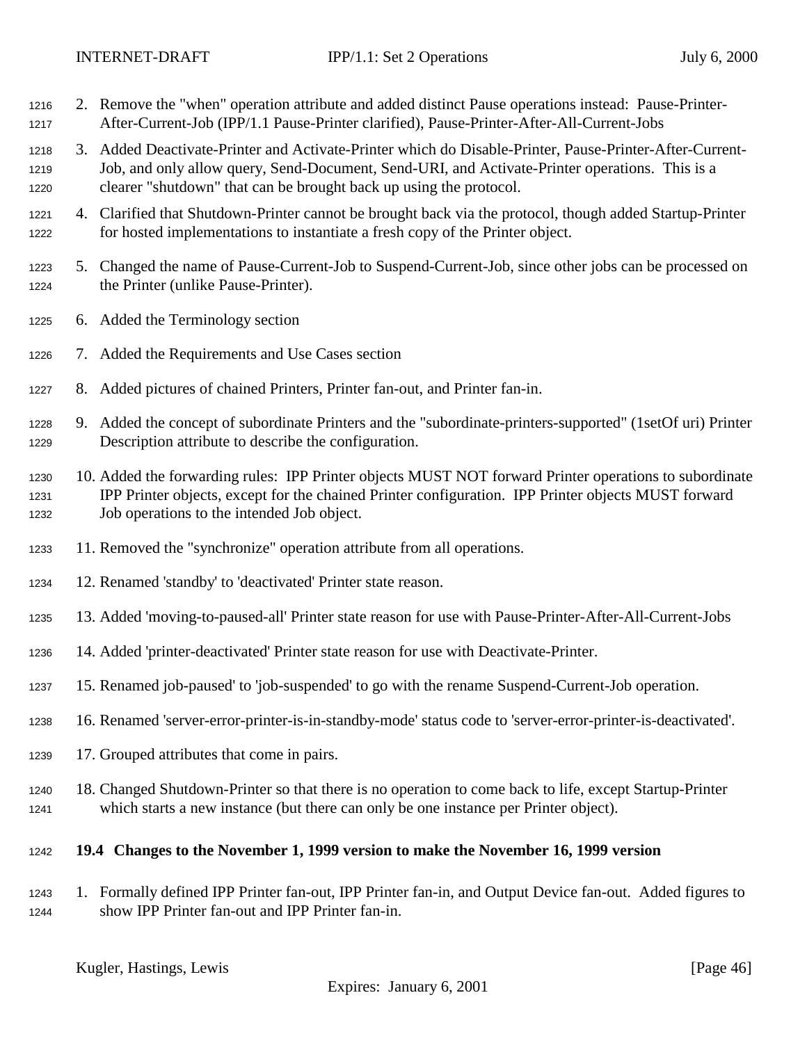- <span id="page-45-0"></span> 2. Remove the "when" operation attribute and added distinct Pause operations instead: Pause-Printer-After-Current-Job (IPP/1.1 Pause-Printer clarified), Pause-Printer-After-All-Current-Jobs
- 3. Added Deactivate-Printer and Activate-Printer which do Disable-Printer, Pause-Printer-After-Current- Job, and only allow query, Send-Document, Send-URI, and Activate-Printer operations. This is a clearer "shutdown" that can be brought back up using the protocol.
- 4. Clarified that Shutdown-Printer cannot be brought back via the protocol, though added Startup-Printer for hosted implementations to instantiate a fresh copy of the Printer object.
- 5. Changed the name of Pause-Current-Job to Suspend-Current-Job, since other jobs can be processed on the Printer (unlike Pause-Printer).
- 6. Added the Terminology section
- 7. Added the Requirements and Use Cases section
- 8. Added pictures of chained Printers, Printer fan-out, and Printer fan-in.
- 9. Added the concept of subordinate Printers and the "subordinate-printers-supported" (1setOf uri) Printer Description attribute to describe the configuration.
- 10. Added the forwarding rules: IPP Printer objects MUST NOT forward Printer operations to subordinate IPP Printer objects, except for the chained Printer configuration. IPP Printer objects MUST forward Job operations to the intended Job object.
- 11. Removed the "synchronize" operation attribute from all operations.
- 12. Renamed 'standby' to 'deactivated' Printer state reason.
- 13. Added 'moving-to-paused-all' Printer state reason for use with Pause-Printer-After-All-Current-Jobs
- 14. Added 'printer-deactivated' Printer state reason for use with Deactivate-Printer.
- 15. Renamed job-paused' to 'job-suspended' to go with the rename Suspend-Current-Job operation.
- 16. Renamed 'server-error-printer-is-in-standby-mode' status code to 'server-error-printer-is-deactivated'.
- 17. Grouped attributes that come in pairs.
- 18. Changed Shutdown-Printer so that there is no operation to come back to life, except Startup-Printer which starts a new instance (but there can only be one instance per Printer object).

#### **19.4 Changes to the November 1, 1999 version to make the November 16, 1999 version**

 1. Formally defined IPP Printer fan-out, IPP Printer fan-in, and Output Device fan-out. Added figures to show IPP Printer fan-out and IPP Printer fan-in.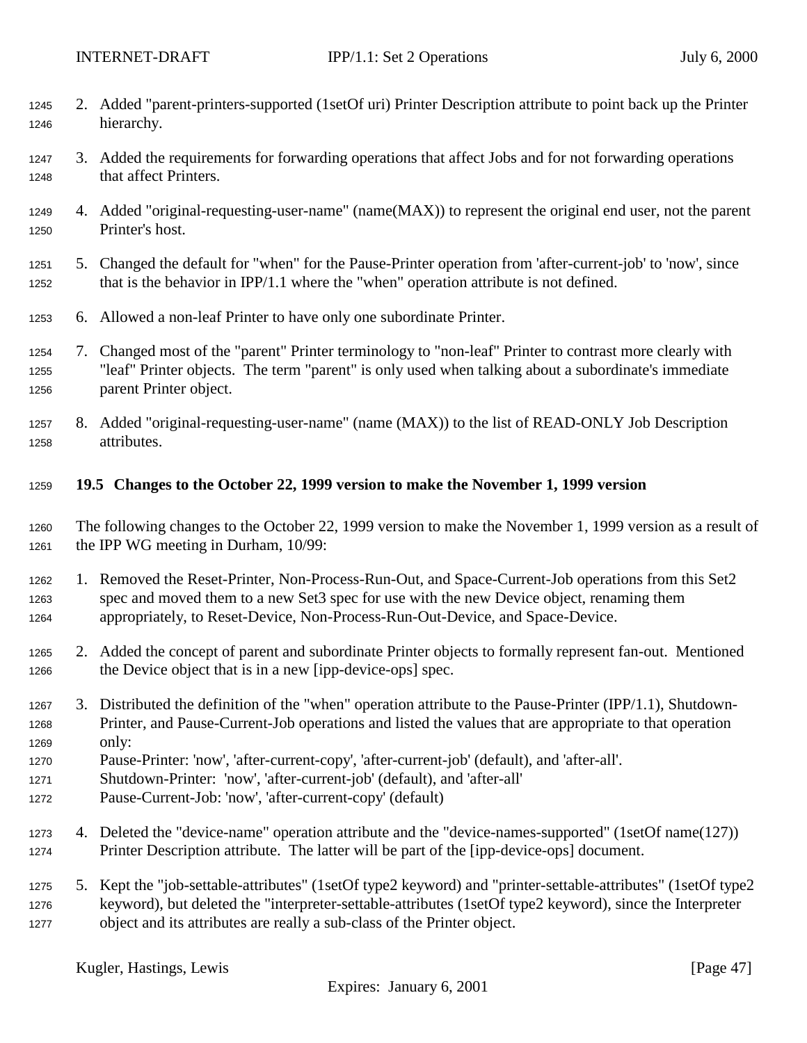- <span id="page-46-0"></span> 2. Added "parent-printers-supported (1setOf uri) Printer Description attribute to point back up the Printer hierarchy.
- 3. Added the requirements for forwarding operations that affect Jobs and for not forwarding operations that affect Printers.
- 4. Added "original-requesting-user-name" (name(MAX)) to represent the original end user, not the parent Printer's host.
- 5. Changed the default for "when" for the Pause-Printer operation from 'after-current-job' to 'now', since that is the behavior in IPP/1.1 where the "when" operation attribute is not defined.
- 6. Allowed a non-leaf Printer to have only one subordinate Printer.
- 7. Changed most of the "parent" Printer terminology to "non-leaf" Printer to contrast more clearly with "leaf" Printer objects. The term "parent" is only used when talking about a subordinate's immediate parent Printer object.
- 8. Added "original-requesting-user-name" (name (MAX)) to the list of READ-ONLY Job Description attributes.
- **19.5 Changes to the October 22, 1999 version to make the November 1, 1999 version**
- The following changes to the October 22, 1999 version to make the November 1, 1999 version as a result of the IPP WG meeting in Durham, 10/99:
- 1. Removed the Reset-Printer, Non-Process-Run-Out, and Space-Current-Job operations from this Set2 spec and moved them to a new Set3 spec for use with the new Device object, renaming them appropriately, to Reset-Device, Non-Process-Run-Out-Device, and Space-Device.
- 2. Added the concept of parent and subordinate Printer objects to formally represent fan-out. Mentioned 1266 the Device object that is in a new [ipp-device-ops] spec.
- 3. Distributed the definition of the "when" operation attribute to the Pause-Printer (IPP/1.1), Shutdown- Printer, and Pause-Current-Job operations and listed the values that are appropriate to that operation only:
- Pause-Printer: 'now', 'after-current-copy', 'after-current-job' (default), and 'after-all'.
- Shutdown-Printer: 'now', 'after-current-job' (default), and 'after-all'
- Pause-Current-Job: 'now', 'after-current-copy' (default)
- 4. Deleted the "device-name" operation attribute and the "device-names-supported" (1setOf name(127)) Printer Description attribute. The latter will be part of the [ipp-device-ops] document.
- 5. Kept the "job-settable-attributes" (1setOf type2 keyword) and "printer-settable-attributes" (1setOf type2 keyword), but deleted the "interpreter-settable-attributes (1setOf type2 keyword), since the Interpreter object and its attributes are really a sub-class of the Printer object.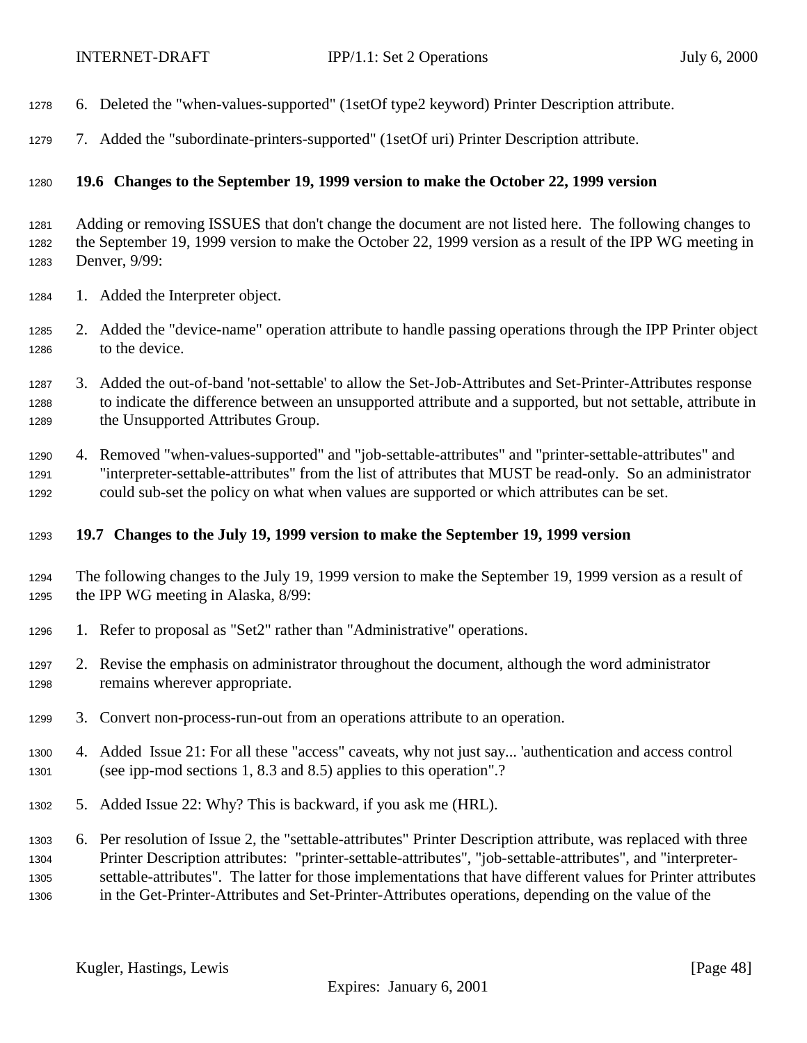- <span id="page-47-0"></span>6. Deleted the "when-values-supported" (1setOf type2 keyword) Printer Description attribute.
- 7. Added the "subordinate-printers-supported" (1setOf uri) Printer Description attribute.

## **19.6 Changes to the September 19, 1999 version to make the October 22, 1999 version**

 Adding or removing ISSUES that don't change the document are not listed here. The following changes to the September 19, 1999 version to make the October 22, 1999 version as a result of the IPP WG meeting in Denver, 9/99:

- 1. Added the Interpreter object.
- 2. Added the "device-name" operation attribute to handle passing operations through the IPP Printer object to the device.
- 3. Added the out-of-band 'not-settable' to allow the Set-Job-Attributes and Set-Printer-Attributes response to indicate the difference between an unsupported attribute and a supported, but not settable, attribute in the Unsupported Attributes Group.
- 4. Removed "when-values-supported" and "job-settable-attributes" and "printer-settable-attributes" and "interpreter-settable-attributes" from the list of attributes that MUST be read-only. So an administrator could sub-set the policy on what when values are supported or which attributes can be set.

#### **19.7 Changes to the July 19, 1999 version to make the September 19, 1999 version**

- The following changes to the July 19, 1999 version to make the September 19, 1999 version as a result of the IPP WG meeting in Alaska, 8/99:
- 1. Refer to proposal as "Set2" rather than "Administrative" operations.
- 2. Revise the emphasis on administrator throughout the document, although the word administrator remains wherever appropriate.
- 3. Convert non-process-run-out from an operations attribute to an operation.
- 4. Added Issue 21: For all these "access" caveats, why not just say... 'authentication and access control (see ipp-mod sections 1, 8.3 and 8.5) applies to this operation".?
- 5. Added Issue 22: Why? This is backward, if you ask me (HRL).
- 6. Per resolution of Issue 2, the "settable-attributes" Printer Description attribute, was replaced with three Printer Description attributes: "printer-settable-attributes", "job-settable-attributes", and "interpreter- settable-attributes". The latter for those implementations that have different values for Printer attributes in the Get-Printer-Attributes and Set-Printer-Attributes operations, depending on the value of the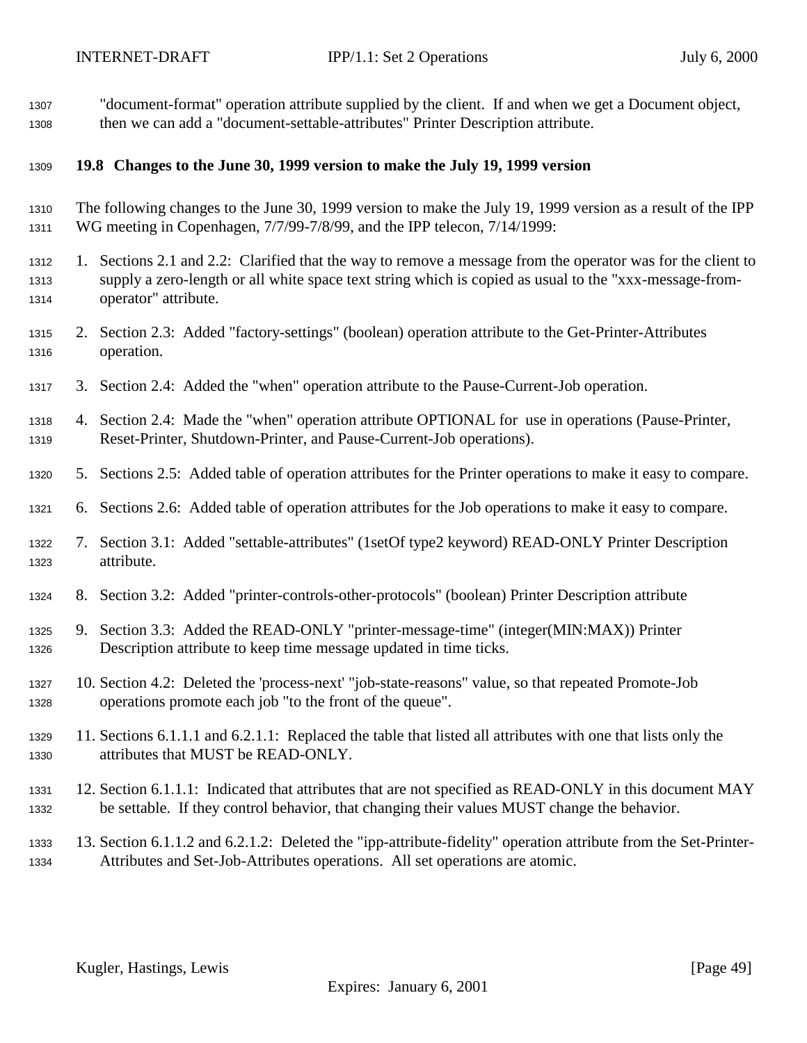<span id="page-48-0"></span> "document-format" operation attribute supplied by the client. If and when we get a Document object, then we can add a "document-settable-attributes" Printer Description attribute.

## **19.8 Changes to the June 30, 1999 version to make the July 19, 1999 version**

- The following changes to the June 30, 1999 version to make the July 19, 1999 version as a result of the IPP WG meeting in Copenhagen, 7/7/99-7/8/99, and the IPP telecon, 7/14/1999:
- 1. Sections 2.1 and 2.2: Clarified that the way to remove a message from the operator was for the client to supply a zero-length or all white space text string which is copied as usual to the "xxx-message-from-operator" attribute.
- 2. Section 2.3: Added "factory-settings" (boolean) operation attribute to the Get-Printer-Attributes operation.
- 3. Section 2.4: Added the "when" operation attribute to the Pause-Current-Job operation.
- 4. Section 2.4: Made the "when" operation attribute OPTIONAL for use in operations (Pause-Printer, Reset-Printer, Shutdown-Printer, and Pause-Current-Job operations).
- 5. Sections 2.5: Added table of operation attributes for the Printer operations to make it easy to compare.
- 6. Sections 2.6: Added table of operation attributes for the Job operations to make it easy to compare.
- 7. Section 3.1: Added "settable-attributes" (1setOf type2 keyword) READ-ONLY Printer Description attribute.
- 8. Section 3.2: Added "printer-controls-other-protocols" (boolean) Printer Description attribute
- 9. Section 3.3: Added the READ-ONLY "printer-message-time" (integer(MIN:MAX)) Printer Description attribute to keep time message updated in time ticks.
- 10. Section 4.2: Deleted the 'process-next' "job-state-reasons" value, so that repeated Promote-Job operations promote each job "to the front of the queue".
- 11. Sections 6.1.1.1 and 6.2.1.1: Replaced the table that listed all attributes with one that lists only the attributes that MUST be READ-ONLY.
- 12. Section 6.1.1.1: Indicated that attributes that are not specified as READ-ONLY in this document MAY be settable. If they control behavior, that changing their values MUST change the behavior.
- 13. Section 6.1.1.2 and 6.2.1.2: Deleted the "ipp-attribute-fidelity" operation attribute from the Set-Printer-Attributes and Set-Job-Attributes operations. All set operations are atomic.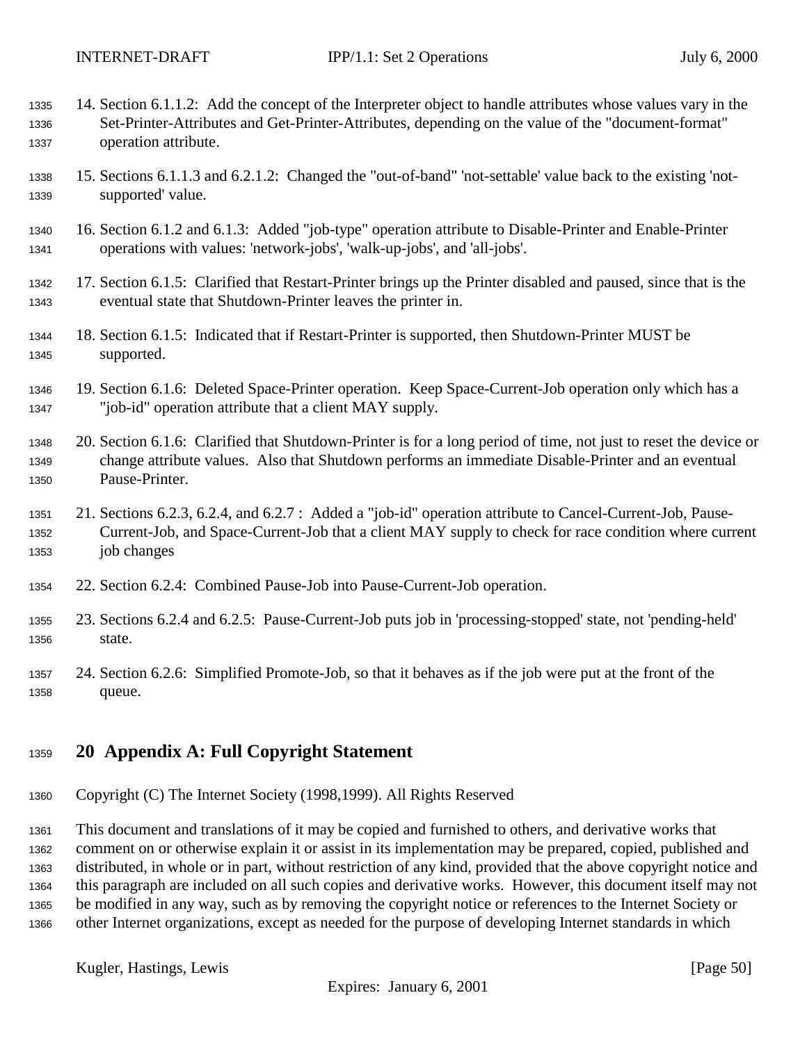- <span id="page-49-0"></span> 14. Section 6.1.1.2: Add the concept of the Interpreter object to handle attributes whose values vary in the Set-Printer-Attributes and Get-Printer-Attributes, depending on the value of the "document-format" operation attribute.
- 15. Sections 6.1.1.3 and 6.2.1.2: Changed the "out-of-band" 'not-settable' value back to the existing 'not-supported' value.
- 16. Section 6.1.2 and 6.1.3: Added "job-type" operation attribute to Disable-Printer and Enable-Printer operations with values: 'network-jobs', 'walk-up-jobs', and 'all-jobs'.
- 17. Section 6.1.5: Clarified that Restart-Printer brings up the Printer disabled and paused, since that is the eventual state that Shutdown-Printer leaves the printer in.
- 18. Section 6.1.5: Indicated that if Restart-Printer is supported, then Shutdown-Printer MUST be supported.
- 19. Section 6.1.6: Deleted Space-Printer operation. Keep Space-Current-Job operation only which has a "job-id" operation attribute that a client MAY supply.
- 20. Section 6.1.6: Clarified that Shutdown-Printer is for a long period of time, not just to reset the device or change attribute values. Also that Shutdown performs an immediate Disable-Printer and an eventual Pause-Printer.
- 21. Sections 6.2.3, 6.2.4, and 6.2.7 : Added a "job-id" operation attribute to Cancel-Current-Job, Pause- Current-Job, and Space-Current-Job that a client MAY supply to check for race condition where current job changes
- 22. Section 6.2.4: Combined Pause-Job into Pause-Current-Job operation.
- 23. Sections 6.2.4 and 6.2.5: Pause-Current-Job puts job in 'processing-stopped' state, not 'pending-held' state.
- 24. Section 6.2.6: Simplified Promote-Job, so that it behaves as if the job were put at the front of the queue.

# **20 Appendix A: Full Copyright Statement**

Copyright (C) The Internet Society (1998,1999). All Rights Reserved

 This document and translations of it may be copied and furnished to others, and derivative works that comment on or otherwise explain it or assist in its implementation may be prepared, copied, published and distributed, in whole or in part, without restriction of any kind, provided that the above copyright notice and this paragraph are included on all such copies and derivative works. However, this document itself may not be modified in any way, such as by removing the copyright notice or references to the Internet Society or other Internet organizations, except as needed for the purpose of developing Internet standards in which